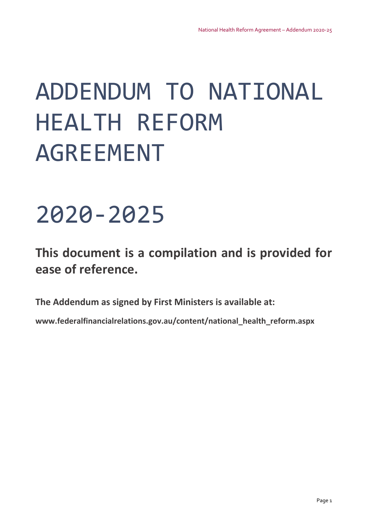# ADDENDUM TO NATIONAL HEALTH REFORM AGREEMENT

## 2020‐2025

## **This document is a compilation and is provided for ease of reference.**

**The Addendum as signed by First Ministers is available at:**

**www.federalfinancialrelations.gov.au/content/national\_health\_reform.aspx**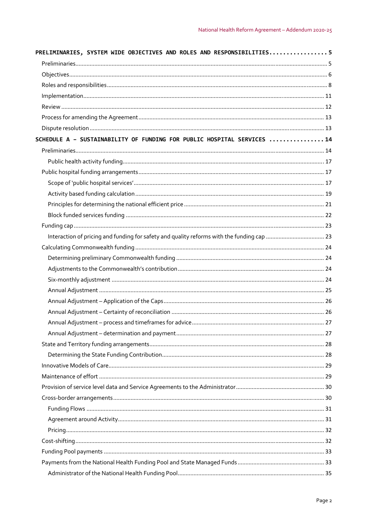| PRELIMINARIES, SYSTEM WIDE OBJECTIVES AND ROLES AND RESPONSIBILITIES5  |  |
|------------------------------------------------------------------------|--|
|                                                                        |  |
|                                                                        |  |
|                                                                        |  |
|                                                                        |  |
|                                                                        |  |
|                                                                        |  |
|                                                                        |  |
| SCHEDULE A - SUSTAINABILITY OF FUNDING FOR PUBLIC HOSPITAL SERVICES 14 |  |
|                                                                        |  |
|                                                                        |  |
|                                                                        |  |
|                                                                        |  |
|                                                                        |  |
|                                                                        |  |
|                                                                        |  |
|                                                                        |  |
|                                                                        |  |
|                                                                        |  |
|                                                                        |  |
|                                                                        |  |
|                                                                        |  |
|                                                                        |  |
|                                                                        |  |
|                                                                        |  |
|                                                                        |  |
|                                                                        |  |
|                                                                        |  |
|                                                                        |  |
|                                                                        |  |
|                                                                        |  |
|                                                                        |  |
|                                                                        |  |
|                                                                        |  |
|                                                                        |  |
|                                                                        |  |
|                                                                        |  |
|                                                                        |  |
|                                                                        |  |
|                                                                        |  |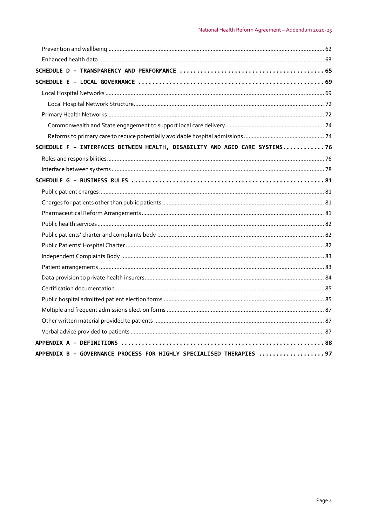| SCHEDULE F - INTERFACES BETWEEN HEALTH, DISABILITY AND AGED CARE SYSTEMS 76 |  |
|-----------------------------------------------------------------------------|--|
|                                                                             |  |
|                                                                             |  |
|                                                                             |  |
|                                                                             |  |
|                                                                             |  |
|                                                                             |  |
|                                                                             |  |
|                                                                             |  |
|                                                                             |  |
|                                                                             |  |
|                                                                             |  |
|                                                                             |  |
|                                                                             |  |
|                                                                             |  |
|                                                                             |  |
|                                                                             |  |
|                                                                             |  |
|                                                                             |  |
| APPENDIX B - GOVERNANCE PROCESS FOR HIGHLY SPECIALISED THERAPIES  97        |  |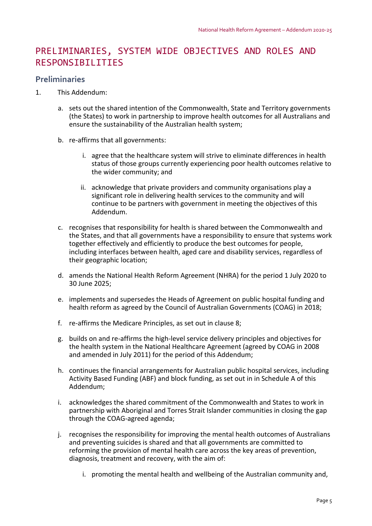## PRELIMINARIES, SYSTEM WIDE OBJECTIVES AND ROLES AND RESPONSIBILITIES

## **Preliminaries**

- 1. This Addendum:
	- a. sets out the shared intention of the Commonwealth, State and Territory governments (the States) to work in partnership to improve health outcomes for all Australians and ensure the sustainability of the Australian health system;
	- b. re‐affirms that all governments:
		- i. agree that the healthcare system will strive to eliminate differences in health status of those groups currently experiencing poor health outcomes relative to the wider community; and
		- ii. acknowledge that private providers and community organisations play a significant role in delivering health services to the community and will continue to be partners with government in meeting the objectives of this Addendum.
	- c. recognises that responsibility for health is shared between the Commonwealth and the States, and that all governments have a responsibility to ensure that systems work together effectively and efficiently to produce the best outcomes for people, including interfaces between health, aged care and disability services, regardless of their geographic location;
	- d. amends the National Health Reform Agreement (NHRA) for the period 1 July 2020 to 30 June 2025;
	- e. implements and supersedes the Heads of Agreement on public hospital funding and health reform as agreed by the Council of Australian Governments (COAG) in 2018;
	- f. re-affirms the Medicare Principles, as set out in clause 8;
	- g. builds on and re‐affirms the high‐level service delivery principles and objectives for the health system in the National Healthcare Agreement (agreed by COAG in 2008 and amended in July 2011) for the period of this Addendum;
	- h. continues the financial arrangements for Australian public hospital services, including Activity Based Funding (ABF) and block funding, as set out in in Schedule A of this Addendum;
	- i. acknowledges the shared commitment of the Commonwealth and States to work in partnership with Aboriginal and Torres Strait Islander communities in closing the gap through the COAG‐agreed agenda;
	- j. recognises the responsibility for improving the mental health outcomes of Australians and preventing suicides is shared and that all governments are committed to reforming the provision of mental health care across the key areas of prevention, diagnosis, treatment and recovery, with the aim of:
		- i. promoting the mental health and wellbeing of the Australian community and,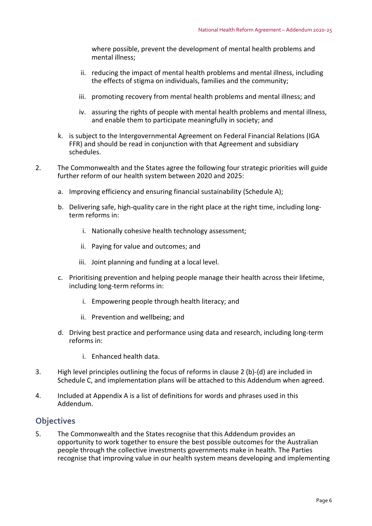where possible, prevent the development of mental health problems and mental illness;

- ii. reducing the impact of mental health problems and mental illness, including the effects of stigma on individuals, families and the community;
- iii. promoting recovery from mental health problems and mental illness; and
- iv. assuring the rights of people with mental health problems and mental illness, and enable them to participate meaningfully in society; and
- k. is subject to the Intergovernmental Agreement on Federal Financial Relations (IGA FFR) and should be read in conjunction with that Agreement and subsidiary schedules.
- 2. The Commonwealth and the States agree the following four strategic priorities will guide further reform of our health system between 2020 and 2025:
	- a. Improving efficiency and ensuring financial sustainability (Schedule A);
	- b. Delivering safe, high-quality care in the right place at the right time, including longterm reforms in:
		- i. Nationally cohesive health technology assessment;
		- ii. Paying for value and outcomes; and
		- iii. Joint planning and funding at a local level.
	- c. Prioritising prevention and helping people manage their health across their lifetime, including long‐term reforms in:
		- i. Empowering people through health literacy; and
		- ii. Prevention and wellbeing; and
	- d. Driving best practice and performance using data and research, including long‐term reforms in:
		- i. Enhanced health data.
- 3. High level principles outlining the focus of reforms in clause 2 (b)‐(d) are included in Schedule C, and implementation plans will be attached to this Addendum when agreed.
- 4. Included at Appendix A is a list of definitions for words and phrases used in this Addendum.

#### **Objectives**

5. The Commonwealth and the States recognise that this Addendum provides an opportunity to work together to ensure the best possible outcomes for the Australian people through the collective investments governments make in health. The Parties recognise that improving value in our health system means developing and implementing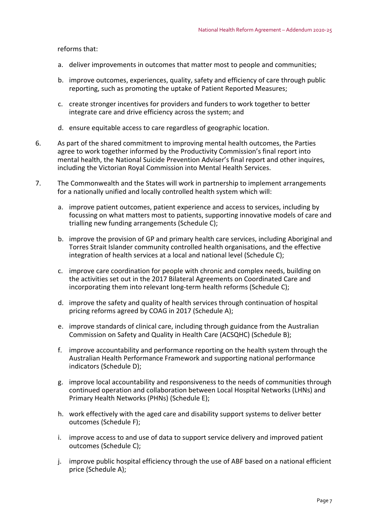reforms that:

- a. deliver improvements in outcomes that matter most to people and communities;
- b. improve outcomes, experiences, quality, safety and efficiency of care through public reporting, such as promoting the uptake of Patient Reported Measures;
- c. create stronger incentives for providers and funders to work together to better integrate care and drive efficiency across the system; and
- d. ensure equitable access to care regardless of geographic location.
- 6. As part of the shared commitment to improving mental health outcomes, the Parties agree to work together informed by the Productivity Commission's final report into mental health, the National Suicide Prevention Adviser's final report and other inquires, including the Victorian Royal Commission into Mental Health Services.
- 7. The Commonwealth and the States will work in partnership to implement arrangements for a nationally unified and locally controlled health system which will:
	- a. improve patient outcomes, patient experience and access to services, including by focussing on what matters most to patients, supporting innovative models of care and trialling new funding arrangements (Schedule C);
	- b. improve the provision of GP and primary health care services, including Aboriginal and Torres Strait Islander community controlled health organisations, and the effective integration of health services at a local and national level (Schedule C);
	- c. improve care coordination for people with chronic and complex needs, building on the activities set out in the 2017 Bilateral Agreements on Coordinated Care and incorporating them into relevant long-term health reforms (Schedule C);
	- d. improve the safety and quality of health services through continuation of hospital pricing reforms agreed by COAG in 2017 (Schedule A);
	- e. improve standards of clinical care, including through guidance from the Australian Commission on Safety and Quality in Health Care (ACSQHC) (Schedule B);
	- f. improve accountability and performance reporting on the health system through the Australian Health Performance Framework and supporting national performance indicators (Schedule D);
	- g. improve local accountability and responsiveness to the needs of communities through continued operation and collaboration between Local Hospital Networks (LHNs) and Primary Health Networks (PHNs) (Schedule E);
	- h. work effectively with the aged care and disability support systems to deliver better outcomes (Schedule F);
	- i. improve access to and use of data to support service delivery and improved patient outcomes (Schedule C);
	- j. improve public hospital efficiency through the use of ABF based on a national efficient price (Schedule A);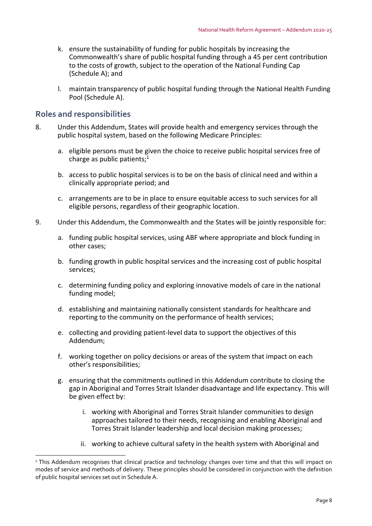- k. ensure the sustainability of funding for public hospitals by increasing the Commonwealth's share of public hospital funding through a 45 per cent contribution to the costs of growth, subject to the operation of the National Funding Cap (Schedule A); and
- l. maintain transparency of public hospital funding through the National Health Funding Pool (Schedule A).

## **Roles and responsibilities**

l

- 8. Under this Addendum, States will provide health and emergency services through the public hospital system, based on the following Medicare Principles:
	- a. eligible persons must be given the choice to receive public hospital services free of charge as public patients; $1$
	- b. access to public hospital services is to be on the basis of clinical need and within a clinically appropriate period; and
	- c. arrangements are to be in place to ensure equitable access to such services for all eligible persons, regardless of their geographic location.
- 9. Under this Addendum, the Commonwealth and the States will be jointly responsible for:
	- a. funding public hospital services, using ABF where appropriate and block funding in other cases;
	- b. funding growth in public hospital services and the increasing cost of public hospital services;
	- c. determining funding policy and exploring innovative models of care in the national funding model;
	- d. establishing and maintaining nationally consistent standards for healthcare and reporting to the community on the performance of health services;
	- e. collecting and providing patient‐level data to support the objectives of this Addendum;
	- f. working together on policy decisions or areas of the system that impact on each other's responsibilities;
	- g. ensuring that the commitments outlined in this Addendum contribute to closing the gap in Aboriginal and Torres Strait Islander disadvantage and life expectancy. This will be given effect by:
		- i. working with Aboriginal and Torres Strait Islander communities to design approaches tailored to their needs, recognising and enabling Aboriginal and Torres Strait Islander leadership and local decision making processes;
		- ii. working to achieve cultural safety in the health system with Aboriginal and

<sup>&</sup>lt;sup>1</sup> This Addendum recognises that clinical practice and technology changes over time and that this will impact on modes of service and methods of delivery. These principles should be considered in conjunction with the definition of public hospital services set out in Schedule A.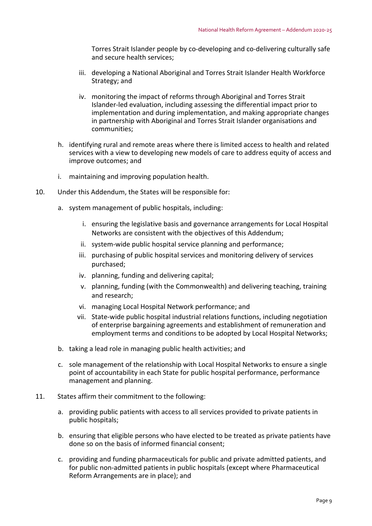Torres Strait Islander people by co‐developing and co‐delivering culturally safe and secure health services;

- iii. developing a National Aboriginal and Torres Strait Islander Health Workforce Strategy; and
- iv. monitoring the impact of reforms through Aboriginal and Torres Strait Islander‐led evaluation, including assessing the differential impact prior to implementation and during implementation, and making appropriate changes in partnership with Aboriginal and Torres Strait Islander organisations and communities;
- h. identifying rural and remote areas where there is limited access to health and related services with a view to developing new models of care to address equity of access and improve outcomes; and
- i. maintaining and improving population health.
- 10. Under this Addendum, the States will be responsible for:
	- a. system management of public hospitals, including:
		- i. ensuring the legislative basis and governance arrangements for Local Hospital Networks are consistent with the objectives of this Addendum;
		- ii. system‐wide public hospital service planning and performance;
		- iii. purchasing of public hospital services and monitoring delivery of services purchased;
		- iv. planning, funding and delivering capital;
		- v. planning, funding (with the Commonwealth) and delivering teaching, training and research;
		- vi. managing Local Hospital Network performance; and
		- vii. State‐wide public hospital industrial relations functions, including negotiation of enterprise bargaining agreements and establishment of remuneration and employment terms and conditions to be adopted by Local Hospital Networks;
	- b. taking a lead role in managing public health activities; and
	- c. sole management of the relationship with Local Hospital Networks to ensure a single point of accountability in each State for public hospital performance, performance management and planning.
- 11. States affirm their commitment to the following:
	- a. providing public patients with access to all services provided to private patients in public hospitals;
	- b. ensuring that eligible persons who have elected to be treated as private patients have done so on the basis of informed financial consent;
	- c. providing and funding pharmaceuticals for public and private admitted patients, and for public non-admitted patients in public hospitals (except where Pharmaceutical Reform Arrangements are in place); and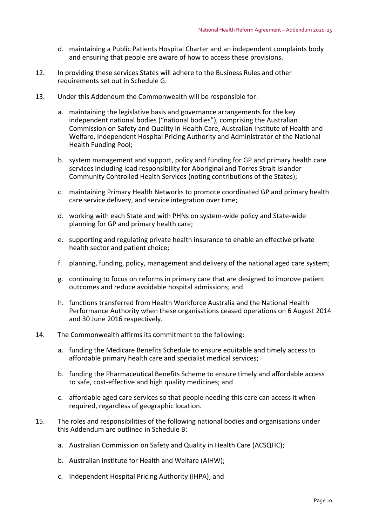- d. maintaining a Public Patients Hospital Charter and an independent complaints body and ensuring that people are aware of how to access these provisions.
- 12. In providing these services States will adhere to the Business Rules and other requirements set out in Schedule G.
- 13. Under this Addendum the Commonwealth will be responsible for:
	- a. maintaining the legislative basis and governance arrangements for the key independent national bodies ("national bodies"), comprising the Australian Commission on Safety and Quality in Health Care, Australian Institute of Health and Welfare, Independent Hospital Pricing Authority and Administrator of the National Health Funding Pool;
	- b. system management and support, policy and funding for GP and primary health care services including lead responsibility for Aboriginal and Torres Strait Islander Community Controlled Health Services (noting contributions of the States);
	- c. maintaining Primary Health Networks to promote coordinated GP and primary health care service delivery, and service integration over time;
	- d. working with each State and with PHNs on system‐wide policy and State‐wide planning for GP and primary health care;
	- e. supporting and regulating private health insurance to enable an effective private health sector and patient choice;
	- f. planning, funding, policy, management and delivery of the national aged care system;
	- g. continuing to focus on reforms in primary care that are designed to improve patient outcomes and reduce avoidable hospital admissions; and
	- h. functions transferred from Health Workforce Australia and the National Health Performance Authority when these organisations ceased operations on 6 August 2014 and 30 June 2016 respectively.
- 14. The Commonwealth affirms its commitment to the following:
	- a. funding the Medicare Benefits Schedule to ensure equitable and timely access to affordable primary health care and specialist medical services;
	- b. funding the Pharmaceutical Benefits Scheme to ensure timely and affordable access to safe, cost‐effective and high quality medicines; and
	- c. affordable aged care services so that people needing this care can access it when required, regardless of geographic location.
- 15. The roles and responsibilities of the following national bodies and organisations under this Addendum are outlined in Schedule B:
	- a. Australian Commission on Safety and Quality in Health Care (ACSQHC);
	- b. Australian Institute for Health and Welfare (AIHW);
	- c. Independent Hospital Pricing Authority (IHPA); and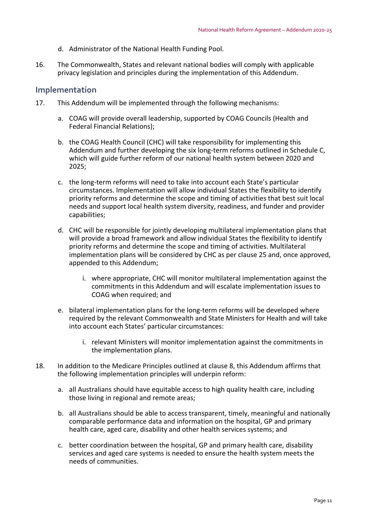- d. Administrator of the National Health Funding Pool.
- 16. The Commonwealth, States and relevant national bodies will comply with applicable privacy legislation and principles during the implementation of this Addendum.

#### **Implementation**

- 17. This Addendum will be implemented through the following mechanisms:
	- a. COAG will provide overall leadership, supported by COAG Councils (Health and Federal Financial Relations);
	- b. the COAG Health Council (CHC) will take responsibility for implementing this Addendum and further developing the six long‐term reforms outlined in Schedule C, which will guide further reform of our national health system between 2020 and 2025;
	- c. the long‐term reforms will need to take into account each State's particular circumstances. Implementation will allow individual States the flexibility to identify priority reforms and determine the scope and timing of activities that best suit local needs and support local health system diversity, readiness, and funder and provider capabilities;
	- d. CHC will be responsible for jointly developing multilateral implementation plans that will provide a broad framework and allow individual States the flexibility to identify priority reforms and determine the scope and timing of activities. Multilateral implementation plans will be considered by CHC as per clause 25 and, once approved, appended to this Addendum;
		- i. where appropriate, CHC will monitor multilateral implementation against the commitments in this Addendum and will escalate implementation issues to COAG when required; and
	- e. bilateral implementation plans for the long-term reforms will be developed where required by the relevant Commonwealth and State Ministers for Health and will take into account each States' particular circumstances:
		- i. relevant Ministers will monitor implementation against the commitments in the implementation plans.
- 18. In addition to the Medicare Principles outlined at clause 8, this Addendum affirms that the following implementation principles will underpin reform:
	- a. all Australians should have equitable access to high quality health care, including those living in regional and remote areas;
	- b. all Australians should be able to access transparent, timely, meaningful and nationally comparable performance data and information on the hospital, GP and primary health care, aged care, disability and other health services systems; and
	- c. better coordination between the hospital, GP and primary health care, disability services and aged care systems is needed to ensure the health system meets the needs of communities.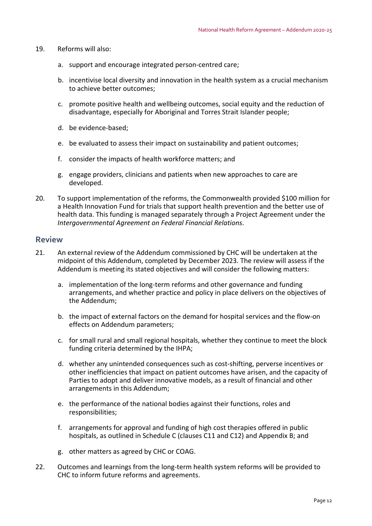- 19. Reforms will also:
	- a. support and encourage integrated person‐centred care;
	- b. incentivise local diversity and innovation in the health system as a crucial mechanism to achieve better outcomes;
	- c. promote positive health and wellbeing outcomes, social equity and the reduction of disadvantage, especially for Aboriginal and Torres Strait Islander people;
	- d. be evidence‐based;
	- e. be evaluated to assess their impact on sustainability and patient outcomes;
	- f. consider the impacts of health workforce matters; and
	- g. engage providers, clinicians and patients when new approaches to care are developed.
- 20. To support implementation of the reforms, the Commonwealth provided \$100 million for a Health Innovation Fund for trials that support health prevention and the better use of health data. This funding is managed separately through a Project Agreement under the *Intergovernmental Agreement on Federal Financial Relations*.

#### **Review**

- 21. An external review of the Addendum commissioned by CHC will be undertaken at the midpoint of this Addendum, completed by December 2023. The review will assess if the Addendum is meeting its stated objectives and will consider the following matters:
	- a. implementation of the long‐term reforms and other governance and funding arrangements, and whether practice and policy in place delivers on the objectives of the Addendum;
	- b. the impact of external factors on the demand for hospital services and the flow‐on effects on Addendum parameters;
	- c. for small rural and small regional hospitals, whether they continue to meet the block funding criteria determined by the IHPA;
	- d. whether any unintended consequences such as cost‐shifting, perverse incentives or other inefficiencies that impact on patient outcomes have arisen, and the capacity of Parties to adopt and deliver innovative models, as a result of financial and other arrangements in this Addendum;
	- e. the performance of the national bodies against their functions, roles and responsibilities;
	- f. arrangements for approval and funding of high cost therapies offered in public hospitals, as outlined in Schedule C (clauses C11 and C12) and Appendix B; and
	- g. other matters as agreed by CHC or COAG.
- 22. Outcomes and learnings from the long-term health system reforms will be provided to CHC to inform future reforms and agreements.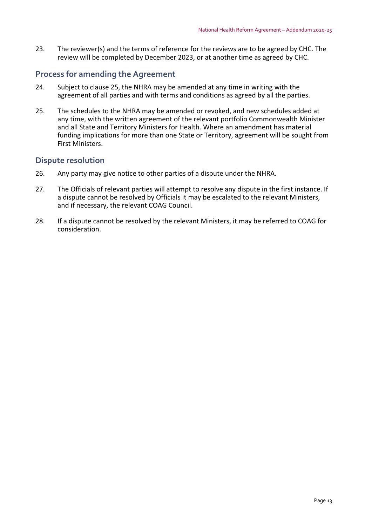23. The reviewer(s) and the terms of reference for the reviews are to be agreed by CHC. The review will be completed by December 2023, or at another time as agreed by CHC.

## **Process for amending the Agreement**

- 24. Subject to clause 25, the NHRA may be amended at any time in writing with the agreement of all parties and with terms and conditions as agreed by all the parties.
- 25. The schedules to the NHRA may be amended or revoked, and new schedules added at any time, with the written agreement of the relevant portfolio Commonwealth Minister and all State and Territory Ministers for Health. Where an amendment has material funding implications for more than one State or Territory, agreement will be sought from First Ministers.

## **Dispute resolution**

- 26. Any party may give notice to other parties of a dispute under the NHRA.
- 27. The Officials of relevant parties will attempt to resolve any dispute in the first instance. If a dispute cannot be resolved by Officials it may be escalated to the relevant Ministers, and if necessary, the relevant COAG Council.
- 28. If a dispute cannot be resolved by the relevant Ministers, it may be referred to COAG for consideration.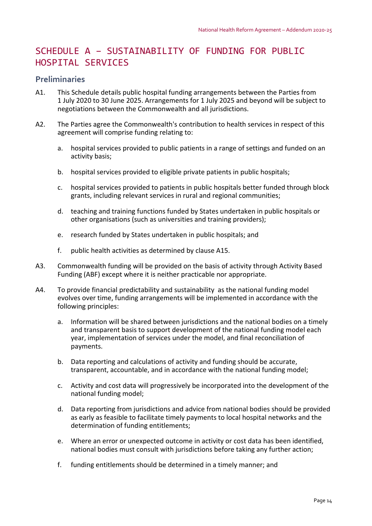## SCHEDULE A – SUSTAINABILITY OF FUNDING FOR PUBLIC HOSPITAL SERVICES

## **Preliminaries**

- A1. This Schedule details public hospital funding arrangements between the Parties from 1 July 2020 to 30 June 2025. Arrangements for 1 July 2025 and beyond will be subject to negotiations between the Commonwealth and all jurisdictions.
- A2. The Parties agree the Commonwealth's contribution to health services in respect of this agreement will comprise funding relating to:
	- a. hospital services provided to public patients in a range of settings and funded on an activity basis;
	- b. hospital services provided to eligible private patients in public hospitals;
	- c. hospital services provided to patients in public hospitals better funded through block grants, including relevant services in rural and regional communities;
	- d. teaching and training functions funded by States undertaken in public hospitals or other organisations (such as universities and training providers);
	- e. research funded by States undertaken in public hospitals; and
	- f. public health activities as determined by clause A15.
- A3. Commonwealth funding will be provided on the basis of activity through Activity Based Funding (ABF) except where it is neither practicable nor appropriate.
- A4. To provide financial predictability and sustainability as the national funding model evolves over time, funding arrangements will be implemented in accordance with the following principles:
	- a. Information will be shared between jurisdictions and the national bodies on a timely and transparent basis to support development of the national funding model each year, implementation of services under the model, and final reconciliation of payments.
	- b. Data reporting and calculations of activity and funding should be accurate, transparent, accountable, and in accordance with the national funding model;
	- c. Activity and cost data will progressively be incorporated into the development of the national funding model;
	- d. Data reporting from jurisdictions and advice from national bodies should be provided as early as feasible to facilitate timely payments to local hospital networks and the determination of funding entitlements;
	- e. Where an error or unexpected outcome in activity or cost data has been identified, national bodies must consult with jurisdictions before taking any further action;
	- f. funding entitlements should be determined in a timely manner; and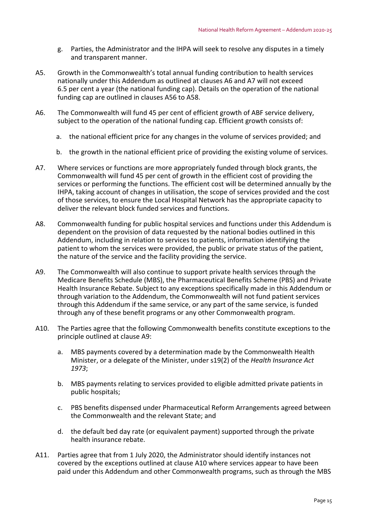- g. Parties, the Administrator and the IHPA will seek to resolve any disputes in a timely and transparent manner.
- A5. Growth in the Commonwealth's total annual funding contribution to health services nationally under this Addendum as outlined at clauses A6 and A7 will not exceed 6.5 per cent a year (the national funding cap). Details on the operation of the national funding cap are outlined in clauses A56 to A58.
- A6. The Commonwealth will fund 45 per cent of efficient growth of ABF service delivery, subject to the operation of the national funding cap. Efficient growth consists of:
	- a. the national efficient price for any changes in the volume of services provided; and
	- b. the growth in the national efficient price of providing the existing volume of services.
- A7. Where services or functions are more appropriately funded through block grants, the Commonwealth will fund 45 per cent of growth in the efficient cost of providing the services or performing the functions. The efficient cost will be determined annually by the IHPA, taking account of changes in utilisation, the scope of services provided and the cost of those services, to ensure the Local Hospital Network has the appropriate capacity to deliver the relevant block funded services and functions.
- A8. Commonwealth funding for public hospital services and functions under this Addendum is dependent on the provision of data requested by the national bodies outlined in this Addendum, including in relation to services to patients, information identifying the patient to whom the services were provided, the public or private status of the patient, the nature of the service and the facility providing the service.
- A9. The Commonwealth will also continue to support private health services through the Medicare Benefits Schedule (MBS), the Pharmaceutical Benefits Scheme (PBS) and Private Health Insurance Rebate. Subject to any exceptions specifically made in this Addendum or through variation to the Addendum, the Commonwealth will not fund patient services through this Addendum if the same service, or any part of the same service, is funded through any of these benefit programs or any other Commonwealth program.
- A10. The Parties agree that the following Commonwealth benefits constitute exceptions to the principle outlined at clause A9:
	- a. MBS payments covered by a determination made by the Commonwealth Health Minister, or a delegate of the Minister, under s19(2) of the *Health Insurance Act 1973*;
	- b. MBS payments relating to services provided to eligible admitted private patients in public hospitals;
	- c. PBS benefits dispensed under Pharmaceutical Reform Arrangements agreed between the Commonwealth and the relevant State; and
	- d. the default bed day rate (or equivalent payment) supported through the private health insurance rebate.
- A11. Parties agree that from 1 July 2020, the Administrator should identify instances not covered by the exceptions outlined at clause A10 where services appear to have been paid under this Addendum and other Commonwealth programs, such as through the MBS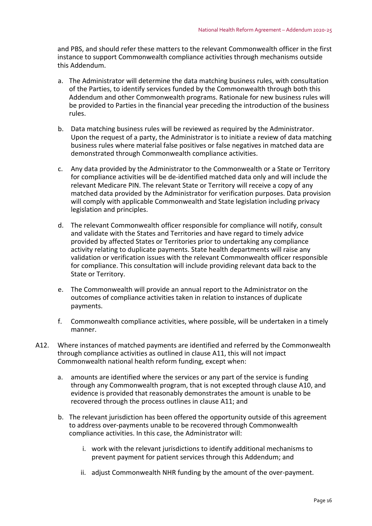and PBS, and should refer these matters to the relevant Commonwealth officer in the first instance to support Commonwealth compliance activities through mechanisms outside this Addendum.

- a. The Administrator will determine the data matching business rules, with consultation of the Parties, to identify services funded by the Commonwealth through both this Addendum and other Commonwealth programs. Rationale for new business rules will be provided to Parties in the financial year preceding the introduction of the business rules.
- b. Data matching business rules will be reviewed as required by the Administrator. Upon the request of a party, the Administrator is to initiate a review of data matching business rules where material false positives or false negatives in matched data are demonstrated through Commonwealth compliance activities.
- c. Any data provided by the Administrator to the Commonwealth or a State or Territory for compliance activities will be de‐identified matched data only and will include the relevant Medicare PIN. The relevant State or Territory will receive a copy of any matched data provided by the Administrator for verification purposes. Data provision will comply with applicable Commonwealth and State legislation including privacy legislation and principles.
- d. The relevant Commonwealth officer responsible for compliance will notify, consult and validate with the States and Territories and have regard to timely advice provided by affected States or Territories prior to undertaking any compliance activity relating to duplicate payments. State health departments will raise any validation or verification issues with the relevant Commonwealth officer responsible for compliance. This consultation will include providing relevant data back to the State or Territory.
- e. The Commonwealth will provide an annual report to the Administrator on the outcomes of compliance activities taken in relation to instances of duplicate payments.
- f. Commonwealth compliance activities, where possible, will be undertaken in a timely manner.
- A12. Where instances of matched payments are identified and referred by the Commonwealth through compliance activities as outlined in clause A11, this will not impact Commonwealth national health reform funding, except when:
	- a. amounts are identified where the services or any part of the service is funding through any Commonwealth program, that is not excepted through clause A10, and evidence is provided that reasonably demonstrates the amount is unable to be recovered through the process outlines in clause A11; and
	- b. The relevant jurisdiction has been offered the opportunity outside of this agreement to address over‐payments unable to be recovered through Commonwealth compliance activities. In this case, the Administrator will:
		- i. work with the relevant jurisdictions to identify additional mechanisms to prevent payment for patient services through this Addendum; and
		- ii. adjust Commonwealth NHR funding by the amount of the over‐payment.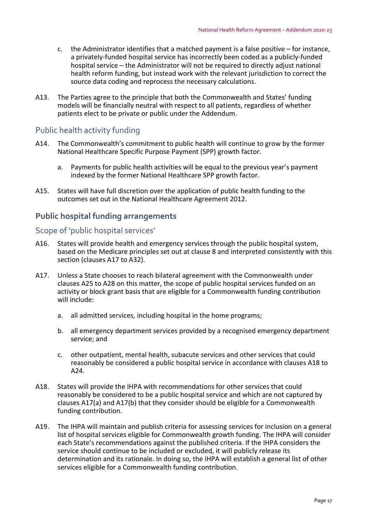- c. the Administrator identifies that a matched payment is a false positive for instance, a privately‐funded hospital service has incorrectly been coded as a publicly‐funded hospital service – the Administrator will not be required to directly adjust national health reform funding, but instead work with the relevant jurisdiction to correct the source data coding and reprocess the necessary calculations.
- A13. The Parties agree to the principle that both the Commonwealth and States' funding models will be financially neutral with respect to all patients, regardless of whether patients elect to be private or public under the Addendum.

## Public health activity funding

- A14. The Commonwealth's commitment to public health will continue to grow by the former National Healthcare Specific Purpose Payment (SPP) growth factor.
	- a. Payments for public health activities will be equal to the previous year's payment indexed by the former National Healthcare SPP growth factor.
- A15. States will have full discretion over the application of public health funding to the outcomes set out in the National Healthcare Agreement 2012.

## **Public hospital funding arrangements**

## Scope of 'public hospital services'

- A16. States will provide health and emergency services through the public hospital system, based on the Medicare principles set out at clause 8 and interpreted consistently with this section (clauses A17 to A32).
- A17. Unless a State chooses to reach bilateral agreement with the Commonwealth under clauses A25 to A28 on this matter, the scope of public hospital services funded on an activity or block grant basis that are eligible for a Commonwealth funding contribution will include:
	- a. all admitted services, including hospital in the home programs;
	- b. all emergency department services provided by a recognised emergency department service; and
	- c. other outpatient, mental health, subacute services and other services that could reasonably be considered a public hospital service in accordance with clauses A18 to A24.
- A18. States will provide the IHPA with recommendations for other services that could reasonably be considered to be a public hospital service and which are not captured by clauses A17(a) and A17(b) that they consider should be eligible for a Commonwealth funding contribution.
- A19. The IHPA will maintain and publish criteria for assessing services for inclusion on a general list of hospital services eligible for Commonwealth growth funding. The IHPA will consider each State's recommendations against the published criteria. If the IHPA considers the service should continue to be included or excluded, it will publicly release its determination and its rationale. In doing so, the IHPA will establish a general list of other services eligible for a Commonwealth funding contribution.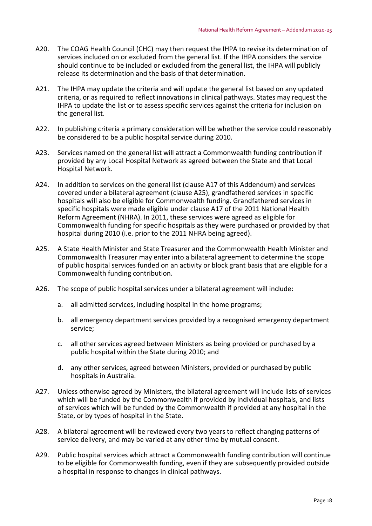- A20. The COAG Health Council (CHC) may then request the IHPA to revise its determination of services included on or excluded from the general list. If the IHPA considers the service should continue to be included or excluded from the general list, the IHPA will publicly release its determination and the basis of that determination.
- A21. The IHPA may update the criteria and will update the general list based on any updated criteria, or as required to reflect innovations in clinical pathways. States may request the IHPA to update the list or to assess specific services against the criteria for inclusion on the general list.
- A22. In publishing criteria a primary consideration will be whether the service could reasonably be considered to be a public hospital service during 2010.
- A23. Services named on the general list will attract a Commonwealth funding contribution if provided by any Local Hospital Network as agreed between the State and that Local Hospital Network.
- A24. In addition to services on the general list (clause A17 of this Addendum) and services covered under a bilateral agreement (clause A25), grandfathered services in specific hospitals will also be eligible for Commonwealth funding. Grandfathered services in specific hospitals were made eligible under clause A17 of the 2011 National Health Reform Agreement (NHRA). In 2011, these services were agreed as eligible for Commonwealth funding for specific hospitals as they were purchased or provided by that hospital during 2010 (i.e. prior to the 2011 NHRA being agreed).
- A25. A State Health Minister and State Treasurer and the Commonwealth Health Minister and Commonwealth Treasurer may enter into a bilateral agreement to determine the scope of public hospital services funded on an activity or block grant basis that are eligible for a Commonwealth funding contribution.
- A26. The scope of public hospital services under a bilateral agreement will include:
	- a. all admitted services, including hospital in the home programs;
	- b. all emergency department services provided by a recognised emergency department service;
	- c. all other services agreed between Ministers as being provided or purchased by a public hospital within the State during 2010; and
	- d. any other services, agreed between Ministers, provided or purchased by public hospitals in Australia.
- A27. Unless otherwise agreed by Ministers, the bilateral agreement will include lists of services which will be funded by the Commonwealth if provided by individual hospitals, and lists of services which will be funded by the Commonwealth if provided at any hospital in the State, or by types of hospital in the State.
- A28. A bilateral agreement will be reviewed every two years to reflect changing patterns of service delivery, and may be varied at any other time by mutual consent.
- A29. Public hospital services which attract a Commonwealth funding contribution will continue to be eligible for Commonwealth funding, even if they are subsequently provided outside a hospital in response to changes in clinical pathways.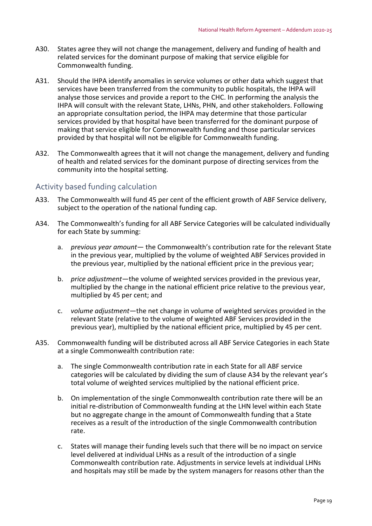- A30. States agree they will not change the management, delivery and funding of health and related services for the dominant purpose of making that service eligible for Commonwealth funding.
- A31. Should the IHPA identify anomalies in service volumes or other data which suggest that services have been transferred from the community to public hospitals, the IHPA will analyse those services and provide a report to the CHC. In performing the analysis the IHPA will consult with the relevant State, LHNs, PHN, and other stakeholders. Following an appropriate consultation period, the IHPA may determine that those particular services provided by that hospital have been transferred for the dominant purpose of making that service eligible for Commonwealth funding and those particular services provided by that hospital will not be eligible for Commonwealth funding.
- A32. The Commonwealth agrees that it will not change the management, delivery and funding of health and related services for the dominant purpose of directing services from the community into the hospital setting.

## Activity based funding calculation

- A33. The Commonwealth will fund 45 per cent of the efficient growth of ABF Service delivery, subject to the operation of the national funding cap.
- A34. The Commonwealth's funding for all ABF Service Categories will be calculated individually for each State by summing:
	- a. *previous year amount* the Commonwealth's contribution rate for the relevant State in the previous year, multiplied by the volume of weighted ABF Services provided in the previous year, multiplied by the national efficient price in the previous year;
	- b. *price adjustment*—the volume of weighted services provided in the previous year, multiplied by the change in the national efficient price relative to the previous year, multiplied by 45 per cent; and
	- c. *volume adjustment*—the net change in volume of weighted services provided in the relevant State (relative to the volume of weighted ABF Services provided in the previous year), multiplied by the national efficient price, multiplied by 45 per cent.
- A35. Commonwealth funding will be distributed across all ABF Service Categories in each State at a single Commonwealth contribution rate:
	- a. The single Commonwealth contribution rate in each State for all ABF service categories will be calculated by dividing the sum of clause A34 by the relevant year's total volume of weighted services multiplied by the national efficient price.
	- b. On implementation of the single Commonwealth contribution rate there will be an initial re‐distribution of Commonwealth funding at the LHN level within each State but no aggregate change in the amount of Commonwealth funding that a State receives as a result of the introduction of the single Commonwealth contribution rate.
	- c. States will manage their funding levels such that there will be no impact on service level delivered at individual LHNs as a result of the introduction of a single Commonwealth contribution rate. Adjustments in service levels at individual LHNs and hospitals may still be made by the system managers for reasons other than the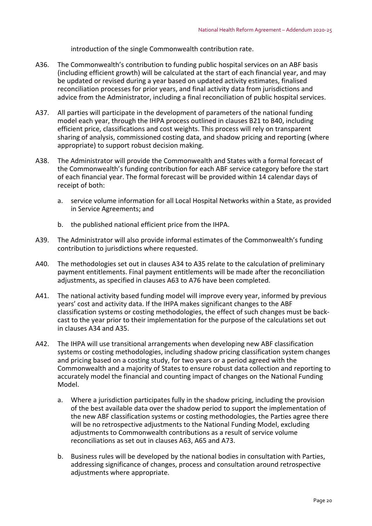introduction of the single Commonwealth contribution rate.

- A36. The Commonwealth's contribution to funding public hospital services on an ABF basis (including efficient growth) will be calculated at the start of each financial year, and may be updated or revised during a year based on updated activity estimates, finalised reconciliation processes for prior years, and final activity data from jurisdictions and advice from the Administrator, including a final reconciliation of public hospital services.
- A37. All parties will participate in the development of parameters of the national funding model each year, through the IHPA process outlined in clauses B21 to B40, including efficient price, classifications and cost weights. This process will rely on transparent sharing of analysis, commissioned costing data, and shadow pricing and reporting (where appropriate) to support robust decision making.
- A38. The Administrator will provide the Commonwealth and States with a formal forecast of the Commonwealth's funding contribution for each ABF service category before the start of each financial year. The formal forecast will be provided within 14 calendar days of receipt of both:
	- a. service volume information for all Local Hospital Networks within a State, as provided in Service Agreements; and
	- b. the published national efficient price from the IHPA.
- A39. The Administrator will also provide informal estimates of the Commonwealth's funding contribution to jurisdictions where requested.
- A40. The methodologies set out in clauses A34 to A35 relate to the calculation of preliminary payment entitlements. Final payment entitlements will be made after the reconciliation adjustments, as specified in clauses A63 to A76 have been completed.
- A41. The national activity based funding model will improve every year, informed by previous years' cost and activity data. If the IHPA makes significant changes to the ABF classification systems or costing methodologies, the effect of such changes must be back‐ cast to the year prior to their implementation for the purpose of the calculations set out in clauses A34 and A35.
- A42. The IHPA will use transitional arrangements when developing new ABF classification systems or costing methodologies, including shadow pricing classification system changes and pricing based on a costing study, for two years or a period agreed with the Commonwealth and a majority of States to ensure robust data collection and reporting to accurately model the financial and counting impact of changes on the National Funding Model.
	- a. Where a jurisdiction participates fully in the shadow pricing, including the provision of the best available data over the shadow period to support the implementation of the new ABF classification systems or costing methodologies, the Parties agree there will be no retrospective adjustments to the National Funding Model, excluding adjustments to Commonwealth contributions as a result of service volume reconciliations as set out in clauses A63, A65 and A73.
	- b. Business rules will be developed by the national bodies in consultation with Parties, addressing significance of changes, process and consultation around retrospective adjustments where appropriate.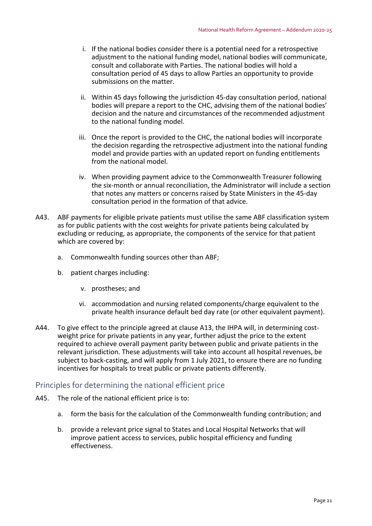- i. If the national bodies consider there is a potential need for a retrospective adjustment to the national funding model, national bodies will communicate, consult and collaborate with Parties. The national bodies will hold a consultation period of 45 days to allow Parties an opportunity to provide submissions on the matter.
- ii. Within 45 days following the jurisdiction 45‐day consultation period, national bodies will prepare a report to the CHC, advising them of the national bodies' decision and the nature and circumstances of the recommended adjustment to the national funding model.
- iii. Once the report is provided to the CHC, the national bodies will incorporate the decision regarding the retrospective adjustment into the national funding model and provide parties with an updated report on funding entitlements from the national model.
- iv. When providing payment advice to the Commonwealth Treasurer following the six‐month or annual reconciliation, the Administrator will include a section that notes any matters or concerns raised by State Ministers in the 45‐day consultation period in the formation of that advice.
- A43. ABF payments for eligible private patients must utilise the same ABF classification system as for public patients with the cost weights for private patients being calculated by excluding or reducing, as appropriate, the components of the service for that patient which are covered by:
	- a. Commonwealth funding sources other than ABF;
	- b. patient charges including:
		- v. prostheses; and
		- vi. accommodation and nursing related components/charge equivalent to the private health insurance default bed day rate (or other equivalent payment).
- A44. To give effect to the principle agreed at clause A13, the IHPA will, in determining costweight price for private patients in any year, further adjust the price to the extent required to achieve overall payment parity between public and private patients in the relevant jurisdiction. These adjustments will take into account all hospital revenues, be subject to back‐casting, and will apply from 1 July 2021, to ensure there are no funding incentives for hospitals to treat public or private patients differently.

## Principles for determining the national efficient price

- A45. The role of the national efficient price is to:
	- a. form the basis for the calculation of the Commonwealth funding contribution; and
	- b. provide a relevant price signal to States and Local Hospital Networks that will improve patient access to services, public hospital efficiency and funding effectiveness.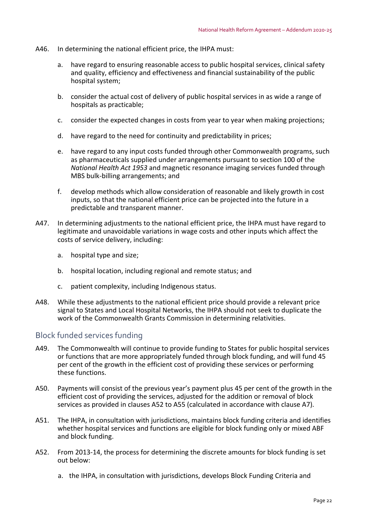- A46. In determining the national efficient price, the IHPA must:
	- a. have regard to ensuring reasonable access to public hospital services, clinical safety and quality, efficiency and effectiveness and financial sustainability of the public hospital system;
	- b. consider the actual cost of delivery of public hospital services in as wide a range of hospitals as practicable;
	- c. consider the expected changes in costs from year to year when making projections;
	- d. have regard to the need for continuity and predictability in prices;
	- e. have regard to any input costs funded through other Commonwealth programs, such as pharmaceuticals supplied under arrangements pursuant to section 100 of the *National Health Act 1953* and magnetic resonance imaging services funded through MBS bulk‐billing arrangements; and
	- f. develop methods which allow consideration of reasonable and likely growth in cost inputs, so that the national efficient price can be projected into the future in a predictable and transparent manner.
- A47. In determining adjustments to the national efficient price, the IHPA must have regard to legitimate and unavoidable variations in wage costs and other inputs which affect the costs of service delivery, including:
	- a. hospital type and size;
	- b. hospital location, including regional and remote status; and
	- c. patient complexity, including Indigenous status.
- A48. While these adjustments to the national efficient price should provide a relevant price signal to States and Local Hospital Networks, the IHPA should not seek to duplicate the work of the Commonwealth Grants Commission in determining relativities.

## Block funded services funding

- A49. The Commonwealth will continue to provide funding to States for public hospital services or functions that are more appropriately funded through block funding, and will fund 45 per cent of the growth in the efficient cost of providing these services or performing these functions.
- A50. Payments will consist of the previous year's payment plus 45 per cent of the growth in the efficient cost of providing the services, adjusted for the addition or removal of block services as provided in clauses A52 to A55 (calculated in accordance with clause A7).
- A51. The IHPA, in consultation with jurisdictions, maintains block funding criteria and identifies whether hospital services and functions are eligible for block funding only or mixed ABF and block funding.
- A52. From 2013‐14, the process for determining the discrete amounts for block funding is set out below:
	- a. the IHPA, in consultation with jurisdictions, develops Block Funding Criteria and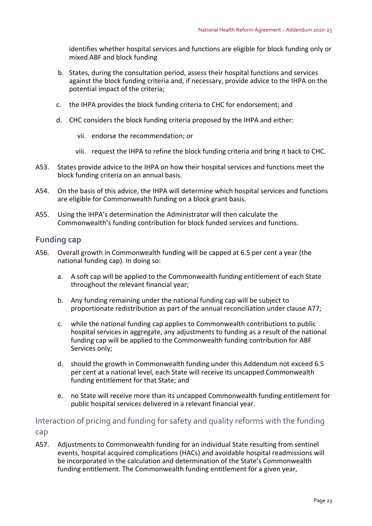identifies whether hospital services and functions are eligible for block funding only or mixed ABF and block funding

- b. States, during the consultation period, assess their hospital functions and services against the block funding criteria and, if necessary, provide advice to the IHPA on the potential impact of the criteria;
- c. the IHPA provides the block funding criteria to CHC for endorsement; and
- d. CHC considers the block funding criteria proposed by the IHPA and either:
	- vii. endorse the recommendation; or
	- viii. request the IHPA to refine the block funding criteria and bring it back to CHC.
- A53. States provide advice to the IHPA on how their hospital services and functions meet the block funding criteria on an annual basis.
- A54. On the basis of this advice, the IHPA will determine which hospital services and functions are eligible for Commonwealth funding on a block grant basis.
- A55. Using the IHPA's determination the Administrator will then calculate the Commonwealth's funding contribution for block funded services and functions.

## **Funding cap**

- A56. Overall growth in Commonwealth funding will be capped at 6.5 per cent a year (the national funding cap). In doing so:
	- a. A soft cap will be applied to the Commonwealth funding entitlement of each State throughout the relevant financial year;
	- b. Any funding remaining under the national funding cap will be subject to proportionate redistribution as part of the annual reconciliation under clause A77;
	- c. while the national funding cap applies to Commonwealth contributions to public hospital services in aggregate, any adjustments to funding as a result of the national funding cap will be applied to the Commonwealth funding contribution for ABF Services only;
	- d. should the growth in Commonwealth funding under this Addendum not exceed 6.5 per cent at a national level, each State will receive its uncapped Commonwealth funding entitlement for that State; and
	- e. no State will receive more than its uncapped Commonwealth funding entitlement for public hospital services delivered in a relevant financial year.

Interaction of pricing and funding for safety and quality reforms with the funding cap

A57. Adjustments to Commonwealth funding for an individual State resulting from sentinel events, hospital acquired complications (HACs) and avoidable hospital readmissions will be incorporated in the calculation and determination of the State's Commonwealth funding entitlement. The Commonwealth funding entitlement for a given year,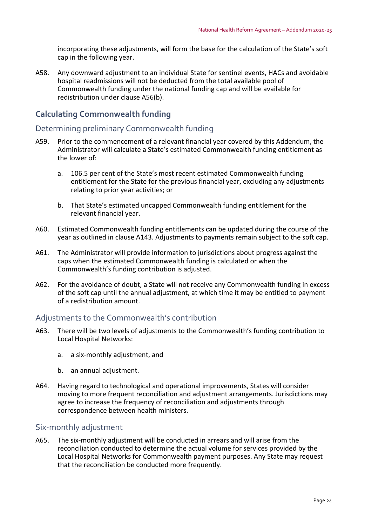incorporating these adjustments, will form the base for the calculation of the State's soft cap in the following year.

A58. Any downward adjustment to an individual State for sentinel events, HACs and avoidable hospital readmissions will not be deducted from the total available pool of Commonwealth funding under the national funding cap and will be available for redistribution under clause A56(b).

## **Calculating Commonwealth funding**

## Determining preliminary Commonwealth funding

- A59. Prior to the commencement of a relevant financial year covered by this Addendum, the Administrator will calculate a State's estimated Commonwealth funding entitlement as the lower of:
	- a. 106.5 per cent of the State's most recent estimated Commonwealth funding entitlement for the State for the previous financial year, excluding any adjustments relating to prior year activities; or
	- b. That State's estimated uncapped Commonwealth funding entitlement for the relevant financial year.
- A60. Estimated Commonwealth funding entitlements can be updated during the course of the year as outlined in clause A143. Adjustments to payments remain subject to the soft cap.
- A61. The Administrator will provide information to jurisdictions about progress against the caps when the estimated Commonwealth funding is calculated or when the Commonwealth's funding contribution is adjusted.
- A62. For the avoidance of doubt, a State will not receive any Commonwealth funding in excess of the soft cap until the annual adjustment, at which time it may be entitled to payment of a redistribution amount.

## Adjustments to the Commonwealth's contribution

- A63. There will be two levels of adjustments to the Commonwealth's funding contribution to Local Hospital Networks:
	- a. a six‐monthly adjustment, and
	- b. an annual adjustment.
- A64. Having regard to technological and operational improvements, States will consider moving to more frequent reconciliation and adjustment arrangements. Jurisdictions may agree to increase the frequency of reconciliation and adjustments through correspondence between health ministers.

## Six‐monthly adjustment

A65. The six‐monthly adjustment will be conducted in arrears and will arise from the reconciliation conducted to determine the actual volume for services provided by the Local Hospital Networks for Commonwealth payment purposes. Any State may request that the reconciliation be conducted more frequently.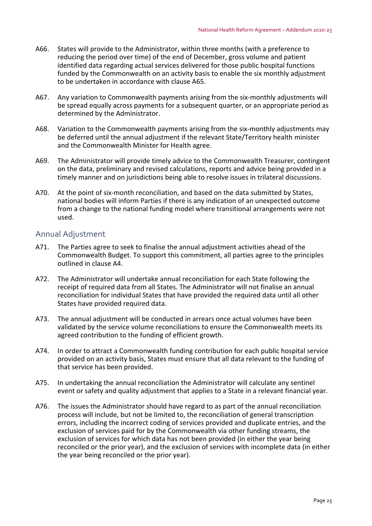- A66. States will provide to the Administrator, within three months (with a preference to reducing the period over time) of the end of December, gross volume and patient identified data regarding actual services delivered for those public hospital functions funded by the Commonwealth on an activity basis to enable the six monthly adjustment to be undertaken in accordance with clause A65.
- A67. Any variation to Commonwealth payments arising from the six-monthly adjustments will be spread equally across payments for a subsequent quarter, or an appropriate period as determined by the Administrator.
- A68. Variation to the Commonwealth payments arising from the six-monthly adjustments may be deferred until the annual adjustment if the relevant State/Territory health minister and the Commonwealth Minister for Health agree.
- A69. The Administrator will provide timely advice to the Commonwealth Treasurer, contingent on the data, preliminary and revised calculations, reports and advice being provided in a timely manner and on jurisdictions being able to resolve issues in trilateral discussions.
- A70. At the point of six-month reconciliation, and based on the data submitted by States, national bodies will inform Parties if there is any indication of an unexpected outcome from a change to the national funding model where transitional arrangements were not used.

## Annual Adjustment

- A71. The Parties agree to seek to finalise the annual adjustment activities ahead of the Commonwealth Budget. To support this commitment, all parties agree to the principles outlined in clause A4.
- A72. The Administrator will undertake annual reconciliation for each State following the receipt of required data from all States. The Administrator will not finalise an annual reconciliation for individual States that have provided the required data until all other States have provided required data.
- A73. The annual adjustment will be conducted in arrears once actual volumes have been validated by the service volume reconciliations to ensure the Commonwealth meets its agreed contribution to the funding of efficient growth.
- A74. In order to attract a Commonwealth funding contribution for each public hospital service provided on an activity basis, States must ensure that all data relevant to the funding of that service has been provided.
- A75. In undertaking the annual reconciliation the Administrator will calculate any sentinel event or safety and quality adjustment that applies to a State in a relevant financial year.
- A76. The issues the Administrator should have regard to as part of the annual reconciliation process will include, but not be limited to, the reconciliation of general transcription errors, including the incorrect coding of services provided and duplicate entries, and the exclusion of services paid for by the Commonwealth via other funding streams, the exclusion of services for which data has not been provided (in either the year being reconciled or the prior year), and the exclusion of services with incomplete data (in either the year being reconciled or the prior year).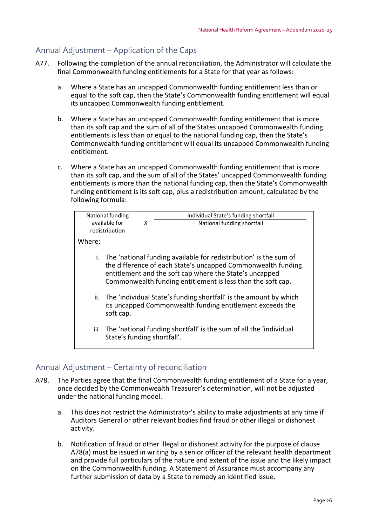## Annual Adjustment – Application of the Caps

- A77. Following the completion of the annual reconciliation, the Administrator will calculate the final Commonwealth funding entitlements for a State for that year as follows:
	- a. Where a State has an uncapped Commonwealth funding entitlement less than or equal to the soft cap, then the State's Commonwealth funding entitlement will equal its uncapped Commonwealth funding entitlement.
	- b. Where a State has an uncapped Commonwealth funding entitlement that is more than its soft cap and the sum of all of the States uncapped Commonwealth funding entitlements is less than or equal to the national funding cap, then the State's Commonwealth funding entitlement will equal its uncapped Commonwealth funding entitlement.
	- c. Where a State has an uncapped Commonwealth funding entitlement that is more than its soft cap, and the sum of all of the States' uncapped Commonwealth funding entitlements is more than the national funding cap, then the State's Commonwealth funding entitlement is its soft cap, plus a redistribution amount, calculated by the following formula:



## Annual Adjustment – Certainty of reconciliation

- A78. The Parties agree that the final Commonwealth funding entitlement of a State for a year, once decided by the Commonwealth Treasurer's determination, will not be adjusted under the national funding model.
	- a. This does not restrict the Administrator's ability to make adjustments at any time if Auditors General or other relevant bodies find fraud or other illegal or dishonest activity.
	- b. Notification of fraud or other illegal or dishonest activity for the purpose of clause A78(a) must be issued in writing by a senior officer of the relevant health department and provide full particulars of the nature and extent of the issue and the likely impact on the Commonwealth funding. A Statement of Assurance must accompany any further submission of data by a State to remedy an identified issue.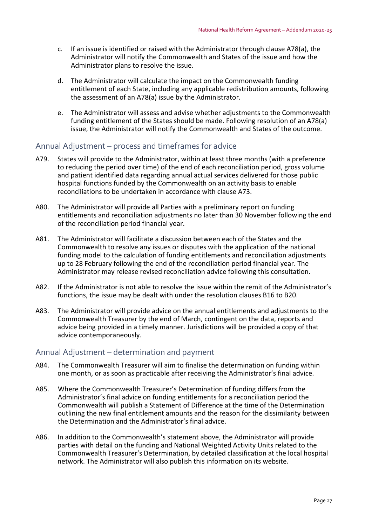- c. If an issue is identified or raised with the Administrator through clause A78(a), the Administrator will notify the Commonwealth and States of the issue and how the Administrator plans to resolve the issue.
- d. The Administrator will calculate the impact on the Commonwealth funding entitlement of each State, including any applicable redistribution amounts, following the assessment of an A78(a) issue by the Administrator.
- e. The Administrator will assess and advise whether adjustments to the Commonwealth funding entitlement of the States should be made. Following resolution of an A78(a) issue, the Administrator will notify the Commonwealth and States of the outcome.

## Annual Adjustment – process and timeframes for advice

- A79. States will provide to the Administrator, within at least three months (with a preference to reducing the period over time) of the end of each reconciliation period, gross volume and patient identified data regarding annual actual services delivered for those public hospital functions funded by the Commonwealth on an activity basis to enable reconciliations to be undertaken in accordance with clause A73.
- A80. The Administrator will provide all Parties with a preliminary report on funding entitlements and reconciliation adjustments no later than 30 November following the end of the reconciliation period financial year.
- A81. The Administrator will facilitate a discussion between each of the States and the Commonwealth to resolve any issues or disputes with the application of the national funding model to the calculation of funding entitlements and reconciliation adjustments up to 28 February following the end of the reconciliation period financial year. The Administrator may release revised reconciliation advice following this consultation.
- A82. If the Administrator is not able to resolve the issue within the remit of the Administrator's functions, the issue may be dealt with under the resolution clauses B16 to B20.
- A83. The Administrator will provide advice on the annual entitlements and adjustments to the Commonwealth Treasurer by the end of March, contingent on the data, reports and advice being provided in a timely manner. Jurisdictions will be provided a copy of that advice contemporaneously.

## Annual Adjustment – determination and payment

- A84. The Commonwealth Treasurer will aim to finalise the determination on funding within one month, or as soon as practicable after receiving the Administrator's final advice.
- A85. Where the Commonwealth Treasurer's Determination of funding differs from the Administrator's final advice on funding entitlements for a reconciliation period the Commonwealth will publish a Statement of Difference at the time of the Determination outlining the new final entitlement amounts and the reason for the dissimilarity between the Determination and the Administrator's final advice.
- A86. In addition to the Commonwealth's statement above, the Administrator will provide parties with detail on the funding and National Weighted Activity Units related to the Commonwealth Treasurer's Determination, by detailed classification at the local hospital network. The Administrator will also publish this information on its website.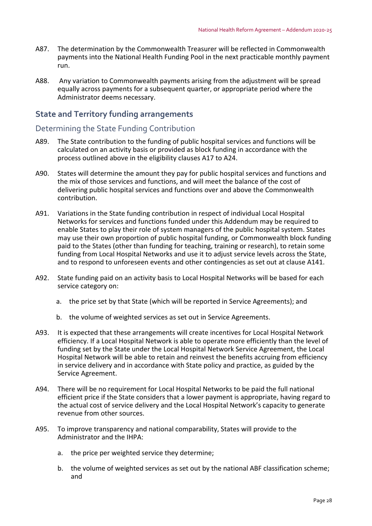- A87. The determination by the Commonwealth Treasurer will be reflected in Commonwealth payments into the National Health Funding Pool in the next practicable monthly payment run.
- A88. Any variation to Commonwealth payments arising from the adjustment will be spread equally across payments for a subsequent quarter, or appropriate period where the Administrator deems necessary.

## **State and Territory funding arrangements**

## Determining the State Funding Contribution

- A89. The State contribution to the funding of public hospital services and functions will be calculated on an activity basis or provided as block funding in accordance with the process outlined above in the eligibility clauses A17 to A24.
- A90. States will determine the amount they pay for public hospital services and functions and the mix of those services and functions, and will meet the balance of the cost of delivering public hospital services and functions over and above the Commonwealth contribution.
- A91. Variations in the State funding contribution in respect of individual Local Hospital Networks for services and functions funded under this Addendum may be required to enable States to play their role of system managers of the public hospital system. States may use their own proportion of public hospital funding, or Commonwealth block funding paid to the States (other than funding for teaching, training or research), to retain some funding from Local Hospital Networks and use it to adjust service levels across the State, and to respond to unforeseen events and other contingencies as set out at clause A141.
- A92. State funding paid on an activity basis to Local Hospital Networks will be based for each service category on:
	- a. the price set by that State (which will be reported in Service Agreements); and
	- b. the volume of weighted services as set out in Service Agreements.
- A93. It is expected that these arrangements will create incentives for Local Hospital Network efficiency. If a Local Hospital Network is able to operate more efficiently than the level of funding set by the State under the Local Hospital Network Service Agreement, the Local Hospital Network will be able to retain and reinvest the benefits accruing from efficiency in service delivery and in accordance with State policy and practice, as guided by the Service Agreement.
- A94. There will be no requirement for Local Hospital Networks to be paid the full national efficient price if the State considers that a lower payment is appropriate, having regard to the actual cost of service delivery and the Local Hospital Network's capacity to generate revenue from other sources.
- A95. To improve transparency and national comparability, States will provide to the Administrator and the IHPA:
	- a. the price per weighted service they determine;
	- b. the volume of weighted services as set out by the national ABF classification scheme; and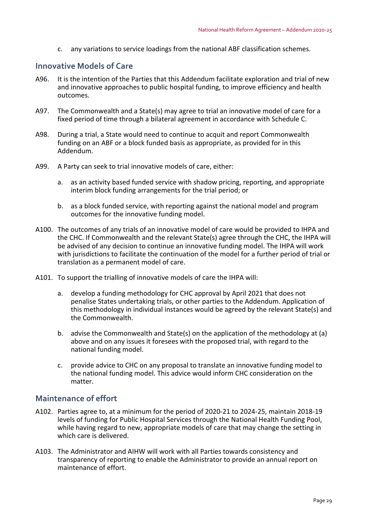c. any variations to service loadings from the national ABF classification schemes.

## **Innovative Models of Care**

- A96. It is the intention of the Parties that this Addendum facilitate exploration and trial of new and innovative approaches to public hospital funding, to improve efficiency and health outcomes.
- A97. The Commonwealth and a State(s) may agree to trial an innovative model of care for a fixed period of time through a bilateral agreement in accordance with Schedule C.
- A98. During a trial, a State would need to continue to acquit and report Commonwealth funding on an ABF or a block funded basis as appropriate, as provided for in this Addendum.
- A99. A Party can seek to trial innovative models of care, either:
	- a. as an activity based funded service with shadow pricing, reporting, and appropriate interim block funding arrangements for the trial period; or
	- b. as a block funded service, with reporting against the national model and program outcomes for the innovative funding model.
- A100. The outcomes of any trials of an innovative model of care would be provided to IHPA and the CHC. If Commonwealth and the relevant State(s) agree through the CHC, the IHPA will be advised of any decision to continue an innovative funding model. The IHPA will work with jurisdictions to facilitate the continuation of the model for a further period of trial or translation as a permanent model of care.
- A101. To support the trialling of innovative models of care the IHPA will:
	- a. develop a funding methodology for CHC approval by April 2021 that does not penalise States undertaking trials, or other parties to the Addendum. Application of this methodology in individual instances would be agreed by the relevant State(s) and the Commonwealth.
	- b. advise the Commonwealth and State(s) on the application of the methodology at (a) above and on any issues it foresees with the proposed trial, with regard to the national funding model.
	- c. provide advice to CHC on any proposal to translate an innovative funding model to the national funding model. This advice would inform CHC consideration on the matter.

## **Maintenance of effort**

- A102. Parties agree to, at a minimum for the period of 2020‐21 to 2024‐25, maintain 2018‐19 levels of funding for Public Hospital Services through the National Health Funding Pool, while having regard to new, appropriate models of care that may change the setting in which care is delivered.
- A103. The Administrator and AIHW will work with all Parties towards consistency and transparency of reporting to enable the Administrator to provide an annual report on maintenance of effort.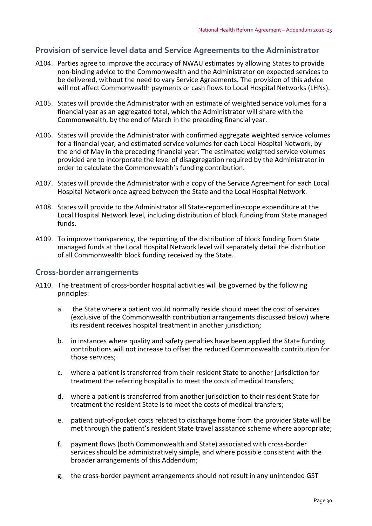## **Provision of service level data and Service Agreements to the Administrator**

- A104. Parties agree to improve the accuracy of NWAU estimates by allowing States to provide non‐binding advice to the Commonwealth and the Administrator on expected services to be delivered, without the need to vary Service Agreements. The provision of this advice will not affect Commonwealth payments or cash flows to Local Hospital Networks (LHNs).
- A105. States will provide the Administrator with an estimate of weighted service volumes for a financial year as an aggregated total, which the Administrator will share with the Commonwealth, by the end of March in the preceding financial year.
- A106. States will provide the Administrator with confirmed aggregate weighted service volumes for a financial year, and estimated service volumes for each Local Hospital Network, by the end of May in the preceding financial year. The estimated weighted service volumes provided are to incorporate the level of disaggregation required by the Administrator in order to calculate the Commonwealth's funding contribution.
- A107. States will provide the Administrator with a copy of the Service Agreement for each Local Hospital Network once agreed between the State and the Local Hospital Network.
- A108. States will provide to the Administrator all State‐reported in‐scope expenditure at the Local Hospital Network level, including distribution of block funding from State managed funds.
- A109. To improve transparency, the reporting of the distribution of block funding from State managed funds at the Local Hospital Network level will separately detail the distribution of all Commonwealth block funding received by the State.

#### **Cross‐border arrangements**

- A110. The treatment of cross‐border hospital activities will be governed by the following principles:
	- a. the State where a patient would normally reside should meet the cost of services (exclusive of the Commonwealth contribution arrangements discussed below) where its resident receives hospital treatment in another jurisdiction;
	- b. in instances where quality and safety penalties have been applied the State funding contributions will not increase to offset the reduced Commonwealth contribution for those services;
	- c. where a patient is transferred from their resident State to another jurisdiction for treatment the referring hospital is to meet the costs of medical transfers;
	- d. where a patient is transferred from another jurisdiction to their resident State for treatment the resident State is to meet the costs of medical transfers;
	- e. patient out‐of‐pocket costs related to discharge home from the provider State will be met through the patient's resident State travel assistance scheme where appropriate;
	- f. payment flows (both Commonwealth and State) associated with cross‐border services should be administratively simple, and where possible consistent with the broader arrangements of this Addendum;
	- g. the cross‐border payment arrangements should not result in any unintended GST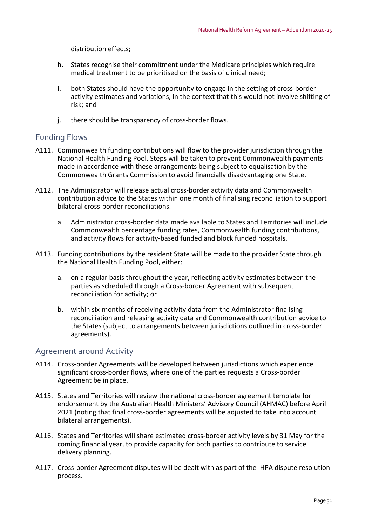distribution effects;

- h. States recognise their commitment under the Medicare principles which require medical treatment to be prioritised on the basis of clinical need;
- i. both States should have the opportunity to engage in the setting of cross‐border activity estimates and variations, in the context that this would not involve shifting of risk; and
- j. there should be transparency of cross-border flows.

## Funding Flows

- A111. Commonwealth funding contributions will flow to the provider jurisdiction through the National Health Funding Pool. Steps will be taken to prevent Commonwealth payments made in accordance with these arrangements being subject to equalisation by the Commonwealth Grants Commission to avoid financially disadvantaging one State.
- A112. The Administrator will release actual cross‐border activity data and Commonwealth contribution advice to the States within one month of finalising reconciliation to support bilateral cross‐border reconciliations.
	- a. Administrator cross‐border data made available to States and Territories will include Commonwealth percentage funding rates, Commonwealth funding contributions, and activity flows for activity‐based funded and block funded hospitals.
- A113. Funding contributions by the resident State will be made to the provider State through the National Health Funding Pool, either:
	- a. on a regular basis throughout the year, reflecting activity estimates between the parties as scheduled through a Cross‐border Agreement with subsequent reconciliation for activity; or
	- b. within six‐months of receiving activity data from the Administrator finalising reconciliation and releasing activity data and Commonwealth contribution advice to the States (subject to arrangements between jurisdictions outlined in cross‐border agreements).

## Agreement around Activity

- A114. Cross-border Agreements will be developed between jurisdictions which experience significant cross-border flows, where one of the parties requests a Cross-border Agreement be in place.
- A115. States and Territories will review the national cross-border agreement template for endorsement by the Australian Health Ministers' Advisory Council (AHMAC) before April 2021 (noting that final cross‐border agreements will be adjusted to take into account bilateral arrangements).
- A116. States and Territories will share estimated cross-border activity levels by 31 May for the coming financial year, to provide capacity for both parties to contribute to service delivery planning.
- A117. Cross-border Agreement disputes will be dealt with as part of the IHPA dispute resolution process.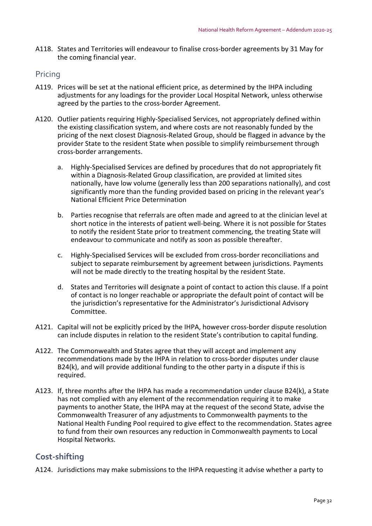A118. States and Territories will endeavour to finalise cross‐border agreements by 31 May for the coming financial year.

## Pricing

- A119. Prices will be set at the national efficient price, as determined by the IHPA including adjustments for any loadings for the provider Local Hospital Network, unless otherwise agreed by the parties to the cross‐border Agreement.
- A120. Outlier patients requiring Highly‐Specialised Services, not appropriately defined within the existing classification system, and where costs are not reasonably funded by the pricing of the next closest Diagnosis‐Related Group, should be flagged in advance by the provider State to the resident State when possible to simplify reimbursement through cross‐border arrangements.
	- a. Highly‐Specialised Services are defined by procedures that do not appropriately fit within a Diagnosis‐Related Group classification, are provided at limited sites nationally, have low volume (generally less than 200 separations nationally), and cost significantly more than the funding provided based on pricing in the relevant year's National Efficient Price Determination
	- b. Parties recognise that referrals are often made and agreed to at the clinician level at short notice in the interests of patient well‐being. Where it is not possible for States to notify the resident State prior to treatment commencing, the treating State will endeavour to communicate and notify as soon as possible thereafter.
	- c. Highly‐Specialised Services will be excluded from cross‐border reconciliations and subject to separate reimbursement by agreement between jurisdictions. Payments will not be made directly to the treating hospital by the resident State.
	- d. States and Territories will designate a point of contact to action this clause. If a point of contact is no longer reachable or appropriate the default point of contact will be the jurisdiction's representative for the Administrator's Jurisdictional Advisory Committee.
- A121. Capital will not be explicitly priced by the IHPA, however cross-border dispute resolution can include disputes in relation to the resident State's contribution to capital funding.
- A122. The Commonwealth and States agree that they will accept and implement any recommendations made by the IHPA in relation to cross‐border disputes under clause B24(k), and will provide additional funding to the other party in a dispute if this is required.
- A123. If, three months after the IHPA has made a recommendation under clause B24(k), a State has not complied with any element of the recommendation requiring it to make payments to another State, the IHPA may at the request of the second State, advise the Commonwealth Treasurer of any adjustments to Commonwealth payments to the National Health Funding Pool required to give effect to the recommendation. States agree to fund from their own resources any reduction in Commonwealth payments to Local Hospital Networks.

## **Cost‐shifting**

A124. Jurisdictions may make submissions to the IHPA requesting it advise whether a party to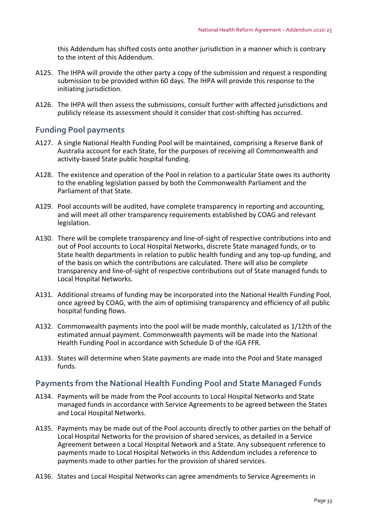this Addendum has shifted costs onto another jurisdiction in a manner which is contrary to the intent of this Addendum.

- A125. The IHPA will provide the other party a copy of the submission and request a responding submission to be provided within 60 days. The IHPA will provide this response to the initiating jurisdiction.
- A126. The IHPA will then assess the submissions, consult further with affected jurisdictions and publicly release its assessment should it consider that cost‐shifting has occurred.

## **Funding Pool payments**

- A127. A single National Health Funding Pool will be maintained, comprising a Reserve Bank of Australia account for each State, for the purposes of receiving all Commonwealth and activity‐based State public hospital funding.
- A128. The existence and operation of the Pool in relation to a particular State owes its authority to the enabling legislation passed by both the Commonwealth Parliament and the Parliament of that State.
- A129. Pool accounts will be audited, have complete transparency in reporting and accounting, and will meet all other transparency requirements established by COAG and relevant legislation.
- A130. There will be complete transparency and line‐of‐sight of respective contributions into and out of Pool accounts to Local Hospital Networks, discrete State managed funds, or to State health departments in relation to public health funding and any top-up funding, and of the basis on which the contributions are calculated. There will also be complete transparency and line‐of‐sight of respective contributions out of State managed funds to Local Hospital Networks.
- A131. Additional streams of funding may be incorporated into the National Health Funding Pool, once agreed by COAG, with the aim of optimising transparency and efficiency of all public hospital funding flows.
- A132. Commonwealth payments into the pool will be made monthly, calculated as 1/12th of the estimated annual payment. Commonwealth payments will be made into the National Health Funding Pool in accordance with Schedule D of the IGA FFR.
- A133. States will determine when State payments are made into the Pool and State managed funds.

## **Payments from the National Health Funding Pool and State Managed Funds**

- A134. Payments will be made from the Pool accounts to Local Hospital Networks and State managed funds in accordance with Service Agreements to be agreed between the States and Local Hospital Networks.
- A135. Payments may be made out of the Pool accounts directly to other parties on the behalf of Local Hospital Networks for the provision of shared services, as detailed in a Service Agreement between a Local Hospital Network and a State. Any subsequent reference to payments made to Local Hospital Networks in this Addendum includes a reference to payments made to other parties for the provision of shared services.
- A136. States and Local Hospital Networks can agree amendments to Service Agreements in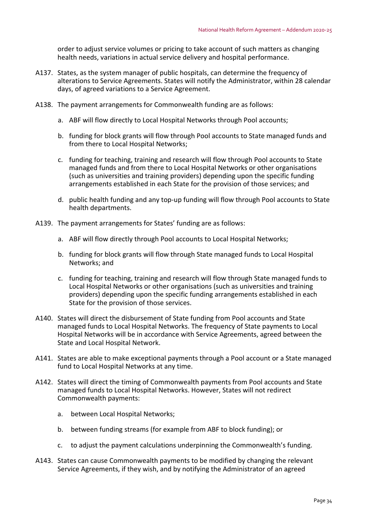order to adjust service volumes or pricing to take account of such matters as changing health needs, variations in actual service delivery and hospital performance.

- A137. States, as the system manager of public hospitals, can determine the frequency of alterations to Service Agreements. States will notify the Administrator, within 28 calendar days, of agreed variations to a Service Agreement.
- A138. The payment arrangements for Commonwealth funding are as follows:
	- a. ABF will flow directly to Local Hospital Networks through Pool accounts;
	- b. funding for block grants will flow through Pool accounts to State managed funds and from there to Local Hospital Networks;
	- c. funding for teaching, training and research will flow through Pool accounts to State managed funds and from there to Local Hospital Networks or other organisations (such as universities and training providers) depending upon the specific funding arrangements established in each State for the provision of those services; and
	- d. public health funding and any top‐up funding will flow through Pool accounts to State health departments.
- A139. The payment arrangements for States' funding are as follows:
	- a. ABF will flow directly through Pool accounts to Local Hospital Networks;
	- b. funding for block grants will flow through State managed funds to Local Hospital Networks; and
	- c. funding for teaching, training and research will flow through State managed funds to Local Hospital Networks or other organisations (such as universities and training providers) depending upon the specific funding arrangements established in each State for the provision of those services.
- A140. States will direct the disbursement of State funding from Pool accounts and State managed funds to Local Hospital Networks. The frequency of State payments to Local Hospital Networks will be in accordance with Service Agreements, agreed between the State and Local Hospital Network.
- A141. States are able to make exceptional payments through a Pool account or a State managed fund to Local Hospital Networks at any time.
- A142. States will direct the timing of Commonwealth payments from Pool accounts and State managed funds to Local Hospital Networks. However, States will not redirect Commonwealth payments:
	- a. between Local Hospital Networks;
	- b. between funding streams (for example from ABF to block funding); or
	- c. to adjust the payment calculations underpinning the Commonwealth's funding.
- A143. States can cause Commonwealth payments to be modified by changing the relevant Service Agreements, if they wish, and by notifying the Administrator of an agreed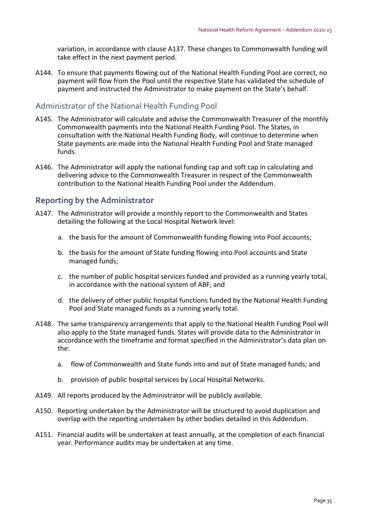variation, in accordance with clause A137. These changes to Commonwealth funding will take effect in the next payment period.

A144. To ensure that payments flowing out of the National Health Funding Pool are correct, no payment will flow from the Pool until the respective State has validated the schedule of payment and instructed the Administrator to make payment on the State's behalf.

## Administrator of the National Health Funding Pool

- A145. The Administrator will calculate and advise the Commonwealth Treasurer of the monthly Commonwealth payments into the National Health Funding Pool. The States, in consultation with the National Health Funding Body, will continue to determine when State payments are made into the National Health Funding Pool and State managed funds.
- A146. The Administrator will apply the national funding cap and soft cap in calculating and delivering advice to the Commonwealth Treasurer in respect of the Commonwealth contribution to the National Health Funding Pool under the Addendum.

## **Reporting by the Administrator**

- A147. The Administrator will provide a monthly report to the Commonwealth and States detailing the following at the Local Hospital Network level:
	- a. the basis for the amount of Commonwealth funding flowing into Pool accounts;
	- b. the basis for the amount of State funding flowing into Pool accounts and State managed funds;
	- c. the number of public hospital services funded and provided as a running yearly total, in accordance with the national system of ABF; and
	- d. the delivery of other public hospital functions funded by the National Health Funding Pool and State managed funds as a running yearly total.
- A148. The same transparency arrangements that apply to the National Health Funding Pool will also apply to the State managed funds. States will provide data to the Administrator in accordance with the timeframe and format specified in the Administrator's data plan on the:
	- a. flow of Commonwealth and State funds into and out of State managed funds; and
	- b. provision of public hospital services by Local Hospital Networks.
- A149. All reports produced by the Administrator will be publicly available.
- A150. Reporting undertaken by the Administrator will be structured to avoid duplication and overlap with the reporting undertaken by other bodies detailed in this Addendum.
- A151. Financial audits will be undertaken at least annually, at the completion of each financial year. Performance audits may be undertaken at any time.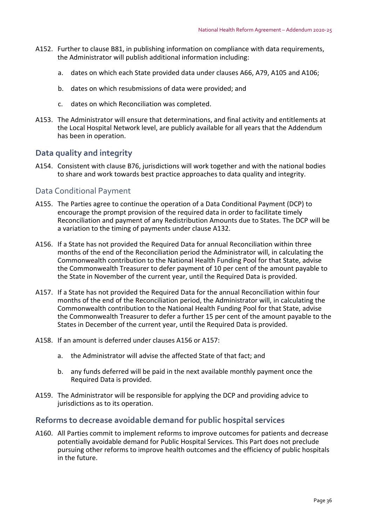- A152. Further to clause B81, in publishing information on compliance with data requirements, the Administrator will publish additional information including:
	- a. dates on which each State provided data under clauses A66, A79, A105 and A106;
	- b. dates on which resubmissions of data were provided; and
	- c. dates on which Reconciliation was completed.
- A153. The Administrator will ensure that determinations, and final activity and entitlements at the Local Hospital Network level, are publicly available for all years that the Addendum has been in operation.

## **Data quality and integrity**

A154. Consistent with clause B76, jurisdictions will work together and with the national bodies to share and work towards best practice approaches to data quality and integrity.

## Data Conditional Payment

- A155. The Parties agree to continue the operation of a Data Conditional Payment (DCP) to encourage the prompt provision of the required data in order to facilitate timely Reconciliation and payment of any Redistribution Amounts due to States. The DCP will be a variation to the timing of payments under clause A132.
- A156. If a State has not provided the Required Data for annual Reconciliation within three months of the end of the Reconciliation period the Administrator will, in calculating the Commonwealth contribution to the National Health Funding Pool for that State, advise the Commonwealth Treasurer to defer payment of 10 per cent of the amount payable to the State in November of the current year, until the Required Data is provided.
- A157. If a State has not provided the Required Data for the annual Reconciliation within four months of the end of the Reconciliation period, the Administrator will, in calculating the Commonwealth contribution to the National Health Funding Pool for that State, advise the Commonwealth Treasurer to defer a further 15 per cent of the amount payable to the States in December of the current year, until the Required Data is provided.
- A158. If an amount is deferred under clauses A156 or A157:
	- a. the Administrator will advise the affected State of that fact; and
	- b. any funds deferred will be paid in the next available monthly payment once the Required Data is provided.
- A159. The Administrator will be responsible for applying the DCP and providing advice to jurisdictions as to its operation.

## **Reforms to decrease avoidable demand for public hospital services**

A160. All Parties commit to implement reforms to improve outcomes for patients and decrease potentially avoidable demand for Public Hospital Services. This Part does not preclude pursuing other reforms to improve health outcomes and the efficiency of public hospitals in the future.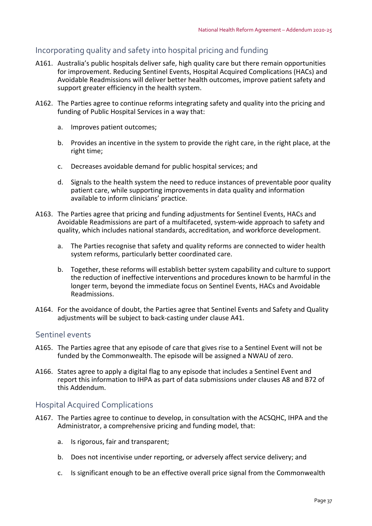# Incorporating quality and safety into hospital pricing and funding

- A161. Australia's public hospitals deliver safe, high quality care but there remain opportunities for improvement. Reducing Sentinel Events, Hospital Acquired Complications (HACs) and Avoidable Readmissions will deliver better health outcomes, improve patient safety and support greater efficiency in the health system.
- A162. The Parties agree to continue reforms integrating safety and quality into the pricing and funding of Public Hospital Services in a way that:
	- a. Improves patient outcomes;
	- b. Provides an incentive in the system to provide the right care, in the right place, at the right time;
	- c. Decreases avoidable demand for public hospital services; and
	- d. Signals to the health system the need to reduce instances of preventable poor quality patient care, while supporting improvements in data quality and information available to inform clinicians' practice.
- A163. The Parties agree that pricing and funding adjustments for Sentinel Events, HACs and Avoidable Readmissions are part of a multifaceted, system‐wide approach to safety and quality, which includes national standards, accreditation, and workforce development.
	- a. The Parties recognise that safety and quality reforms are connected to wider health system reforms, particularly better coordinated care.
	- b. Together, these reforms will establish better system capability and culture to support the reduction of ineffective interventions and procedures known to be harmful in the longer term, beyond the immediate focus on Sentinel Events, HACs and Avoidable Readmissions.
- A164. For the avoidance of doubt, the Parties agree that Sentinel Events and Safety and Quality adjustments will be subject to back‐casting under clause A41.

## Sentinel events

- A165. The Parties agree that any episode of care that gives rise to a Sentinel Event will not be funded by the Commonwealth. The episode will be assigned a NWAU of zero.
- A166. States agree to apply a digital flag to any episode that includes a Sentinel Event and report this information to IHPA as part of data submissions under clauses A8 and B72 of this Addendum.

# Hospital Acquired Complications

- A167. The Parties agree to continue to develop, in consultation with the ACSQHC, IHPA and the Administrator, a comprehensive pricing and funding model, that:
	- a. Is rigorous, fair and transparent;
	- b. Does not incentivise under reporting, or adversely affect service delivery; and
	- c. Is significant enough to be an effective overall price signal from the Commonwealth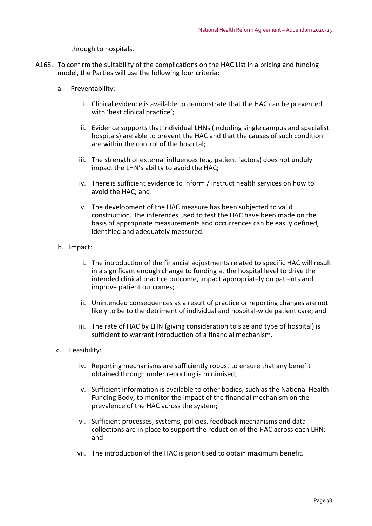through to hospitals.

- A168. To confirm the suitability of the complications on the HAC List in a pricing and funding model, the Parties will use the following four criteria:
	- a. Preventability:
		- i. Clinical evidence is available to demonstrate that the HAC can be prevented with 'best clinical practice';
		- ii. Evidence supports that individual LHNs (including single campus and specialist hospitals) are able to prevent the HAC and that the causes of such condition are within the control of the hospital;
		- iii. The strength of external influences (e.g. patient factors) does not unduly impact the LHN's ability to avoid the HAC;
		- iv. There is sufficient evidence to inform / instruct health services on how to avoid the HAC; and
		- v. The development of the HAC measure has been subjected to valid construction. The inferences used to test the HAC have been made on the basis of appropriate measurements and occurrences can be easily defined, identified and adequately measured.
	- b. Impact:
		- i. The introduction of the financial adjustments related to specific HAC will result in a significant enough change to funding at the hospital level to drive the intended clinical practice outcome, impact appropriately on patients and improve patient outcomes;
		- ii. Unintended consequences as a result of practice or reporting changes are not likely to be to the detriment of individual and hospital‐wide patient care; and
		- iii. The rate of HAC by LHN (giving consideration to size and type of hospital) is sufficient to warrant introduction of a financial mechanism.
	- c. Feasibility:
		- iv. Reporting mechanisms are sufficiently robust to ensure that any benefit obtained through under reporting is minimised;
		- v. Sufficient information is available to other bodies, such as the National Health Funding Body, to monitor the impact of the financial mechanism on the prevalence of the HAC across the system;
		- vi. Sufficient processes, systems, policies, feedback mechanisms and data collections are in place to support the reduction of the HAC across each LHN; and
		- vii. The introduction of the HAC is prioritised to obtain maximum benefit.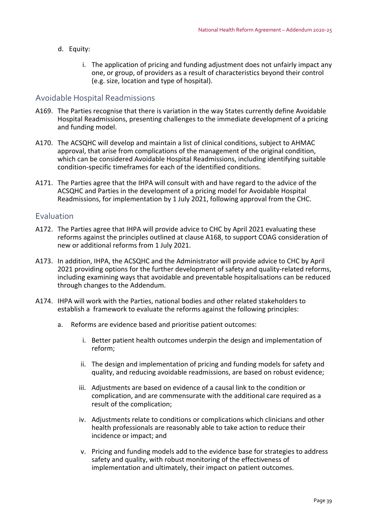- d. Equity:
	- i. The application of pricing and funding adjustment does not unfairly impact any one, or group, of providers as a result of characteristics beyond their control (e.g. size, location and type of hospital).

### Avoidable Hospital Readmissions

- A169. The Parties recognise that there is variation in the way States currently define Avoidable Hospital Readmissions, presenting challenges to the immediate development of a pricing and funding model.
- A170. The ACSQHC will develop and maintain a list of clinical conditions, subject to AHMAC approval, that arise from complications of the management of the original condition, which can be considered Avoidable Hospital Readmissions, including identifying suitable condition‐specific timeframes for each of the identified conditions.
- A171. The Parties agree that the IHPA will consult with and have regard to the advice of the ACSQHC and Parties in the development of a pricing model for Avoidable Hospital Readmissions, for implementation by 1 July 2021, following approval from the CHC.

### Evaluation

- A172. The Parties agree that IHPA will provide advice to CHC by April 2021 evaluating these reforms against the principles outlined at clause A168, to support COAG consideration of new or additional reforms from 1 July 2021.
- A173. In addition, IHPA, the ACSQHC and the Administrator will provide advice to CHC by April 2021 providing options for the further development of safety and quality-related reforms, including examining ways that avoidable and preventable hospitalisations can be reduced through changes to the Addendum.
- A174. IHPA will work with the Parties, national bodies and other related stakeholders to establish a framework to evaluate the reforms against the following principles:
	- a. Reforms are evidence based and prioritise patient outcomes:
		- i. Better patient health outcomes underpin the design and implementation of reform;
		- ii. The design and implementation of pricing and funding models for safety and quality, and reducing avoidable readmissions, are based on robust evidence;
		- iii. Adjustments are based on evidence of a causal link to the condition or complication, and are commensurate with the additional care required as a result of the complication;
		- iv. Adjustments relate to conditions or complications which clinicians and other health professionals are reasonably able to take action to reduce their incidence or impact; and
		- v. Pricing and funding models add to the evidence base for strategies to address safety and quality, with robust monitoring of the effectiveness of implementation and ultimately, their impact on patient outcomes.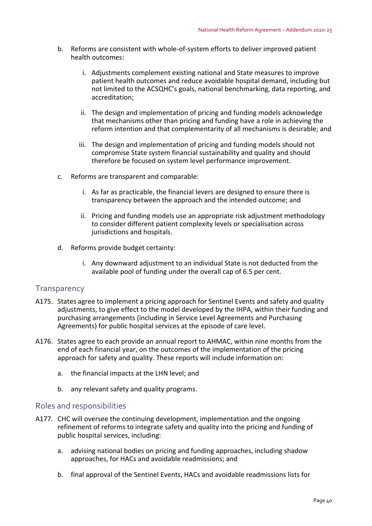- b. Reforms are consistent with whole‐of‐system efforts to deliver improved patient health outcomes:
	- i. Adjustments complement existing national and State measures to improve patient health outcomes and reduce avoidable hospital demand, including but not limited to the ACSQHC's goals, national benchmarking, data reporting, and accreditation;
	- ii. The design and implementation of pricing and funding models acknowledge that mechanisms other than pricing and funding have a role in achieving the reform intention and that complementarity of all mechanisms is desirable; and
	- iii. The design and implementation of pricing and funding models should not compromise State system financial sustainability and quality and should therefore be focused on system level performance improvement.
- c. Reforms are transparent and comparable:
	- i. As far as practicable, the financial levers are designed to ensure there is transparency between the approach and the intended outcome; and
	- ii. Pricing and funding models use an appropriate risk adjustment methodology to consider different patient complexity levels or specialisation across jurisdictions and hospitals.
- d. Reforms provide budget certainty:
	- i. Any downward adjustment to an individual State is not deducted from the available pool of funding under the overall cap of 6.5 per cent.

## **Transparency**

- A175. States agree to implement a pricing approach for Sentinel Events and safety and quality adjustments, to give effect to the model developed by the IHPA, within their funding and purchasing arrangements (including in Service Level Agreements and Purchasing Agreements) for public hospital services at the episode of care level.
- A176. States agree to each provide an annual report to AHMAC, within nine months from the end of each financial year, on the outcomes of the implementation of the pricing approach for safety and quality. These reports will include information on:
	- a. the financial impacts at the LHN level; and
	- b. any relevant safety and quality programs.

#### Roles and responsibilities

- A177. CHC will oversee the continuing development, implementation and the ongoing refinement of reforms to integrate safety and quality into the pricing and funding of public hospital services, including:
	- a. advising national bodies on pricing and funding approaches, including shadow approaches, for HACs and avoidable readmissions; and
	- b. final approval of the Sentinel Events, HACs and avoidable readmissions lists for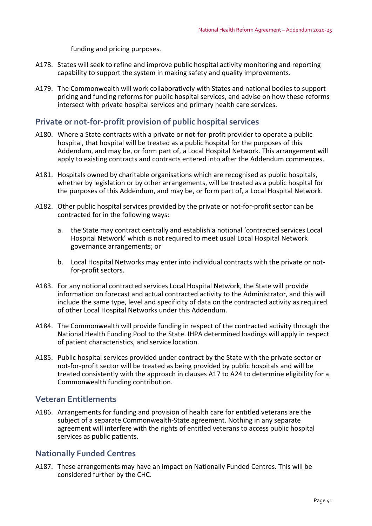funding and pricing purposes.

- A178. States will seek to refine and improve public hospital activity monitoring and reporting capability to support the system in making safety and quality improvements.
- A179. The Commonwealth will work collaboratively with States and national bodies to support pricing and funding reforms for public hospital services, and advise on how these reforms intersect with private hospital services and primary health care services.

## **Private or not‐for‐profit provision of public hospital services**

- A180. Where a State contracts with a private or not‐for‐profit provider to operate a public hospital, that hospital will be treated as a public hospital for the purposes of this Addendum, and may be, or form part of, a Local Hospital Network. This arrangement will apply to existing contracts and contracts entered into after the Addendum commences.
- A181. Hospitals owned by charitable organisations which are recognised as public hospitals, whether by legislation or by other arrangements, will be treated as a public hospital for the purposes of this Addendum, and may be, or form part of, a Local Hospital Network.
- A182. Other public hospital services provided by the private or not‐for‐profit sector can be contracted for in the following ways:
	- a. the State may contract centrally and establish a notional 'contracted services Local Hospital Network' which is not required to meet usual Local Hospital Network governance arrangements; or
	- b. Local Hospital Networks may enter into individual contracts with the private or not‐ for‐profit sectors.
- A183. For any notional contracted services Local Hospital Network, the State will provide information on forecast and actual contracted activity to the Administrator, and this will include the same type, level and specificity of data on the contracted activity as required of other Local Hospital Networks under this Addendum.
- A184. The Commonwealth will provide funding in respect of the contracted activity through the National Health Funding Pool to the State. IHPA determined loadings will apply in respect of patient characteristics, and service location.
- A185. Public hospital services provided under contract by the State with the private sector or not‐for‐profit sector will be treated as being provided by public hospitals and will be treated consistently with the approach in clauses A17 to A24 to determine eligibility for a Commonwealth funding contribution.

# **Veteran Entitlements**

A186. Arrangements for funding and provision of health care for entitled veterans are the subject of a separate Commonwealth‐State agreement. Nothing in any separate agreement will interfere with the rights of entitled veterans to access public hospital services as public patients.

# **Nationally Funded Centres**

A187. These arrangements may have an impact on Nationally Funded Centres. This will be considered further by the CHC.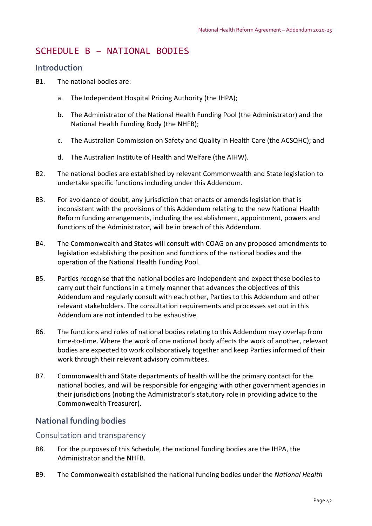# SCHEDULE B – NATIONAL BODIES

## **Introduction**

- B1. The national bodies are:
	- a. The Independent Hospital Pricing Authority (the IHPA);
	- b. The Administrator of the National Health Funding Pool (the Administrator) and the National Health Funding Body (the NHFB);
	- c. The Australian Commission on Safety and Quality in Health Care (the ACSQHC); and
	- d. The Australian Institute of Health and Welfare (the AIHW).
- B2. The national bodies are established by relevant Commonwealth and State legislation to undertake specific functions including under this Addendum.
- B3. For avoidance of doubt, any jurisdiction that enacts or amends legislation that is inconsistent with the provisions of this Addendum relating to the new National Health Reform funding arrangements, including the establishment, appointment, powers and functions of the Administrator, will be in breach of this Addendum.
- B4. The Commonwealth and States will consult with COAG on any proposed amendments to legislation establishing the position and functions of the national bodies and the operation of the National Health Funding Pool.
- B5. Parties recognise that the national bodies are independent and expect these bodies to carry out their functions in a timely manner that advances the objectives of this Addendum and regularly consult with each other, Parties to this Addendum and other relevant stakeholders. The consultation requirements and processes set out in this Addendum are not intended to be exhaustive.
- B6. The functions and roles of national bodies relating to this Addendum may overlap from time-to-time. Where the work of one national body affects the work of another, relevant bodies are expected to work collaboratively together and keep Parties informed of their work through their relevant advisory committees.
- B7. Commonwealth and State departments of health will be the primary contact for the national bodies, and will be responsible for engaging with other government agencies in their jurisdictions (noting the Administrator's statutory role in providing advice to the Commonwealth Treasurer).

# **National funding bodies**

## Consultation and transparency

- B8. For the purposes of this Schedule, the national funding bodies are the IHPA, the Administrator and the NHFB.
- B9. The Commonwealth established the national funding bodies under the *National Health*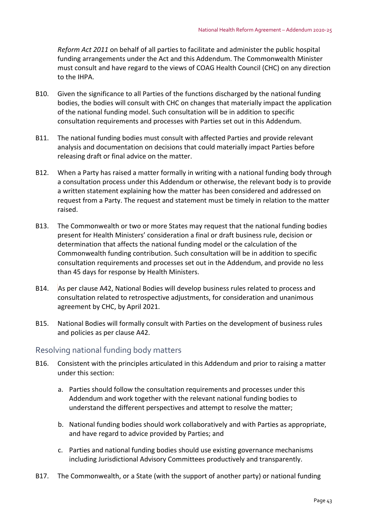*Reform Act 2011* on behalf of all parties to facilitate and administer the public hospital funding arrangements under the Act and this Addendum. The Commonwealth Minister must consult and have regard to the views of COAG Health Council (CHC) on any direction to the IHPA.

- B10. Given the significance to all Parties of the functions discharged by the national funding bodies, the bodies will consult with CHC on changes that materially impact the application of the national funding model. Such consultation will be in addition to specific consultation requirements and processes with Parties set out in this Addendum.
- B11. The national funding bodies must consult with affected Parties and provide relevant analysis and documentation on decisions that could materially impact Parties before releasing draft or final advice on the matter.
- B12. When a Party has raised a matter formally in writing with a national funding body through a consultation process under this Addendum or otherwise, the relevant body is to provide a written statement explaining how the matter has been considered and addressed on request from a Party. The request and statement must be timely in relation to the matter raised.
- B13. The Commonwealth or two or more States may request that the national funding bodies present for Health Ministers' consideration a final or draft business rule, decision or determination that affects the national funding model or the calculation of the Commonwealth funding contribution. Such consultation will be in addition to specific consultation requirements and processes set out in the Addendum, and provide no less than 45 days for response by Health Ministers.
- B14. As per clause A42, National Bodies will develop business rules related to process and consultation related to retrospective adjustments, for consideration and unanimous agreement by CHC, by April 2021.
- B15. National Bodies will formally consult with Parties on the development of business rules and policies as per clause A42.

#### Resolving national funding body matters

- B16. Consistent with the principles articulated in this Addendum and prior to raising a matter under this section:
	- a. Parties should follow the consultation requirements and processes under this Addendum and work together with the relevant national funding bodies to understand the different perspectives and attempt to resolve the matter;
	- b. National funding bodies should work collaboratively and with Parties as appropriate, and have regard to advice provided by Parties; and
	- c. Parties and national funding bodies should use existing governance mechanisms including Jurisdictional Advisory Committees productively and transparently.
- B17. The Commonwealth, or a State (with the support of another party) or national funding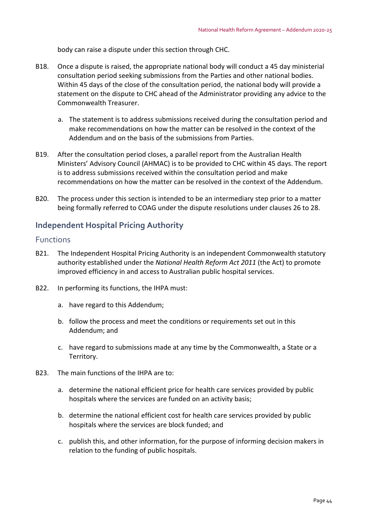body can raise a dispute under this section through CHC.

- B18. Once a dispute is raised, the appropriate national body will conduct a 45 day ministerial consultation period seeking submissions from the Parties and other national bodies. Within 45 days of the close of the consultation period, the national body will provide a statement on the dispute to CHC ahead of the Administrator providing any advice to the Commonwealth Treasurer.
	- a. The statement is to address submissions received during the consultation period and make recommendations on how the matter can be resolved in the context of the Addendum and on the basis of the submissions from Parties.
- B19. After the consultation period closes, a parallel report from the Australian Health Ministers' Advisory Council (AHMAC) is to be provided to CHC within 45 days. The report is to address submissions received within the consultation period and make recommendations on how the matter can be resolved in the context of the Addendum.
- B20. The process under this section is intended to be an intermediary step prior to a matter being formally referred to COAG under the dispute resolutions under clauses 26 to 28.

# **Independent Hospital Pricing Authority**

#### Functions

- B21. The Independent Hospital Pricing Authority is an independent Commonwealth statutory authority established under the *National Health Reform Act 2011* (the Act) to promote improved efficiency in and access to Australian public hospital services.
- B22. In performing its functions, the IHPA must:
	- a. have regard to this Addendum;
	- b. follow the process and meet the conditions or requirements set out in this Addendum; and
	- c. have regard to submissions made at any time by the Commonwealth, a State or a Territory.
- B23. The main functions of the IHPA are to:
	- a. determine the national efficient price for health care services provided by public hospitals where the services are funded on an activity basis;
	- b. determine the national efficient cost for health care services provided by public hospitals where the services are block funded; and
	- c. publish this, and other information, for the purpose of informing decision makers in relation to the funding of public hospitals.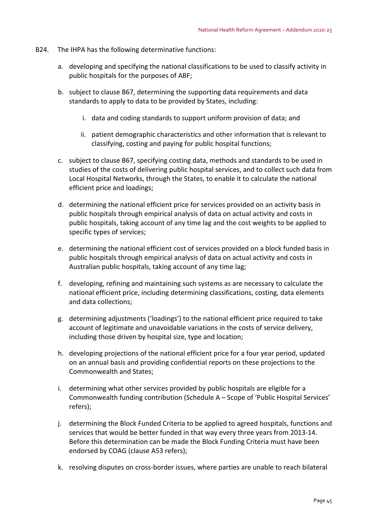- B24. The IHPA has the following determinative functions:
	- a. developing and specifying the national classifications to be used to classify activity in public hospitals for the purposes of ABF;
	- b. subject to clause B67, determining the supporting data requirements and data standards to apply to data to be provided by States, including:
		- i. data and coding standards to support uniform provision of data; and
		- ii. patient demographic characteristics and other information that is relevant to classifying, costing and paying for public hospital functions;
	- c. subject to clause B67, specifying costing data, methods and standards to be used in studies of the costs of delivering public hospital services, and to collect such data from Local Hospital Networks, through the States, to enable it to calculate the national efficient price and loadings;
	- d. determining the national efficient price for services provided on an activity basis in public hospitals through empirical analysis of data on actual activity and costs in public hospitals, taking account of any time lag and the cost weights to be applied to specific types of services;
	- e. determining the national efficient cost of services provided on a block funded basis in public hospitals through empirical analysis of data on actual activity and costs in Australian public hospitals, taking account of any time lag;
	- f. developing, refining and maintaining such systems as are necessary to calculate the national efficient price, including determining classifications, costing, data elements and data collections;
	- g. determining adjustments ('loadings') to the national efficient price required to take account of legitimate and unavoidable variations in the costs of service delivery, including those driven by hospital size, type and location;
	- h. developing projections of the national efficient price for a four year period, updated on an annual basis and providing confidential reports on these projections to the Commonwealth and States;
	- i. determining what other services provided by public hospitals are eligible for a Commonwealth funding contribution (Schedule A – Scope of 'Public Hospital Services' refers);
	- j. determining the Block Funded Criteria to be applied to agreed hospitals, functions and services that would be better funded in that way every three years from 2013‐14. Before this determination can be made the Block Funding Criteria must have been endorsed by COAG (clause A53 refers);
	- k. resolving disputes on cross-border issues, where parties are unable to reach bilateral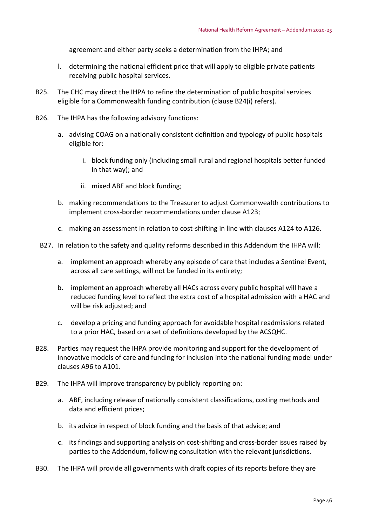agreement and either party seeks a determination from the IHPA; and

- l. determining the national efficient price that will apply to eligible private patients receiving public hospital services.
- B25. The CHC may direct the IHPA to refine the determination of public hospital services eligible for a Commonwealth funding contribution (clause B24(i) refers).
- B26. The IHPA has the following advisory functions:
	- a. advising COAG on a nationally consistent definition and typology of public hospitals eligible for:
		- i. block funding only (including small rural and regional hospitals better funded in that way); and
		- ii. mixed ABF and block funding;
	- b. making recommendations to the Treasurer to adjust Commonwealth contributions to implement cross-border recommendations under clause A123;
	- c. making an assessment in relation to cost‐shifting in line with clauses A124 to A126.
	- B27. In relation to the safety and quality reforms described in this Addendum the IHPA will:
		- a. implement an approach whereby any episode of care that includes a Sentinel Event, across all care settings, will not be funded in its entirety;
		- b. implement an approach whereby all HACs across every public hospital will have a reduced funding level to reflect the extra cost of a hospital admission with a HAC and will be risk adjusted; and
		- c. develop a pricing and funding approach for avoidable hospital readmissions related to a prior HAC, based on a set of definitions developed by the ACSQHC.
- B28. Parties may request the IHPA provide monitoring and support for the development of innovative models of care and funding for inclusion into the national funding model under clauses A96 to A101.
- B29. The IHPA will improve transparency by publicly reporting on:
	- a. ABF, including release of nationally consistent classifications, costing methods and data and efficient prices;
	- b. its advice in respect of block funding and the basis of that advice; and
	- c. its findings and supporting analysis on cost‐shifting and cross‐border issues raised by parties to the Addendum, following consultation with the relevant jurisdictions.
- B30. The IHPA will provide all governments with draft copies of its reports before they are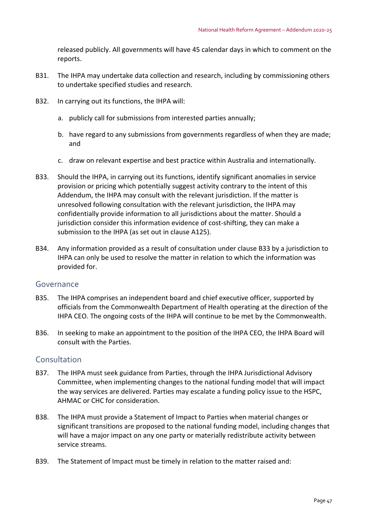released publicly. All governments will have 45 calendar days in which to comment on the reports.

- B31. The IHPA may undertake data collection and research, including by commissioning others to undertake specified studies and research.
- B32. In carrying out its functions, the IHPA will:
	- a. publicly call for submissions from interested parties annually;
	- b. have regard to any submissions from governments regardless of when they are made; and
	- c. draw on relevant expertise and best practice within Australia and internationally.
- B33. Should the IHPA, in carrying out its functions, identify significant anomalies in service provision or pricing which potentially suggest activity contrary to the intent of this Addendum, the IHPA may consult with the relevant jurisdiction. If the matter is unresolved following consultation with the relevant jurisdiction, the IHPA may confidentially provide information to all jurisdictions about the matter. Should a jurisdiction consider this information evidence of cost‐shifting, they can make a submission to the IHPA (as set out in clause A125).
- B34. Any information provided as a result of consultation under clause B33 by a jurisdiction to IHPA can only be used to resolve the matter in relation to which the information was provided for.

#### Governance

- B35. The IHPA comprises an independent board and chief executive officer, supported by officials from the Commonwealth Department of Health operating at the direction of the IHPA CEO. The ongoing costs of the IHPA will continue to be met by the Commonwealth.
- B36. In seeking to make an appointment to the position of the IHPA CEO, the IHPA Board will consult with the Parties.

#### Consultation

- B37. The IHPA must seek guidance from Parties, through the IHPA Jurisdictional Advisory Committee, when implementing changes to the national funding model that will impact the way services are delivered. Parties may escalate a funding policy issue to the HSPC, AHMAC or CHC for consideration.
- B38. The IHPA must provide a Statement of Impact to Parties when material changes or significant transitions are proposed to the national funding model, including changes that will have a major impact on any one party or materially redistribute activity between service streams.
- B39. The Statement of Impact must be timely in relation to the matter raised and: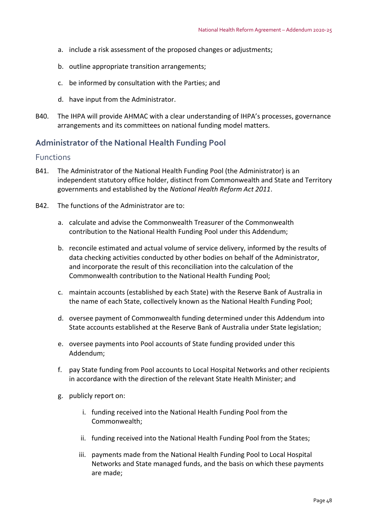- a. include a risk assessment of the proposed changes or adjustments;
- b. outline appropriate transition arrangements;
- c. be informed by consultation with the Parties; and
- d. have input from the Administrator.
- B40. The IHPA will provide AHMAC with a clear understanding of IHPA's processes, governance arrangements and its committees on national funding model matters.

# **Administrator of the National Health Funding Pool**

#### Functions

- B41. The Administrator of the National Health Funding Pool (the Administrator) is an independent statutory office holder, distinct from Commonwealth and State and Territory governments and established by the *National Health Reform Act 2011*.
- B42. The functions of the Administrator are to:
	- a. calculate and advise the Commonwealth Treasurer of the Commonwealth contribution to the National Health Funding Pool under this Addendum;
	- b. reconcile estimated and actual volume of service delivery, informed by the results of data checking activities conducted by other bodies on behalf of the Administrator, and incorporate the result of this reconciliation into the calculation of the Commonwealth contribution to the National Health Funding Pool;
	- c. maintain accounts (established by each State) with the Reserve Bank of Australia in the name of each State, collectively known as the National Health Funding Pool;
	- d. oversee payment of Commonwealth funding determined under this Addendum into State accounts established at the Reserve Bank of Australia under State legislation;
	- e. oversee payments into Pool accounts of State funding provided under this Addendum;
	- f. pay State funding from Pool accounts to Local Hospital Networks and other recipients in accordance with the direction of the relevant State Health Minister; and
	- g. publicly report on:
		- i. funding received into the National Health Funding Pool from the Commonwealth;
		- ii. funding received into the National Health Funding Pool from the States;
		- iii. payments made from the National Health Funding Pool to Local Hospital Networks and State managed funds, and the basis on which these payments are made;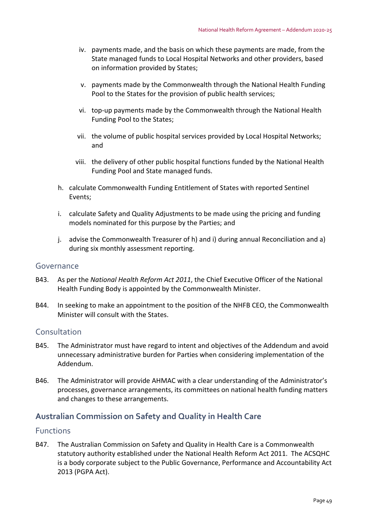- iv. payments made, and the basis on which these payments are made, from the State managed funds to Local Hospital Networks and other providers, based on information provided by States;
- v. payments made by the Commonwealth through the National Health Funding Pool to the States for the provision of public health services;
- vi. top‐up payments made by the Commonwealth through the National Health Funding Pool to the States;
- vii. the volume of public hospital services provided by Local Hospital Networks; and
- viii. the delivery of other public hospital functions funded by the National Health Funding Pool and State managed funds.
- h. calculate Commonwealth Funding Entitlement of States with reported Sentinel Events;
- i. calculate Safety and Quality Adjustments to be made using the pricing and funding models nominated for this purpose by the Parties; and
- j. advise the Commonwealth Treasurer of h) and i) during annual Reconciliation and a) during six monthly assessment reporting.

## Governance

- B43. As per the *National Health Reform Act 2011*, the Chief Executive Officer of the National Health Funding Body is appointed by the Commonwealth Minister.
- B44. In seeking to make an appointment to the position of the NHFB CEO, the Commonwealth Minister will consult with the States.

## Consultation

- B45. The Administrator must have regard to intent and objectives of the Addendum and avoid unnecessary administrative burden for Parties when considering implementation of the Addendum.
- B46. The Administrator will provide AHMAC with a clear understanding of the Administrator's processes, governance arrangements, its committees on national health funding matters and changes to these arrangements.

# **Australian Commission on Safety and Quality in Health Care**

#### Functions

B47. The Australian Commission on Safety and Quality in Health Care is a Commonwealth statutory authority established under the National Health Reform Act 2011. The ACSQHC is a body corporate subject to the Public Governance, Performance and Accountability Act 2013 (PGPA Act).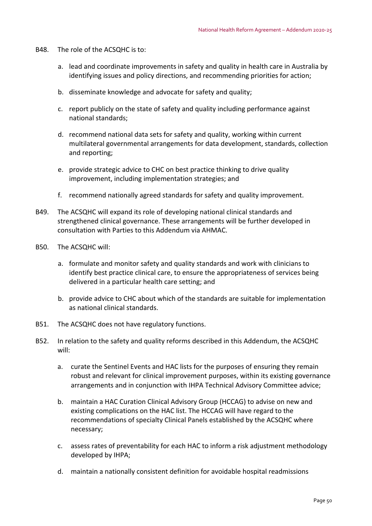- B48. The role of the ACSQHC is to:
	- a. lead and coordinate improvements in safety and quality in health care in Australia by identifying issues and policy directions, and recommending priorities for action;
	- b. disseminate knowledge and advocate for safety and quality;
	- c. report publicly on the state of safety and quality including performance against national standards;
	- d. recommend national data sets for safety and quality, working within current multilateral governmental arrangements for data development, standards, collection and reporting;
	- e. provide strategic advice to CHC on best practice thinking to drive quality improvement, including implementation strategies; and
	- f. recommend nationally agreed standards for safety and quality improvement.
- B49. The ACSQHC will expand its role of developing national clinical standards and strengthened clinical governance. These arrangements will be further developed in consultation with Parties to this Addendum via AHMAC.
- B50. The ACSQHC will:
	- a. formulate and monitor safety and quality standards and work with clinicians to identify best practice clinical care, to ensure the appropriateness of services being delivered in a particular health care setting; and
	- b. provide advice to CHC about which of the standards are suitable for implementation as national clinical standards.
- B51. The ACSQHC does not have regulatory functions.
- B52. In relation to the safety and quality reforms described in this Addendum, the ACSQHC will:
	- a. curate the Sentinel Events and HAC lists for the purposes of ensuring they remain robust and relevant for clinical improvement purposes, within its existing governance arrangements and in conjunction with IHPA Technical Advisory Committee advice;
	- b. maintain a HAC Curation Clinical Advisory Group (HCCAG) to advise on new and existing complications on the HAC list. The HCCAG will have regard to the recommendations of specialty Clinical Panels established by the ACSQHC where necessary;
	- c. assess rates of preventability for each HAC to inform a risk adjustment methodology developed by IHPA;
	- d. maintain a nationally consistent definition for avoidable hospital readmissions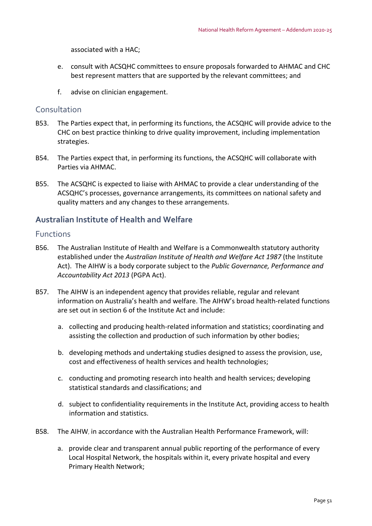associated with a HAC;

- e. consult with ACSQHC committees to ensure proposals forwarded to AHMAC and CHC best represent matters that are supported by the relevant committees; and
- f. advise on clinician engagement.

## Consultation

- B53. The Parties expect that, in performing its functions, the ACSQHC will provide advice to the CHC on best practice thinking to drive quality improvement, including implementation strategies.
- B54. The Parties expect that, in performing its functions, the ACSQHC will collaborate with Parties via AHMAC.
- B55. The ACSQHC is expected to liaise with AHMAC to provide a clear understanding of the ACSQHC's processes, governance arrangements, its committees on national safety and quality matters and any changes to these arrangements.

## **Australian Institute of Health and Welfare**

### Functions

- B56. The Australian Institute of Health and Welfare is a Commonwealth statutory authority established under the *Australian Institute of Health and Welfare Act 1987* (the Institute Act). The AIHW is a body corporate subject to the *Public Governance, Performance and Accountability Act 2013* (PGPA Act).
- B57. The AIHW is an independent agency that provides reliable, regular and relevant information on Australia's health and welfare. The AIHW's broad health‐related functions are set out in section 6 of the Institute Act and include:
	- a. collecting and producing health‐related information and statistics; coordinating and assisting the collection and production of such information by other bodies;
	- b. developing methods and undertaking studies designed to assess the provision, use, cost and effectiveness of health services and health technologies;
	- c. conducting and promoting research into health and health services; developing statistical standards and classifications; and
	- d. subject to confidentiality requirements in the Institute Act, providing access to health information and statistics.
- B58. The AIHW, in accordance with the Australian Health Performance Framework, will:
	- a. provide clear and transparent annual public reporting of the performance of every Local Hospital Network, the hospitals within it, every private hospital and every Primary Health Network;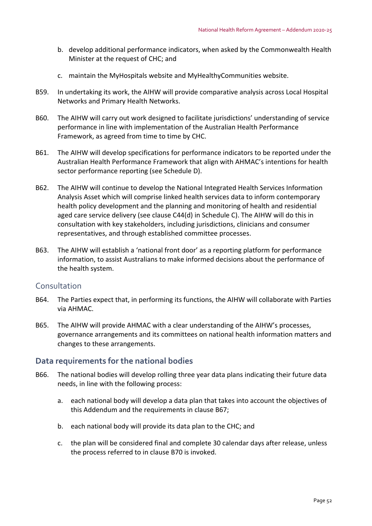- b. develop additional performance indicators, when asked by the Commonwealth Health Minister at the request of CHC; and
- c. maintain the MyHospitals website and MyHealthyCommunities website.
- B59. In undertaking its work, the AIHW will provide comparative analysis across Local Hospital Networks and Primary Health Networks.
- B60. The AIHW will carry out work designed to facilitate jurisdictions' understanding of service performance in line with implementation of the Australian Health Performance Framework, as agreed from time to time by CHC.
- B61. The AIHW will develop specifications for performance indicators to be reported under the Australian Health Performance Framework that align with AHMAC's intentions for health sector performance reporting (see Schedule D).
- B62. The AIHW will continue to develop the National Integrated Health Services Information Analysis Asset which will comprise linked health services data to inform contemporary health policy development and the planning and monitoring of health and residential aged care service delivery (see clause C44(d) in Schedule C). The AIHW will do this in consultation with key stakeholders, including jurisdictions, clinicians and consumer representatives, and through established committee processes.
- B63. The AIHW will establish a 'national front door' as a reporting platform for performance information, to assist Australians to make informed decisions about the performance of the health system.

### **Consultation**

- B64. The Parties expect that, in performing its functions, the AIHW will collaborate with Parties via AHMAC.
- B65. The AIHW will provide AHMAC with a clear understanding of the AIHW's processes, governance arrangements and its committees on national health information matters and changes to these arrangements.

## **Data requirements for the national bodies**

- B66. The national bodies will develop rolling three year data plans indicating their future data needs, in line with the following process:
	- a. each national body will develop a data plan that takes into account the objectives of this Addendum and the requirements in clause B67;
	- b. each national body will provide its data plan to the CHC; and
	- c. the plan will be considered final and complete 30 calendar days after release, unless the process referred to in clause B70 is invoked.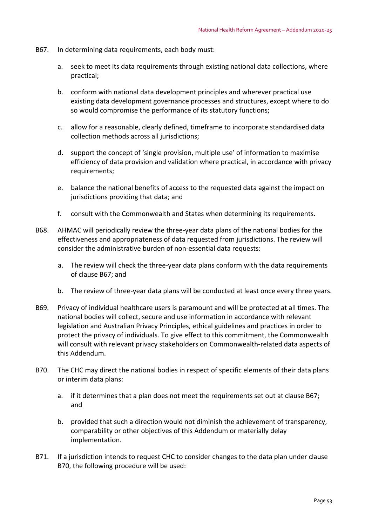- B67. In determining data requirements, each body must:
	- a. seek to meet its data requirements through existing national data collections, where practical;
	- b. conform with national data development principles and wherever practical use existing data development governance processes and structures, except where to do so would compromise the performance of its statutory functions;
	- c. allow for a reasonable, clearly defined, timeframe to incorporate standardised data collection methods across all jurisdictions;
	- d. support the concept of 'single provision, multiple use' of information to maximise efficiency of data provision and validation where practical, in accordance with privacy requirements;
	- e. balance the national benefits of access to the requested data against the impact on jurisdictions providing that data; and
	- f. consult with the Commonwealth and States when determining its requirements.
- B68. AHMAC will periodically review the three‐year data plans of the national bodies for the effectiveness and appropriateness of data requested from jurisdictions. The review will consider the administrative burden of non‐essential data requests:
	- a. The review will check the three‐year data plans conform with the data requirements of clause B67; and
	- b. The review of three‐year data plans will be conducted at least once every three years.
- B69. Privacy of individual healthcare users is paramount and will be protected at all times. The national bodies will collect, secure and use information in accordance with relevant legislation and Australian Privacy Principles, ethical guidelines and practices in order to protect the privacy of individuals. To give effect to this commitment, the Commonwealth will consult with relevant privacy stakeholders on Commonwealth‐related data aspects of this Addendum.
- B70. The CHC may direct the national bodies in respect of specific elements of their data plans or interim data plans:
	- a. if it determines that a plan does not meet the requirements set out at clause B67; and
	- b. provided that such a direction would not diminish the achievement of transparency, comparability or other objectives of this Addendum or materially delay implementation.
- B71. If a jurisdiction intends to request CHC to consider changes to the data plan under clause B70, the following procedure will be used: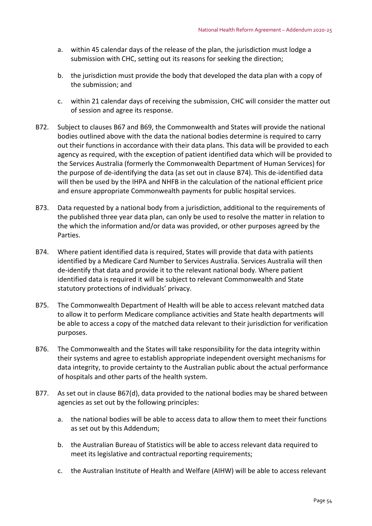- a. within 45 calendar days of the release of the plan, the jurisdiction must lodge a submission with CHC, setting out its reasons for seeking the direction;
- b. the jurisdiction must provide the body that developed the data plan with a copy of the submission; and
- c. within 21 calendar days of receiving the submission, CHC will consider the matter out of session and agree its response.
- B72. Subject to clauses B67 and B69, the Commonwealth and States will provide the national bodies outlined above with the data the national bodies determine is required to carry out their functions in accordance with their data plans. This data will be provided to each agency as required, with the exception of patient identified data which will be provided to the Services Australia (formerly the Commonwealth Department of Human Services) for the purpose of de‐identifying the data (as set out in clause B74). This de‐identified data will then be used by the IHPA and NHFB in the calculation of the national efficient price and ensure appropriate Commonwealth payments for public hospital services.
- B73. Data requested by a national body from a jurisdiction, additional to the requirements of the published three year data plan, can only be used to resolve the matter in relation to the which the information and/or data was provided, or other purposes agreed by the Parties.
- B74. Where patient identified data is required, States will provide that data with patients identified by a Medicare Card Number to Services Australia. Services Australia will then de‐identify that data and provide it to the relevant national body. Where patient identified data is required it will be subject to relevant Commonwealth and State statutory protections of individuals' privacy.
- B75. The Commonwealth Department of Health will be able to access relevant matched data to allow it to perform Medicare compliance activities and State health departments will be able to access a copy of the matched data relevant to their jurisdiction for verification purposes.
- B76. The Commonwealth and the States will take responsibility for the data integrity within their systems and agree to establish appropriate independent oversight mechanisms for data integrity, to provide certainty to the Australian public about the actual performance of hospitals and other parts of the health system.
- B77. As set out in clause B67(d), data provided to the national bodies may be shared between agencies as set out by the following principles:
	- a. the national bodies will be able to access data to allow them to meet their functions as set out by this Addendum;
	- b. the Australian Bureau of Statistics will be able to access relevant data required to meet its legislative and contractual reporting requirements;
	- c. the Australian Institute of Health and Welfare (AIHW) will be able to access relevant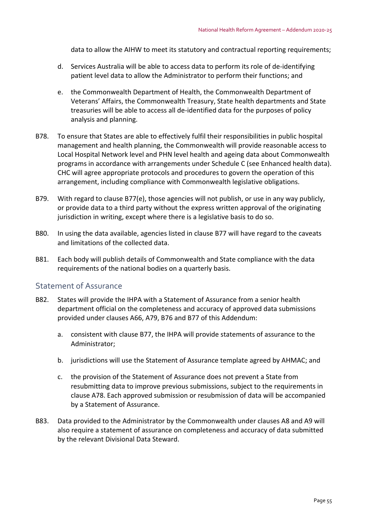data to allow the AIHW to meet its statutory and contractual reporting requirements;

- d. Services Australia will be able to access data to perform its role of de‐identifying patient level data to allow the Administrator to perform their functions; and
- e. the Commonwealth Department of Health, the Commonwealth Department of Veterans' Affairs, the Commonwealth Treasury, State health departments and State treasuries will be able to access all de‐identified data for the purposes of policy analysis and planning.
- B78. To ensure that States are able to effectively fulfil their responsibilities in public hospital management and health planning, the Commonwealth will provide reasonable access to Local Hospital Network level and PHN level health and ageing data about Commonwealth programs in accordance with arrangements under Schedule C (see Enhanced health data). CHC will agree appropriate protocols and procedures to govern the operation of this arrangement, including compliance with Commonwealth legislative obligations.
- B79. With regard to clause B77(e), those agencies will not publish, or use in any way publicly, or provide data to a third party without the express written approval of the originating jurisdiction in writing, except where there is a legislative basis to do so.
- B80. In using the data available, agencies listed in clause B77 will have regard to the caveats and limitations of the collected data.
- B81. Each body will publish details of Commonwealth and State compliance with the data requirements of the national bodies on a quarterly basis.

### Statement of Assurance

- B82. States will provide the IHPA with a Statement of Assurance from a senior health department official on the completeness and accuracy of approved data submissions provided under clauses A66, A79, B76 and B77 of this Addendum:
	- a. consistent with clause B77, the IHPA will provide statements of assurance to the Administrator;
	- b. jurisdictions will use the Statement of Assurance template agreed by AHMAC; and
	- c. the provision of the Statement of Assurance does not prevent a State from resubmitting data to improve previous submissions, subject to the requirements in clause A78. Each approved submission or resubmission of data will be accompanied by a Statement of Assurance.
- B83. Data provided to the Administrator by the Commonwealth under clauses A8 and A9 will also require a statement of assurance on completeness and accuracy of data submitted by the relevant Divisional Data Steward.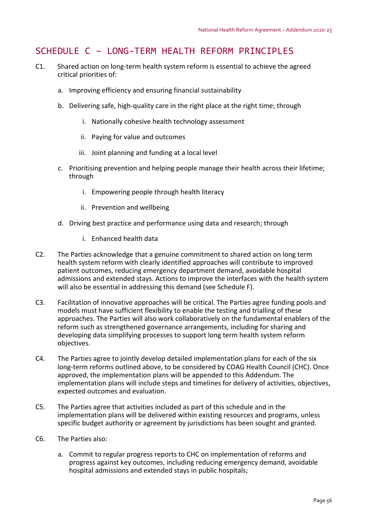# SCHEDULE C – LONG‐TERM HEALTH REFORM PRINCIPLES

- C1. Shared action on long‐term health system reform is essential to achieve the agreed critical priorities of:
	- a. Improving efficiency and ensuring financial sustainability
	- b. Delivering safe, high‐quality care in the right place at the right time; through
		- i. Nationally cohesive health technology assessment
		- ii. Paying for value and outcomes
		- iii. Joint planning and funding at a local level
	- c. Prioritising prevention and helping people manage their health across their lifetime; through
		- i. Empowering people through health literacy
		- ii. Prevention and wellbeing
	- d. Driving best practice and performance using data and research; through
		- i. Enhanced health data
- C2. The Parties acknowledge that a genuine commitment to shared action on long term health system reform with clearly identified approaches will contribute to improved patient outcomes, reducing emergency department demand, avoidable hospital admissions and extended stays. Actions to improve the interfaces with the health system will also be essential in addressing this demand (see Schedule F).
- C3. Facilitation of innovative approaches will be critical. The Parties agree funding pools and models must have sufficient flexibility to enable the testing and trialling of these approaches. The Parties will also work collaboratively on the fundamental enablers of the reform such as strengthened governance arrangements, including for sharing and developing data simplifying processes to support long term health system reform objectives.
- C4. The Parties agree to jointly develop detailed implementation plans for each of the six long‐term reforms outlined above, to be considered by COAG Health Council (CHC). Once approved, the implementation plans will be appended to this Addendum. The implementation plans will include steps and timelines for delivery of activities, objectives, expected outcomes and evaluation.
- C5. The Parties agree that activities included as part of this schedule and in the implementation plans will be delivered within existing resources and programs, unless specific budget authority or agreement by jurisdictions has been sought and granted.
- C6. The Parties also:
	- a. Commit to regular progress reports to CHC on implementation of reforms and progress against key outcomes, including reducing emergency demand, avoidable hospital admissions and extended stays in public hospitals;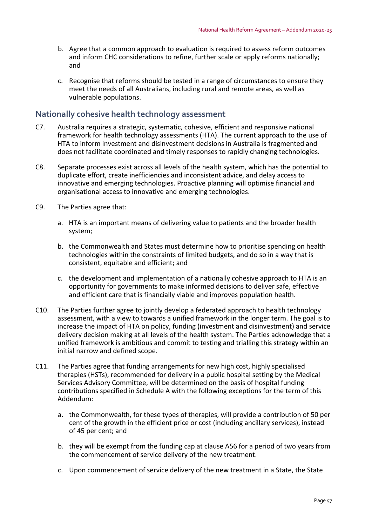- b. Agree that a common approach to evaluation is required to assess reform outcomes and inform CHC considerations to refine, further scale or apply reforms nationally; and
- c. Recognise that reforms should be tested in a range of circumstances to ensure they meet the needs of all Australians, including rural and remote areas, as well as vulnerable populations.

## **Nationally cohesive health technology assessment**

- C7. Australia requires a strategic, systematic, cohesive, efficient and responsive national framework for health technology assessments (HTA). The current approach to the use of HTA to inform investment and disinvestment decisions in Australia is fragmented and does not facilitate coordinated and timely responses to rapidly changing technologies.
- C8. Separate processes exist across all levels of the health system, which has the potential to duplicate effort, create inefficiencies and inconsistent advice, and delay access to innovative and emerging technologies. Proactive planning will optimise financial and organisational access to innovative and emerging technologies.
- C9. The Parties agree that:
	- a. HTA is an important means of delivering value to patients and the broader health system;
	- b. the Commonwealth and States must determine how to prioritise spending on health technologies within the constraints of limited budgets, and do so in a way that is consistent, equitable and efficient; and
	- c. the development and implementation of a nationally cohesive approach to HTA is an opportunity for governments to make informed decisions to deliver safe, effective and efficient care that is financially viable and improves population health.
- C10. The Parties further agree to jointly develop a federated approach to health technology assessment, with a view to towards a unified framework in the longer term. The goal is to increase the impact of HTA on policy, funding (investment and disinvestment) and service delivery decision making at all levels of the health system. The Parties acknowledge that a unified framework is ambitious and commit to testing and trialling this strategy within an initial narrow and defined scope.
- C11. The Parties agree that funding arrangements for new high cost, highly specialised therapies (HSTs), recommended for delivery in a public hospital setting by the Medical Services Advisory Committee, will be determined on the basis of hospital funding contributions specified in Schedule A with the following exceptions for the term of this Addendum:
	- a. the Commonwealth, for these types of therapies, will provide a contribution of 50 per cent of the growth in the efficient price or cost (including ancillary services), instead of 45 per cent; and
	- b. they will be exempt from the funding cap at clause A56 for a period of two years from the commencement of service delivery of the new treatment.
	- c. Upon commencement of service delivery of the new treatment in a State, the State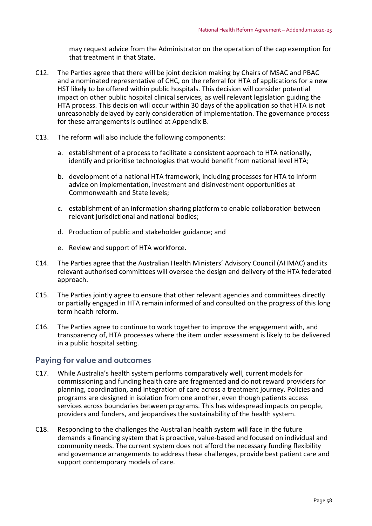may request advice from the Administrator on the operation of the cap exemption for that treatment in that State.

- C12. The Parties agree that there will be joint decision making by Chairs of MSAC and PBAC and a nominated representative of CHC, on the referral for HTA of applications for a new HST likely to be offered within public hospitals. This decision will consider potential impact on other public hospital clinical services, as well relevant legislation guiding the HTA process. This decision will occur within 30 days of the application so that HTA is not unreasonably delayed by early consideration of implementation. The governance process for these arrangements is outlined at Appendix B.
- C13. The reform will also include the following components:
	- a. establishment of a process to facilitate a consistent approach to HTA nationally, identify and prioritise technologies that would benefit from national level HTA;
	- b. development of a national HTA framework, including processes for HTA to inform advice on implementation, investment and disinvestment opportunities at Commonwealth and State levels;
	- c. establishment of an information sharing platform to enable collaboration between relevant jurisdictional and national bodies;
	- d. Production of public and stakeholder guidance; and
	- e. Review and support of HTA workforce.
- C14. The Parties agree that the Australian Health Ministers' Advisory Council (AHMAC) and its relevant authorised committees will oversee the design and delivery of the HTA federated approach.
- C15. The Parties jointly agree to ensure that other relevant agencies and committees directly or partially engaged in HTA remain informed of and consulted on the progress of this long term health reform.
- C16. The Parties agree to continue to work together to improve the engagement with, and transparency of, HTA processes where the item under assessment is likely to be delivered in a public hospital setting.

# **Paying for value and outcomes**

- C17. While Australia's health system performs comparatively well, current models for commissioning and funding health care are fragmented and do not reward providers for planning, coordination, and integration of care across a treatment journey. Policies and programs are designed in isolation from one another, even though patients access services across boundaries between programs. This has widespread impacts on people, providers and funders, and jeopardises the sustainability of the health system.
- C18. Responding to the challenges the Australian health system will face in the future demands a financing system that is proactive, value‐based and focused on individual and community needs. The current system does not afford the necessary funding flexibility and governance arrangements to address these challenges, provide best patient care and support contemporary models of care.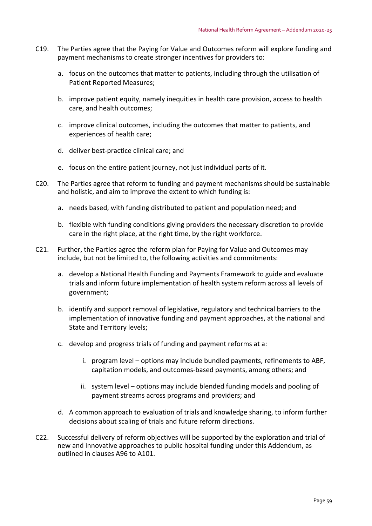- C19. The Parties agree that the Paying for Value and Outcomes reform will explore funding and payment mechanisms to create stronger incentives for providers to:
	- a. focus on the outcomes that matter to patients, including through the utilisation of Patient Reported Measures;
	- b. improve patient equity, namely inequities in health care provision, access to health care, and health outcomes;
	- c. improve clinical outcomes, including the outcomes that matter to patients, and experiences of health care;
	- d. deliver best‐practice clinical care; and
	- e. focus on the entire patient journey, not just individual parts of it.
- C20. The Parties agree that reform to funding and payment mechanisms should be sustainable and holistic, and aim to improve the extent to which funding is:
	- a. needs based, with funding distributed to patient and population need; and
	- b. flexible with funding conditions giving providers the necessary discretion to provide care in the right place, at the right time, by the right workforce.
- C21. Further, the Parties agree the reform plan for Paying for Value and Outcomes may include, but not be limited to, the following activities and commitments:
	- a. develop a National Health Funding and Payments Framework to guide and evaluate trials and inform future implementation of health system reform across all levels of government;
	- b. identify and support removal of legislative, regulatory and technical barriers to the implementation of innovative funding and payment approaches, at the national and State and Territory levels;
	- c. develop and progress trials of funding and payment reforms at a:
		- i. program level options may include bundled payments, refinements to ABF, capitation models, and outcomes‐based payments, among others; and
		- ii. system level options may include blended funding models and pooling of payment streams across programs and providers; and
	- d. A common approach to evaluation of trials and knowledge sharing, to inform further decisions about scaling of trials and future reform directions.
- C22. Successful delivery of reform objectives will be supported by the exploration and trial of new and innovative approaches to public hospital funding under this Addendum, as outlined in clauses A96 to A101.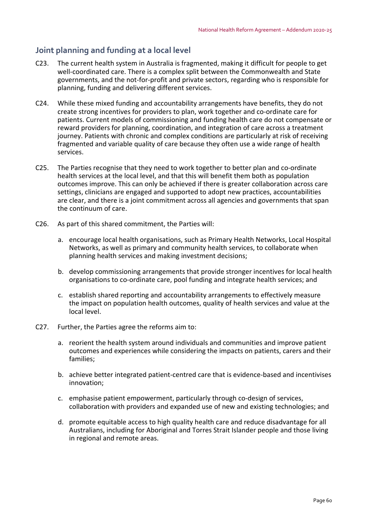# **Joint planning and funding at a local level**

- C23. The current health system in Australia is fragmented, making it difficult for people to get well-coordinated care. There is a complex split between the Commonwealth and State governments, and the not‐for‐profit and private sectors, regarding who is responsible for planning, funding and delivering different services.
- C24. While these mixed funding and accountability arrangements have benefits, they do not create strong incentives for providers to plan, work together and co‐ordinate care for patients. Current models of commissioning and funding health care do not compensate or reward providers for planning, coordination, and integration of care across a treatment journey. Patients with chronic and complex conditions are particularly at risk of receiving fragmented and variable quality of care because they often use a wide range of health services.
- C25. The Parties recognise that they need to work together to better plan and co‐ordinate health services at the local level, and that this will benefit them both as population outcomes improve. This can only be achieved if there is greater collaboration across care settings, clinicians are engaged and supported to adopt new practices, accountabilities are clear, and there is a joint commitment across all agencies and governments that span the continuum of care.
- C26. As part of this shared commitment, the Parties will:
	- a. encourage local health organisations, such as Primary Health Networks, Local Hospital Networks, as well as primary and community health services, to collaborate when planning health services and making investment decisions;
	- b. develop commissioning arrangements that provide stronger incentives for local health organisations to co‐ordinate care, pool funding and integrate health services; and
	- c. establish shared reporting and accountability arrangements to effectively measure the impact on population health outcomes, quality of health services and value at the local level.
- C27. Further, the Parties agree the reforms aim to:
	- a. reorient the health system around individuals and communities and improve patient outcomes and experiences while considering the impacts on patients, carers and their families;
	- b. achieve better integrated patient‐centred care that is evidence‐based and incentivises innovation;
	- c. emphasise patient empowerment, particularly through co‐design of services, collaboration with providers and expanded use of new and existing technologies; and
	- d. promote equitable access to high quality health care and reduce disadvantage for all Australians, including for Aboriginal and Torres Strait Islander people and those living in regional and remote areas.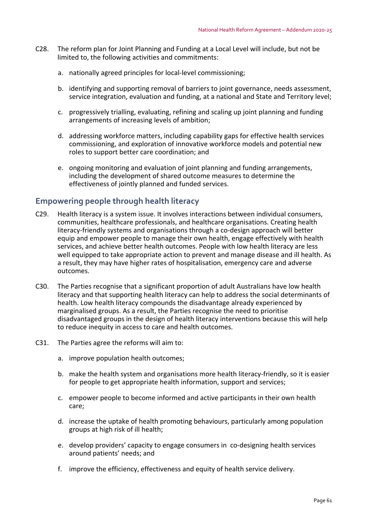- C28. The reform plan for Joint Planning and Funding at a Local Level will include, but not be limited to, the following activities and commitments:
	- a. nationally agreed principles for local-level commissioning;
	- b. identifying and supporting removal of barriers to joint governance, needs assessment, service integration, evaluation and funding, at a national and State and Territory level;
	- c. progressively trialling, evaluating, refining and scaling up joint planning and funding arrangements of increasing levels of ambition;
	- d. addressing workforce matters, including capability gaps for effective health services commissioning, and exploration of innovative workforce models and potential new roles to support better care coordination; and
	- e. ongoing monitoring and evaluation of joint planning and funding arrangements, including the development of shared outcome measures to determine the effectiveness of jointly planned and funded services.

## **Empowering people through health literacy**

- C29. Health literacy is a system issue. It involves interactions between individual consumers, communities, healthcare professionals, and healthcare organisations. Creating health literacy‐friendly systems and organisations through a co‐design approach will better equip and empower people to manage their own health, engage effectively with health services, and achieve better health outcomes. People with low health literacy are less well equipped to take appropriate action to prevent and manage disease and ill health. As a result, they may have higher rates of hospitalisation, emergency care and adverse outcomes.
- C30. The Parties recognise that a significant proportion of adult Australians have low health literacy and that supporting health literacy can help to address the social determinants of health. Low health literacy compounds the disadvantage already experienced by marginalised groups. As a result, the Parties recognise the need to prioritise disadvantaged groups in the design of health literacy interventions because this will help to reduce inequity in access to care and health outcomes.
- C31. The Parties agree the reforms will aim to:
	- a. improve population health outcomes;
	- b. make the health system and organisations more health literacy-friendly, so it is easier for people to get appropriate health information, support and services;
	- c. empower people to become informed and active participants in their own health care;
	- d. increase the uptake of health promoting behaviours, particularly among population groups at high risk of ill health;
	- e. develop providers' capacity to engage consumers in co-designing health services around patients' needs; and
	- f. improve the efficiency, effectiveness and equity of health service delivery.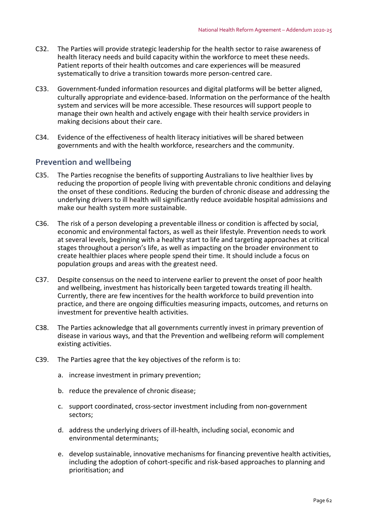- C32. The Parties will provide strategic leadership for the health sector to raise awareness of health literacy needs and build capacity within the workforce to meet these needs. Patient reports of their health outcomes and care experiences will be measured systematically to drive a transition towards more person‐centred care.
- C33. Government‐funded information resources and digital platforms will be better aligned, culturally appropriate and evidence‐based. Information on the performance of the health system and services will be more accessible. These resources will support people to manage their own health and actively engage with their health service providers in making decisions about their care.
- C34. Evidence of the effectiveness of health literacy initiatives will be shared between governments and with the health workforce, researchers and the community.

## **Prevention and wellbeing**

- C35. The Parties recognise the benefits of supporting Australians to live healthier lives by reducing the proportion of people living with preventable chronic conditions and delaying the onset of these conditions. Reducing the burden of chronic disease and addressing the underlying drivers to ill health will significantly reduce avoidable hospital admissions and make our health system more sustainable.
- C36. The risk of a person developing a preventable illness or condition is affected by social, economic and environmental factors, as well as their lifestyle. Prevention needs to work at several levels, beginning with a healthy start to life and targeting approaches at critical stages throughout a person's life, as well as impacting on the broader environment to create healthier places where people spend their time. It should include a focus on population groups and areas with the greatest need.
- C37. Despite consensus on the need to intervene earlier to prevent the onset of poor health and wellbeing, investment has historically been targeted towards treating ill health. Currently, there are few incentives for the health workforce to build prevention into practice, and there are ongoing difficulties measuring impacts, outcomes, and returns on investment for preventive health activities.
- C38. The Parties acknowledge that all governments currently invest in primary prevention of disease in various ways, and that the Prevention and wellbeing reform will complement existing activities.
- C39. The Parties agree that the key objectives of the reform is to:
	- a. increase investment in primary prevention;
	- b. reduce the prevalence of chronic disease;
	- c. support coordinated, cross‐sector investment including from non‐government sectors;
	- d. address the underlying drivers of ill‐health, including social, economic and environmental determinants;
	- e. develop sustainable, innovative mechanisms for financing preventive health activities, including the adoption of cohort‐specific and risk‐based approaches to planning and prioritisation; and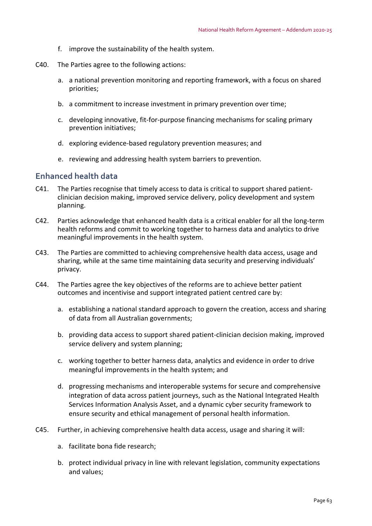- f. improve the sustainability of the health system.
- C40. The Parties agree to the following actions:
	- a. a national prevention monitoring and reporting framework, with a focus on shared priorities;
	- b. a commitment to increase investment in primary prevention over time;
	- c. developing innovative, fit‐for‐purpose financing mechanisms for scaling primary prevention initiatives;
	- d. exploring evidence‐based regulatory prevention measures; and
	- e. reviewing and addressing health system barriers to prevention.

### **Enhanced health data**

- C41. The Parties recognise that timely access to data is critical to support shared patient‐ clinician decision making, improved service delivery, policy development and system planning.
- C42. Parties acknowledge that enhanced health data is a critical enabler for all the long‐term health reforms and commit to working together to harness data and analytics to drive meaningful improvements in the health system.
- C43. The Parties are committed to achieving comprehensive health data access, usage and sharing, while at the same time maintaining data security and preserving individuals' privacy.
- C44. The Parties agree the key objectives of the reforms are to achieve better patient outcomes and incentivise and support integrated patient centred care by:
	- a. establishing a national standard approach to govern the creation, access and sharing of data from all Australian governments;
	- b. providing data access to support shared patient‐clinician decision making, improved service delivery and system planning;
	- c. working together to better harness data, analytics and evidence in order to drive meaningful improvements in the health system; and
	- d. progressing mechanisms and interoperable systems for secure and comprehensive integration of data across patient journeys, such as the National Integrated Health Services Information Analysis Asset, and a dynamic cyber security framework to ensure security and ethical management of personal health information.
- C45. Further, in achieving comprehensive health data access, usage and sharing it will:
	- a. facilitate bona fide research;
	- b. protect individual privacy in line with relevant legislation, community expectations and values;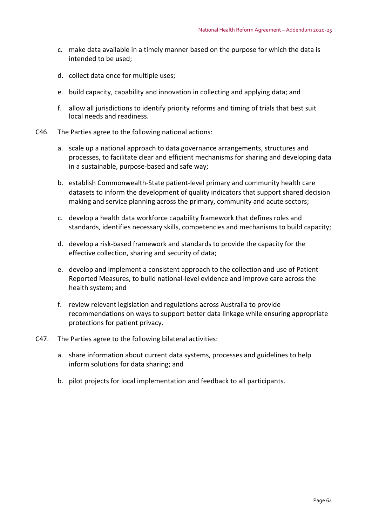- c. make data available in a timely manner based on the purpose for which the data is intended to be used;
- d. collect data once for multiple uses;
- e. build capacity, capability and innovation in collecting and applying data; and
- f. allow all jurisdictions to identify priority reforms and timing of trials that best suit local needs and readiness.
- C46. The Parties agree to the following national actions:
	- a. scale up a national approach to data governance arrangements, structures and processes, to facilitate clear and efficient mechanisms for sharing and developing data in a sustainable, purpose‐based and safe way;
	- b. establish Commonwealth‐State patient‐level primary and community health care datasets to inform the development of quality indicators that support shared decision making and service planning across the primary, community and acute sectors;
	- c. develop a health data workforce capability framework that defines roles and standards, identifies necessary skills, competencies and mechanisms to build capacity;
	- d. develop a risk‐based framework and standards to provide the capacity for the effective collection, sharing and security of data;
	- e. develop and implement a consistent approach to the collection and use of Patient Reported Measures, to build national‐level evidence and improve care across the health system; and
	- f. review relevant legislation and regulations across Australia to provide recommendations on ways to support better data linkage while ensuring appropriate protections for patient privacy.
- C47. The Parties agree to the following bilateral activities:
	- a. share information about current data systems, processes and guidelines to help inform solutions for data sharing; and
	- b. pilot projects for local implementation and feedback to all participants.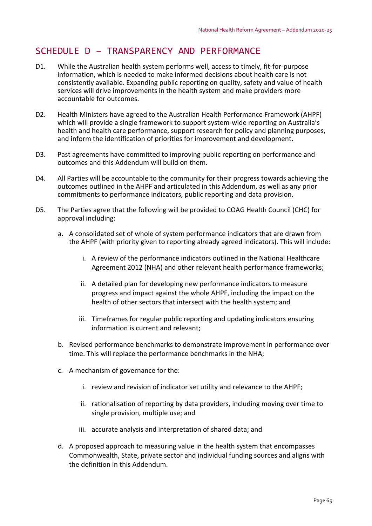# SCHEDULE D – TRANSPARENCY AND PERFORMANCE

- D1. While the Australian health system performs well, access to timely, fit‐for‐purpose information, which is needed to make informed decisions about health care is not consistently available. Expanding public reporting on quality, safety and value of health services will drive improvements in the health system and make providers more accountable for outcomes.
- D2. Health Ministers have agreed to the Australian Health Performance Framework (AHPF) which will provide a single framework to support system-wide reporting on Australia's health and health care performance, support research for policy and planning purposes, and inform the identification of priorities for improvement and development.
- D3. Past agreements have committed to improving public reporting on performance and outcomes and this Addendum will build on them.
- D4. All Parties will be accountable to the community for their progress towards achieving the outcomes outlined in the AHPF and articulated in this Addendum, as well as any prior commitments to performance indicators, public reporting and data provision.
- D5. The Parties agree that the following will be provided to COAG Health Council (CHC) for approval including:
	- a. A consolidated set of whole of system performance indicators that are drawn from the AHPF (with priority given to reporting already agreed indicators). This will include:
		- i. A review of the performance indicators outlined in the National Healthcare Agreement 2012 (NHA) and other relevant health performance frameworks;
		- ii. A detailed plan for developing new performance indicators to measure progress and impact against the whole AHPF, including the impact on the health of other sectors that intersect with the health system; and
		- iii. Timeframes for regular public reporting and updating indicators ensuring information is current and relevant;
	- b. Revised performance benchmarks to demonstrate improvement in performance over time. This will replace the performance benchmarks in the NHA;
	- c. A mechanism of governance for the:
		- i. review and revision of indicator set utility and relevance to the AHPF;
		- ii. rationalisation of reporting by data providers, including moving over time to single provision, multiple use; and
		- iii. accurate analysis and interpretation of shared data; and
	- d. A proposed approach to measuring value in the health system that encompasses Commonwealth, State, private sector and individual funding sources and aligns with the definition in this Addendum.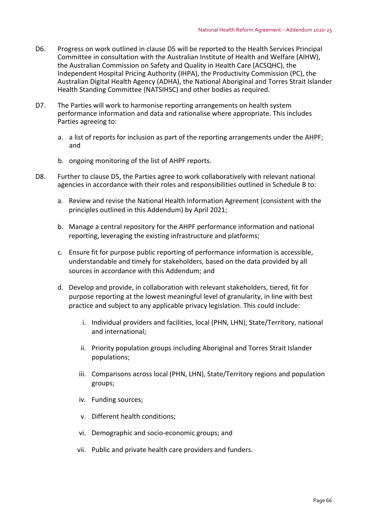- D6. Progress on work outlined in clause D5 will be reported to the Health Services Principal Committee in consultation with the Australian Institute of Health and Welfare (AIHW), the Australian Commission on Safety and Quality in Health Care (ACSQHC), the Independent Hospital Pricing Authority (IHPA), the Productivity Commission (PC), the Australian Digital Health Agency (ADHA), the National Aboriginal and Torres Strait Islander Health Standing Committee (NATSIHSC) and other bodies as required.
- D7. The Parties will work to harmonise reporting arrangements on health system performance information and data and rationalise where appropriate. This includes Parties agreeing to:
	- a. a list of reports for inclusion as part of the reporting arrangements under the AHPF; and
	- b. ongoing monitoring of the list of AHPF reports.
- D8. Further to clause D5, the Parties agree to work collaboratively with relevant national agencies in accordance with their roles and responsibilities outlined in Schedule B to:
	- a. Review and revise the National Health Information Agreement (consistent with the principles outlined in this Addendum) by April 2021;
	- b. Manage a central repository for the AHPF performance information and national reporting, leveraging the existing infrastructure and platforms;
	- c. Ensure fit for purpose public reporting of performance information is accessible, understandable and timely for stakeholders, based on the data provided by all sources in accordance with this Addendum; and
	- d. Develop and provide, in collaboration with relevant stakeholders, tiered, fit for purpose reporting at the lowest meaningful level of granularity, in line with best practice and subject to any applicable privacy legislation. This could include:
		- i. Individual providers and facilities, local (PHN, LHN), State/Territory, national and international;
		- ii. Priority population groups including Aboriginal and Torres Strait Islander populations;
		- iii. Comparisons across local (PHN, LHN), State/Territory regions and population groups;
		- iv. Funding sources;
		- v. Different health conditions;
		- vi. Demographic and socio‐economic groups; and
		- vii. Public and private health care providers and funders.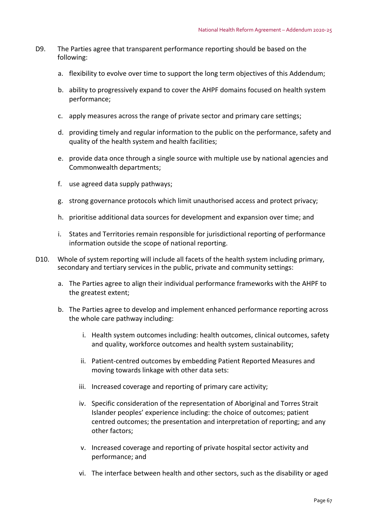- D9. The Parties agree that transparent performance reporting should be based on the following:
	- a. flexibility to evolve over time to support the long term objectives of this Addendum;
	- b. ability to progressively expand to cover the AHPF domains focused on health system performance;
	- c. apply measures across the range of private sector and primary care settings;
	- d. providing timely and regular information to the public on the performance, safety and quality of the health system and health facilities;
	- e. provide data once through a single source with multiple use by national agencies and Commonwealth departments;
	- f. use agreed data supply pathways;
	- g. strong governance protocols which limit unauthorised access and protect privacy;
	- h. prioritise additional data sources for development and expansion over time; and
	- i. States and Territories remain responsible for jurisdictional reporting of performance information outside the scope of national reporting.
- D10. Whole of system reporting will include all facets of the health system including primary, secondary and tertiary services in the public, private and community settings:
	- a. The Parties agree to align their individual performance frameworks with the AHPF to the greatest extent;
	- b. The Parties agree to develop and implement enhanced performance reporting across the whole care pathway including:
		- i. Health system outcomes including: health outcomes, clinical outcomes, safety and quality, workforce outcomes and health system sustainability;
		- ii. Patient‐centred outcomes by embedding Patient Reported Measures and moving towards linkage with other data sets:
		- iii. Increased coverage and reporting of primary care activity;
		- iv. Specific consideration of the representation of Aboriginal and Torres Strait Islander peoples' experience including: the choice of outcomes; patient centred outcomes; the presentation and interpretation of reporting; and any other factors;
		- v. Increased coverage and reporting of private hospital sector activity and performance; and
		- vi. The interface between health and other sectors, such as the disability or aged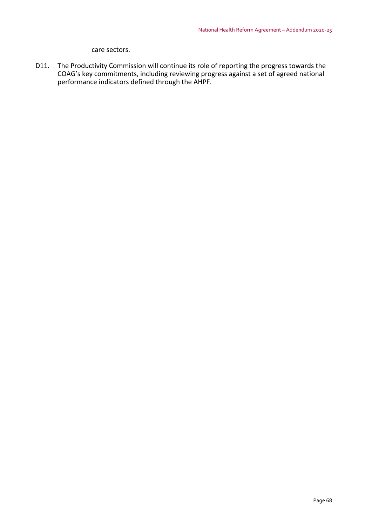#### care sectors.

D11. The Productivity Commission will continue its role of reporting the progress towards the COAG's key commitments, including reviewing progress against a set of agreed national performance indicators defined through the AHPF.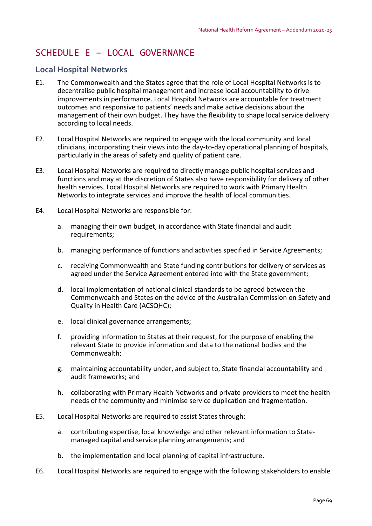# SCHEDULE E – LOCAL GOVERNANCE

# **Local Hospital Networks**

- E1. The Commonwealth and the States agree that the role of Local Hospital Networks is to decentralise public hospital management and increase local accountability to drive improvements in performance. Local Hospital Networks are accountable for treatment outcomes and responsive to patients' needs and make active decisions about the management of their own budget. They have the flexibility to shape local service delivery according to local needs.
- E2. Local Hospital Networks are required to engage with the local community and local clinicians, incorporating their views into the day‐to‐day operational planning of hospitals, particularly in the areas of safety and quality of patient care.
- E3. Local Hospital Networks are required to directly manage public hospital services and functions and may at the discretion of States also have responsibility for delivery of other health services. Local Hospital Networks are required to work with Primary Health Networks to integrate services and improve the health of local communities.
- E4. Local Hospital Networks are responsible for:
	- a. managing their own budget, in accordance with State financial and audit requirements;
	- b. managing performance of functions and activities specified in Service Agreements;
	- c. receiving Commonwealth and State funding contributions for delivery of services as agreed under the Service Agreement entered into with the State government;
	- d. local implementation of national clinical standards to be agreed between the Commonwealth and States on the advice of the Australian Commission on Safety and Quality in Health Care (ACSQHC);
	- e. local clinical governance arrangements;
	- f. providing information to States at their request, for the purpose of enabling the relevant State to provide information and data to the national bodies and the Commonwealth;
	- g. maintaining accountability under, and subject to, State financial accountability and audit frameworks; and
	- h. collaborating with Primary Health Networks and private providers to meet the health needs of the community and minimise service duplication and fragmentation.
- E5. Local Hospital Networks are required to assist States through:
	- a. contributing expertise, local knowledge and other relevant information to State‐ managed capital and service planning arrangements; and
	- b. the implementation and local planning of capital infrastructure.
- E6. Local Hospital Networks are required to engage with the following stakeholders to enable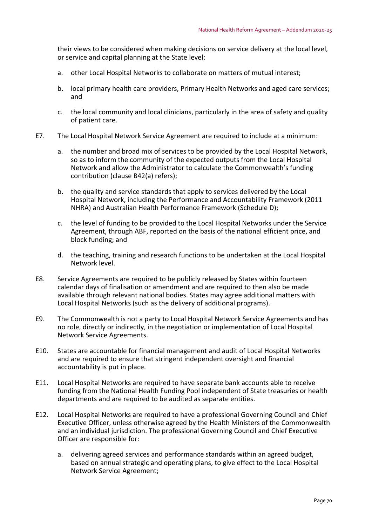their views to be considered when making decisions on service delivery at the local level, or service and capital planning at the State level:

- a. other Local Hospital Networks to collaborate on matters of mutual interest;
- b. local primary health care providers, Primary Health Networks and aged care services; and
- c. the local community and local clinicians, particularly in the area of safety and quality of patient care.
- E7. The Local Hospital Network Service Agreement are required to include at a minimum:
	- a. the number and broad mix of services to be provided by the Local Hospital Network, so as to inform the community of the expected outputs from the Local Hospital Network and allow the Administrator to calculate the Commonwealth's funding contribution (clause B42(a) refers);
	- b. the quality and service standards that apply to services delivered by the Local Hospital Network, including the Performance and Accountability Framework (2011 NHRA) and Australian Health Performance Framework (Schedule D);
	- c. the level of funding to be provided to the Local Hospital Networks under the Service Agreement, through ABF, reported on the basis of the national efficient price, and block funding; and
	- d. the teaching, training and research functions to be undertaken at the Local Hospital Network level.
- E8. Service Agreements are required to be publicly released by States within fourteen calendar days of finalisation or amendment and are required to then also be made available through relevant national bodies. States may agree additional matters with Local Hospital Networks (such as the delivery of additional programs).
- E9. The Commonwealth is not a party to Local Hospital Network Service Agreements and has no role, directly or indirectly, in the negotiation or implementation of Local Hospital Network Service Agreements.
- E10. States are accountable for financial management and audit of Local Hospital Networks and are required to ensure that stringent independent oversight and financial accountability is put in place.
- E11. Local Hospital Networks are required to have separate bank accounts able to receive funding from the National Health Funding Pool independent of State treasuries or health departments and are required to be audited as separate entities.
- E12. Local Hospital Networks are required to have a professional Governing Council and Chief Executive Officer, unless otherwise agreed by the Health Ministers of the Commonwealth and an individual jurisdiction. The professional Governing Council and Chief Executive Officer are responsible for:
	- a. delivering agreed services and performance standards within an agreed budget, based on annual strategic and operating plans, to give effect to the Local Hospital Network Service Agreement;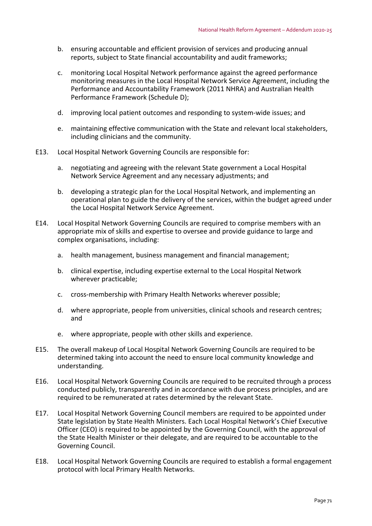- b. ensuring accountable and efficient provision of services and producing annual reports, subject to State financial accountability and audit frameworks;
- c. monitoring Local Hospital Network performance against the agreed performance monitoring measures in the Local Hospital Network Service Agreement, including the Performance and Accountability Framework (2011 NHRA) and Australian Health Performance Framework (Schedule D);
- d. improving local patient outcomes and responding to system‐wide issues; and
- e. maintaining effective communication with the State and relevant local stakeholders, including clinicians and the community.
- E13. Local Hospital Network Governing Councils are responsible for:
	- a. negotiating and agreeing with the relevant State government a Local Hospital Network Service Agreement and any necessary adjustments; and
	- b. developing a strategic plan for the Local Hospital Network, and implementing an operational plan to guide the delivery of the services, within the budget agreed under the Local Hospital Network Service Agreement.
- E14. Local Hospital Network Governing Councils are required to comprise members with an appropriate mix of skills and expertise to oversee and provide guidance to large and complex organisations, including:
	- a. health management, business management and financial management;
	- b. clinical expertise, including expertise external to the Local Hospital Network wherever practicable;
	- c. cross‐membership with Primary Health Networks wherever possible;
	- d. where appropriate, people from universities, clinical schools and research centres; and
	- e. where appropriate, people with other skills and experience.
- E15. The overall makeup of Local Hospital Network Governing Councils are required to be determined taking into account the need to ensure local community knowledge and understanding.
- E16. Local Hospital Network Governing Councils are required to be recruited through a process conducted publicly, transparently and in accordance with due process principles, and are required to be remunerated at rates determined by the relevant State.
- E17. Local Hospital Network Governing Council members are required to be appointed under State legislation by State Health Ministers. Each Local Hospital Network's Chief Executive Officer (CEO) is required to be appointed by the Governing Council, with the approval of the State Health Minister or their delegate, and are required to be accountable to the Governing Council.
- E18. Local Hospital Network Governing Councils are required to establish a formal engagement protocol with local Primary Health Networks.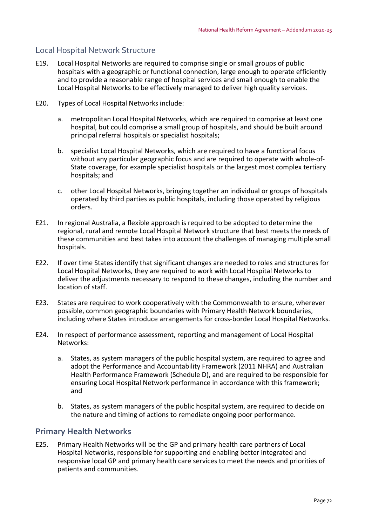# Local Hospital Network Structure

- E19. Local Hospital Networks are required to comprise single or small groups of public hospitals with a geographic or functional connection, large enough to operate efficiently and to provide a reasonable range of hospital services and small enough to enable the Local Hospital Networks to be effectively managed to deliver high quality services.
- E20. Types of Local Hospital Networks include:
	- a. metropolitan Local Hospital Networks, which are required to comprise at least one hospital, but could comprise a small group of hospitals, and should be built around principal referral hospitals or specialist hospitals;
	- b. specialist Local Hospital Networks, which are required to have a functional focus without any particular geographic focus and are required to operate with whole-of-State coverage, for example specialist hospitals or the largest most complex tertiary hospitals; and
	- c. other Local Hospital Networks, bringing together an individual or groups of hospitals operated by third parties as public hospitals, including those operated by religious orders.
- E21. In regional Australia, a flexible approach is required to be adopted to determine the regional, rural and remote Local Hospital Network structure that best meets the needs of these communities and best takes into account the challenges of managing multiple small hospitals.
- E22. If over time States identify that significant changes are needed to roles and structures for Local Hospital Networks, they are required to work with Local Hospital Networks to deliver the adjustments necessary to respond to these changes, including the number and location of staff.
- E23. States are required to work cooperatively with the Commonwealth to ensure, wherever possible, common geographic boundaries with Primary Health Network boundaries, including where States introduce arrangements for cross‐border Local Hospital Networks.
- E24. In respect of performance assessment, reporting and management of Local Hospital Networks:
	- a. States, as system managers of the public hospital system, are required to agree and adopt the Performance and Accountability Framework (2011 NHRA) and Australian Health Performance Framework (Schedule D), and are required to be responsible for ensuring Local Hospital Network performance in accordance with this framework; and
	- b. States, as system managers of the public hospital system, are required to decide on the nature and timing of actions to remediate ongoing poor performance.

# **Primary Health Networks**

E25. Primary Health Networks will be the GP and primary health care partners of Local Hospital Networks, responsible for supporting and enabling better integrated and responsive local GP and primary health care services to meet the needs and priorities of patients and communities.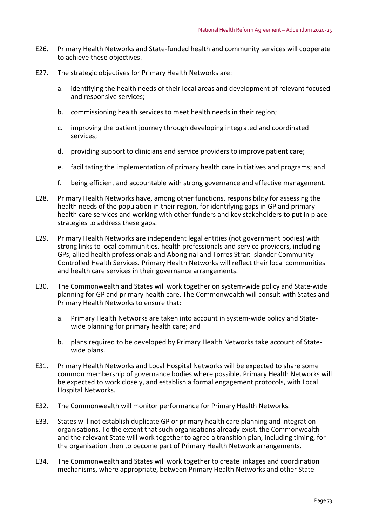- E26. Primary Health Networks and State‐funded health and community services will cooperate to achieve these objectives.
- E27. The strategic objectives for Primary Health Networks are:
	- a. identifying the health needs of their local areas and development of relevant focused and responsive services;
	- b. commissioning health services to meet health needs in their region;
	- c. improving the patient journey through developing integrated and coordinated services;
	- d. providing support to clinicians and service providers to improve patient care;
	- e. facilitating the implementation of primary health care initiatives and programs; and
	- f. being efficient and accountable with strong governance and effective management.
- E28. Primary Health Networks have, among other functions, responsibility for assessing the health needs of the population in their region, for identifying gaps in GP and primary health care services and working with other funders and key stakeholders to put in place strategies to address these gaps.
- E29. Primary Health Networks are independent legal entities (not government bodies) with strong links to local communities, health professionals and service providers, including GPs, allied health professionals and Aboriginal and Torres Strait Islander Community Controlled Health Services. Primary Health Networks will reflect their local communities and health care services in their governance arrangements.
- E30. The Commonwealth and States will work together on system-wide policy and State-wide planning for GP and primary health care. The Commonwealth will consult with States and Primary Health Networks to ensure that:
	- a. Primary Health Networks are taken into account in system-wide policy and Statewide planning for primary health care; and
	- b. plans required to be developed by Primary Health Networks take account of State‐ wide plans.
- E31. Primary Health Networks and Local Hospital Networks will be expected to share some common membership of governance bodies where possible. Primary Health Networks will be expected to work closely, and establish a formal engagement protocols, with Local Hospital Networks.
- E32. The Commonwealth will monitor performance for Primary Health Networks.
- E33. States will not establish duplicate GP or primary health care planning and integration organisations. To the extent that such organisations already exist, the Commonwealth and the relevant State will work together to agree a transition plan, including timing, for the organisation then to become part of Primary Health Network arrangements.
- E34. The Commonwealth and States will work together to create linkages and coordination mechanisms, where appropriate, between Primary Health Networks and other State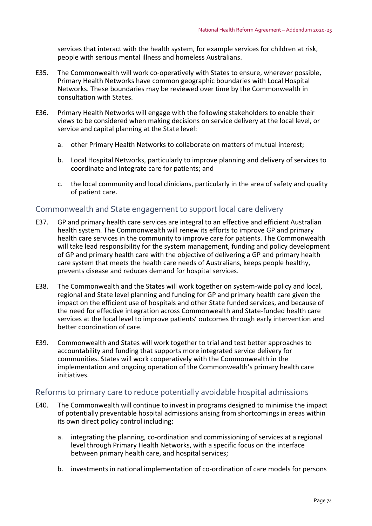services that interact with the health system, for example services for children at risk, people with serious mental illness and homeless Australians.

- E35. The Commonwealth will work co-operatively with States to ensure, wherever possible, Primary Health Networks have common geographic boundaries with Local Hospital Networks. These boundaries may be reviewed over time by the Commonwealth in consultation with States.
- E36. Primary Health Networks will engage with the following stakeholders to enable their views to be considered when making decisions on service delivery at the local level, or service and capital planning at the State level:
	- a. other Primary Health Networks to collaborate on matters of mutual interest;
	- b. Local Hospital Networks, particularly to improve planning and delivery of services to coordinate and integrate care for patients; and
	- c. the local community and local clinicians, particularly in the area of safety and quality of patient care.

#### Commonwealth and State engagement to support local care delivery

- E37. GP and primary health care services are integral to an effective and efficient Australian health system. The Commonwealth will renew its efforts to improve GP and primary health care services in the community to improve care for patients. The Commonwealth will take lead responsibility for the system management, funding and policy development of GP and primary health care with the objective of delivering a GP and primary health care system that meets the health care needs of Australians, keeps people healthy, prevents disease and reduces demand for hospital services.
- E38. The Commonwealth and the States will work together on system-wide policy and local, regional and State level planning and funding for GP and primary health care given the impact on the efficient use of hospitals and other State funded services, and because of the need for effective integration across Commonwealth and State‐funded health care services at the local level to improve patients' outcomes through early intervention and better coordination of care.
- E39. Commonwealth and States will work together to trial and test better approaches to accountability and funding that supports more integrated service delivery for communities. States will work cooperatively with the Commonwealth in the implementation and ongoing operation of the Commonwealth's primary health care initiatives.

#### Reforms to primary care to reduce potentially avoidable hospital admissions

- E40. The Commonwealth will continue to invest in programs designed to minimise the impact of potentially preventable hospital admissions arising from shortcomings in areas within its own direct policy control including:
	- a. integrating the planning, co-ordination and commissioning of services at a regional level through Primary Health Networks, with a specific focus on the interface between primary health care, and hospital services;
	- b. investments in national implementation of co‐ordination of care models for persons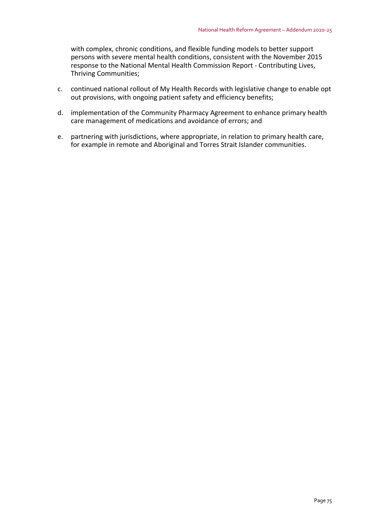with complex, chronic conditions, and flexible funding models to better support persons with severe mental health conditions, consistent with the November 2015 response to the National Mental Health Commission Report ‐ Contributing Lives, Thriving Communities;

- c. continued national rollout of My Health Records with legislative change to enable opt out provisions, with ongoing patient safety and efficiency benefits;
- d. implementation of the Community Pharmacy Agreement to enhance primary health care management of medications and avoidance of errors; and
- e. partnering with jurisdictions, where appropriate, in relation to primary health care, for example in remote and Aboriginal and Torres Strait Islander communities.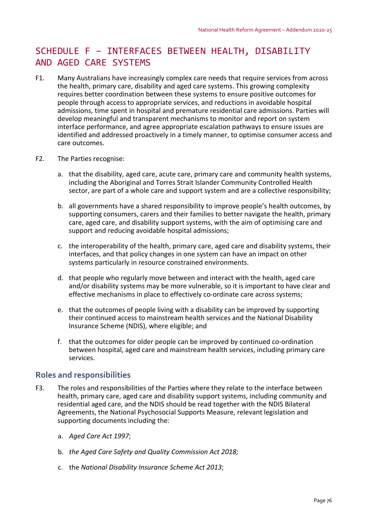# SCHEDULE F – INTERFACES BETWEEN HEALTH, DISABILITY AND AGED CARE SYSTEMS

- F1. Many Australians have increasingly complex care needs that require services from across the health, primary care, disability and aged care systems. This growing complexity requires better coordination between these systems to ensure positive outcomes for people through access to appropriate services, and reductions in avoidable hospital admissions, time spent in hospital and premature residential care admissions. Parties will develop meaningful and transparent mechanisms to monitor and report on system interface performance, and agree appropriate escalation pathways to ensure issues are identified and addressed proactively in a timely manner, to optimise consumer access and care outcomes.
- F2. The Parties recognise:
	- a. that the disability, aged care, acute care, primary care and community health systems, including the Aboriginal and Torres Strait Islander Community Controlled Health sector, are part of a whole care and support system and are a collective responsibility;
	- b. all governments have a shared responsibility to improve people's health outcomes, by supporting consumers, carers and their families to better navigate the health, primary care, aged care, and disability support systems, with the aim of optimising care and support and reducing avoidable hospital admissions;
	- c. the interoperability of the health, primary care, aged care and disability systems, their interfaces, and that policy changes in one system can have an impact on other systems particularly in resource constrained environments.
	- d. that people who regularly move between and interact with the health, aged care and/or disability systems may be more vulnerable, so it is important to have clear and effective mechanisms in place to effectively co-ordinate care across systems;
	- e. that the outcomes of people living with a disability can be improved by supporting their continued access to mainstream health services and the National Disability Insurance Scheme (NDIS), where eligible; and
	- f. that the outcomes for older people can be improved by continued co-ordination between hospital, aged care and mainstream health services, including primary care services.

## **Roles and responsibilities**

- F3. The roles and responsibilities of the Parties where they relate to the interface between health, primary care, aged care and disability support systems, including community and residential aged care, and the NDIS should be read together with the NDIS Bilateral Agreements, the National Psychosocial Supports Measure, relevant legislation and supporting documents including the:
	- a. *Aged Care Act 1997*;
	- b. *the Aged Care Safety and Quality Commission Act 2018;*
	- c. the *National Disability Insurance Scheme Act 2013*;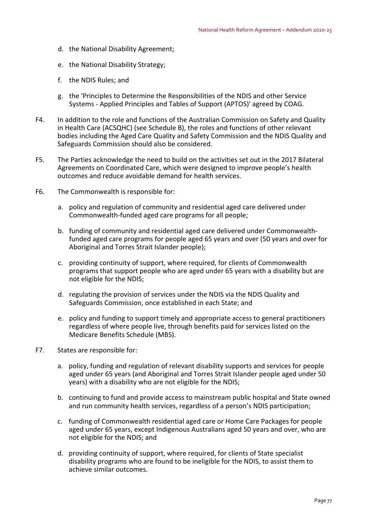- d. the National Disability Agreement;
- e. the National Disability Strategy;
- f. the NDIS Rules; and
- g. the 'Principles to Determine the Responsibilities of the NDIS and other Service Systems ‐ Applied Principles and Tables of Support (APTOS)' agreed by COAG.
- F4. In addition to the role and functions of the Australian Commission on Safety and Quality in Health Care (ACSQHC) (see Schedule B), the roles and functions of other relevant bodies including the Aged Care Quality and Safety Commission and the NDIS Quality and Safeguards Commission should also be considered.
- F5. The Parties acknowledge the need to build on the activities set out in the 2017 Bilateral Agreements on Coordinated Care, which were designed to improve people's health outcomes and reduce avoidable demand for health services.
- F6. The Commonwealth is responsible for:
	- a. policy and regulation of community and residential aged care delivered under Commonwealth‐funded aged care programs for all people;
	- b. funding of community and residential aged care delivered under Commonwealth‐ funded aged care programs for people aged 65 years and over (50 years and over for Aboriginal and Torres Strait Islander people);
	- c. providing continuity of support, where required, for clients of Commonwealth programs that support people who are aged under 65 years with a disability but are not eligible for the NDIS;
	- d. regulating the provision of services under the NDIS via the NDIS Quality and Safeguards Commission, once established in each State; and
	- e. policy and funding to support timely and appropriate access to general practitioners regardless of where people live, through benefits paid for services listed on the Medicare Benefits Schedule (MBS).
- F7. States are responsible for:
	- a. policy, funding and regulation of relevant disability supports and services for people aged under 65 years (and Aboriginal and Torres Strait Islander people aged under 50 years) with a disability who are not eligible for the NDIS;
	- b. continuing to fund and provide access to mainstream public hospital and State owned and run community health services, regardless of a person's NDIS participation;
	- c. funding of Commonwealth residential aged care or Home Care Packages for people aged under 65 years, except Indigenous Australians aged 50 years and over, who are not eligible for the NDIS; and
	- d. providing continuity of support, where required, for clients of State specialist disability programs who are found to be ineligible for the NDIS, to assist them to achieve similar outcomes.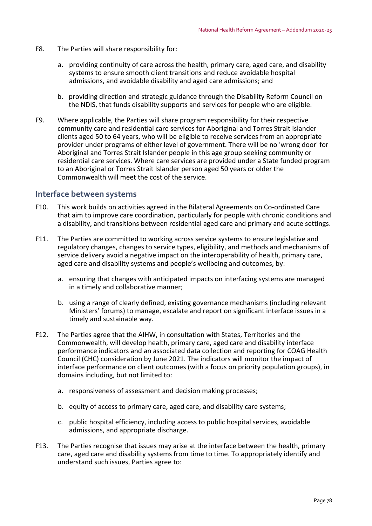- F8. The Parties will share responsibility for:
	- a. providing continuity of care across the health, primary care, aged care, and disability systems to ensure smooth client transitions and reduce avoidable hospital admissions, and avoidable disability and aged care admissions; and
	- b. providing direction and strategic guidance through the Disability Reform Council on the NDIS, that funds disability supports and services for people who are eligible.
- F9. Where applicable, the Parties will share program responsibility for their respective community care and residential care services for Aboriginal and Torres Strait Islander clients aged 50 to 64 years, who will be eligible to receive services from an appropriate provider under programs of either level of government. There will be no 'wrong door' for Aboriginal and Torres Strait Islander people in this age group seeking community or residential care services. Where care services are provided under a State funded program to an Aboriginal or Torres Strait Islander person aged 50 years or older the Commonwealth will meet the cost of the service.

#### **Interface between systems**

- F10. This work builds on activities agreed in the Bilateral Agreements on Co-ordinated Care that aim to improve care coordination, particularly for people with chronic conditions and a disability, and transitions between residential aged care and primary and acute settings.
- F11. The Parties are committed to working across service systems to ensure legislative and regulatory changes, changes to service types, eligibility, and methods and mechanisms of service delivery avoid a negative impact on the interoperability of health, primary care, aged care and disability systems and people's wellbeing and outcomes, by:
	- a. ensuring that changes with anticipated impacts on interfacing systems are managed in a timely and collaborative manner;
	- b. using a range of clearly defined, existing governance mechanisms (including relevant Ministers' forums) to manage, escalate and report on significant interface issues in a timely and sustainable way.
- F12. The Parties agree that the AIHW, in consultation with States, Territories and the Commonwealth, will develop health, primary care, aged care and disability interface performance indicators and an associated data collection and reporting for COAG Health Council (CHC) consideration by June 2021. The indicators will monitor the impact of interface performance on client outcomes (with a focus on priority population groups), in domains including, but not limited to:
	- a. responsiveness of assessment and decision making processes;
	- b. equity of access to primary care, aged care, and disability care systems;
	- c. public hospital efficiency, including access to public hospital services, avoidable admissions, and appropriate discharge.
- F13. The Parties recognise that issues may arise at the interface between the health, primary care, aged care and disability systems from time to time. To appropriately identify and understand such issues, Parties agree to: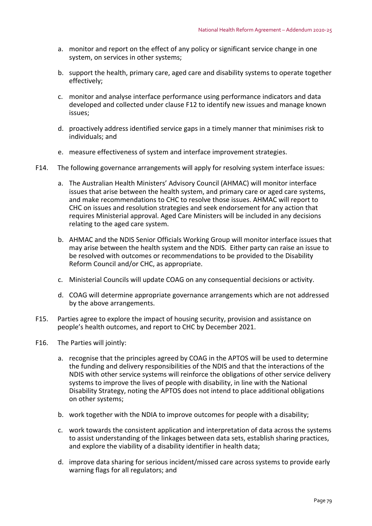- a. monitor and report on the effect of any policy or significant service change in one system, on services in other systems;
- b. support the health, primary care, aged care and disability systems to operate together effectively;
- c. monitor and analyse interface performance using performance indicators and data developed and collected under clause F12 to identify new issues and manage known issues;
- d. proactively address identified service gaps in a timely manner that minimises risk to individuals; and
- e. measure effectiveness of system and interface improvement strategies.
- F14. The following governance arrangements will apply for resolving system interface issues:
	- a. The Australian Health Ministers' Advisory Council (AHMAC) will monitor interface issues that arise between the health system, and primary care or aged care systems, and make recommendations to CHC to resolve those issues. AHMAC will report to CHC on issues and resolution strategies and seek endorsement for any action that requires Ministerial approval. Aged Care Ministers will be included in any decisions relating to the aged care system.
	- b. AHMAC and the NDIS Senior Officials Working Group will monitor interface issues that may arise between the health system and the NDIS. Either party can raise an issue to be resolved with outcomes or recommendations to be provided to the Disability Reform Council and/or CHC, as appropriate.
	- c. Ministerial Councils will update COAG on any consequential decisions or activity.
	- d. COAG will determine appropriate governance arrangements which are not addressed by the above arrangements.
- F15. Parties agree to explore the impact of housing security, provision and assistance on people's health outcomes, and report to CHC by December 2021.
- F16. The Parties will jointly:
	- a. recognise that the principles agreed by COAG in the APTOS will be used to determine the funding and delivery responsibilities of the NDIS and that the interactions of the NDIS with other service systems will reinforce the obligations of other service delivery systems to improve the lives of people with disability, in line with the National Disability Strategy, noting the APTOS does not intend to place additional obligations on other systems;
	- b. work together with the NDIA to improve outcomes for people with a disability;
	- c. work towards the consistent application and interpretation of data across the systems to assist understanding of the linkages between data sets, establish sharing practices, and explore the viability of a disability identifier in health data;
	- d. improve data sharing for serious incident/missed care across systems to provide early warning flags for all regulators; and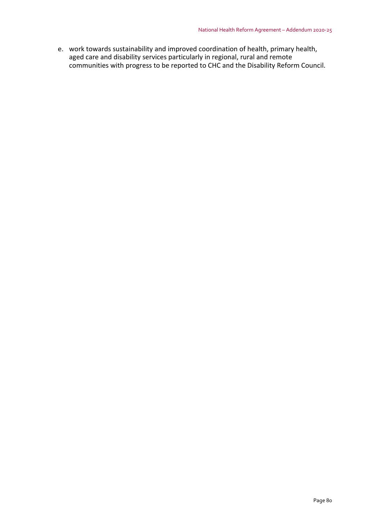e. work towards sustainability and improved coordination of health, primary health, aged care and disability services particularly in regional, rural and remote communities with progress to be reported to CHC and the Disability Reform Council.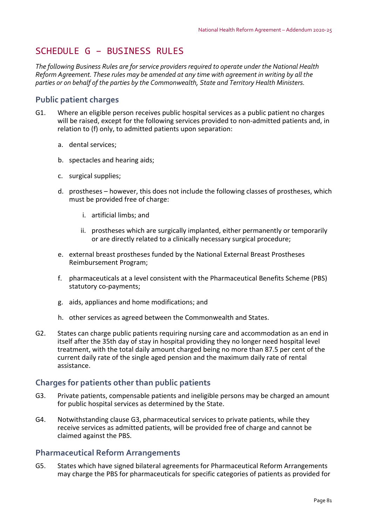# SCHEDULE G – BUSINESS RULES

*The following Business Rules are forservice providers required to operate under the National Health Reform Agreement. These rules may be amended at any time with agreement in writing by all the parties or on behalf of the parties by the Commonwealth, State and Territory Health Ministers.*

# **Public patient charges**

- G1. Where an eligible person receives public hospital services as a public patient no charges will be raised, except for the following services provided to non-admitted patients and, in relation to (f) only, to admitted patients upon separation:
	- a. dental services;
	- b. spectacles and hearing aids;
	- c. surgical supplies;
	- d. prostheses however, this does not include the following classes of prostheses, which must be provided free of charge:
		- i. artificial limbs; and
		- ii. prostheses which are surgically implanted, either permanently or temporarily or are directly related to a clinically necessary surgical procedure;
	- e. external breast prostheses funded by the National External Breast Prostheses Reimbursement Program;
	- f. pharmaceuticals at a level consistent with the Pharmaceutical Benefits Scheme (PBS) statutory co‐payments;
	- g. aids, appliances and home modifications; and
	- h. other services as agreed between the Commonwealth and States.
- G2. States can charge public patients requiring nursing care and accommodation as an end in itself after the 35th day of stay in hospital providing they no longer need hospital level treatment, with the total daily amount charged being no more than 87.5 per cent of the current daily rate of the single aged pension and the maximum daily rate of rental assistance.

# **Charges for patients other than public patients**

- G3. Private patients, compensable patients and ineligible persons may be charged an amount for public hospital services as determined by the State.
- G4. Notwithstanding clause G3, pharmaceutical services to private patients, while they receive services as admitted patients, will be provided free of charge and cannot be claimed against the PBS.

## **Pharmaceutical Reform Arrangements**

G5. States which have signed bilateral agreements for Pharmaceutical Reform Arrangements may charge the PBS for pharmaceuticals for specific categories of patients as provided for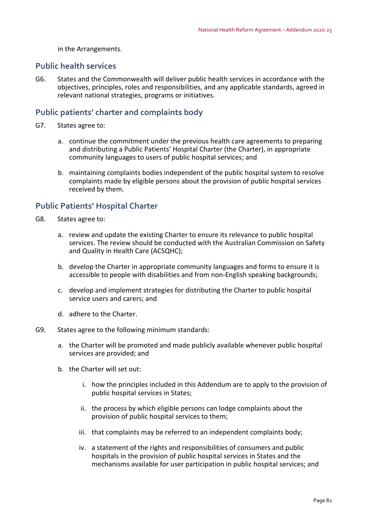in the Arrangements.

#### **Public health services**

G6. States and the Commonwealth will deliver public health services in accordance with the objectives, principles, roles and responsibilities, and any applicable standards, agreed in relevant national strategies, programs or initiatives.

#### **Public patients' charter and complaints body**

- G7. States agree to:
	- a. continue the commitment under the previous health care agreements to preparing and distributing a Public Patients' Hospital Charter (the Charter), in appropriate community languages to users of public hospital services; and
	- b. maintaining complaints bodies independent of the public hospital system to resolve complaints made by eligible persons about the provision of public hospital services received by them.

## **Public Patients' Hospital Charter**

- G8. States agree to:
	- a. review and update the existing Charter to ensure its relevance to public hospital services. The review should be conducted with the Australian Commission on Safety and Quality in Health Care (ACSQHC);
	- b. develop the Charter in appropriate community languages and forms to ensure it is accessible to people with disabilities and from non‐English speaking backgrounds;
	- c. develop and implement strategies for distributing the Charter to public hospital service users and carers; and
	- d. adhere to the Charter.
- G9. States agree to the following minimum standards:
	- a. the Charter will be promoted and made publicly available whenever public hospital services are provided; and
	- b. the Charter will set out:
		- i. how the principles included in this Addendum are to apply to the provision of public hospital services in States;
		- ii. the process by which eligible persons can lodge complaints about the provision of public hospital services to them;
		- iii. that complaints may be referred to an independent complaints body;
		- iv. a statement of the rights and responsibilities of consumers and public hospitals in the provision of public hospital services in States and the mechanisms available for user participation in public hospital services; and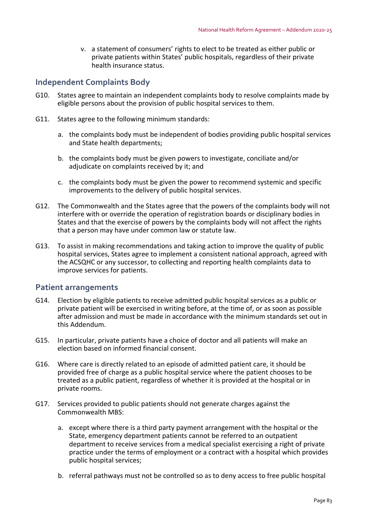v. a statement of consumers' rights to elect to be treated as either public or private patients within States' public hospitals, regardless of their private health insurance status.

# **Independent Complaints Body**

- G10. States agree to maintain an independent complaints body to resolve complaints made by eligible persons about the provision of public hospital services to them.
- G11. States agree to the following minimum standards:
	- a. the complaints body must be independent of bodies providing public hospital services and State health departments;
	- b. the complaints body must be given powers to investigate, conciliate and/or adjudicate on complaints received by it; and
	- c. the complaints body must be given the power to recommend systemic and specific improvements to the delivery of public hospital services.
- G12. The Commonwealth and the States agree that the powers of the complaints body will not interfere with or override the operation of registration boards or disciplinary bodies in States and that the exercise of powers by the complaints body will not affect the rights that a person may have under common law or statute law.
- G13. To assist in making recommendations and taking action to improve the quality of public hospital services, States agree to implement a consistent national approach, agreed with the ACSQHC or any successor, to collecting and reporting health complaints data to improve services for patients.

## **Patient arrangements**

- G14. Election by eligible patients to receive admitted public hospital services as a public or private patient will be exercised in writing before, at the time of, or as soon as possible after admission and must be made in accordance with the minimum standards set out in this Addendum.
- G15. In particular, private patients have a choice of doctor and all patients will make an election based on informed financial consent.
- G16. Where care is directly related to an episode of admitted patient care, it should be provided free of charge as a public hospital service where the patient chooses to be treated as a public patient, regardless of whether it is provided at the hospital or in private rooms.
- G17. Services provided to public patients should not generate charges against the Commonwealth MBS:
	- a. except where there is a third party payment arrangement with the hospital or the State, emergency department patients cannot be referred to an outpatient department to receive services from a medical specialist exercising a right of private practice under the terms of employment or a contract with a hospital which provides public hospital services;
	- b. referral pathways must not be controlled so as to deny access to free public hospital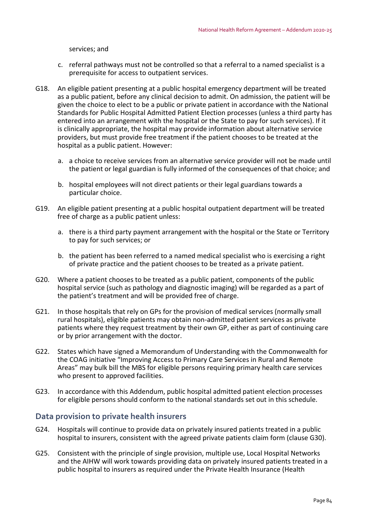services; and

- c. referral pathways must not be controlled so that a referral to a named specialist is a prerequisite for access to outpatient services.
- G18. An eligible patient presenting at a public hospital emergency department will be treated as a public patient, before any clinical decision to admit. On admission, the patient will be given the choice to elect to be a public or private patient in accordance with the National Standards for Public Hospital Admitted Patient Election processes (unless a third party has entered into an arrangement with the hospital or the State to pay for such services). If it is clinically appropriate, the hospital may provide information about alternative service providers, but must provide free treatment if the patient chooses to be treated at the hospital as a public patient. However:
	- a. a choice to receive services from an alternative service provider will not be made until the patient or legal guardian is fully informed of the consequences of that choice; and
	- b. hospital employees will not direct patients or their legal guardians towards a particular choice.
- G19. An eligible patient presenting at a public hospital outpatient department will be treated free of charge as a public patient unless:
	- a. there is a third party payment arrangement with the hospital or the State or Territory to pay for such services; or
	- b. the patient has been referred to a named medical specialist who is exercising a right of private practice and the patient chooses to be treated as a private patient.
- G20. Where a patient chooses to be treated as a public patient, components of the public hospital service (such as pathology and diagnostic imaging) will be regarded as a part of the patient's treatment and will be provided free of charge.
- G21. In those hospitals that rely on GPs for the provision of medical services (normally small rural hospitals), eligible patients may obtain non‐admitted patient services as private patients where they request treatment by their own GP, either as part of continuing care or by prior arrangement with the doctor.
- G22. States which have signed a Memorandum of Understanding with the Commonwealth for the COAG initiative "Improving Access to Primary Care Services in Rural and Remote Areas" may bulk bill the MBS for eligible persons requiring primary health care services who present to approved facilities.
- G23. In accordance with this Addendum, public hospital admitted patient election processes for eligible persons should conform to the national standards set out in this schedule.

## **Data provision to private health insurers**

- G24. Hospitals will continue to provide data on privately insured patients treated in a public hospital to insurers, consistent with the agreed private patients claim form (clause G30).
- G25. Consistent with the principle of single provision, multiple use, Local Hospital Networks and the AIHW will work towards providing data on privately insured patients treated in a public hospital to insurers as required under the Private Health Insurance (Health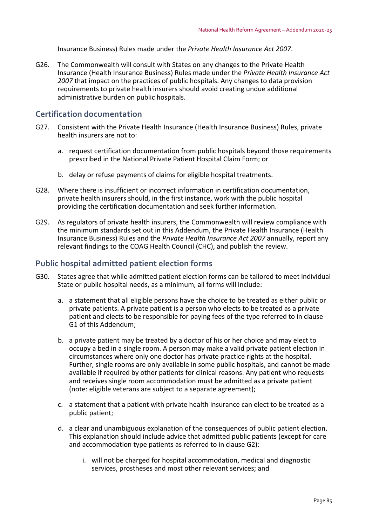Insurance Business) Rules made under the *Private Health Insurance Act 2007*.

G26. The Commonwealth will consult with States on any changes to the Private Health Insurance (Health Insurance Business) Rules made under the *Private Health Insurance Act 2007* that impact on the practices of public hospitals. Any changes to data provision requirements to private health insurers should avoid creating undue additional administrative burden on public hospitals.

## **Certification documentation**

- G27. Consistent with the Private Health Insurance (Health Insurance Business) Rules, private health insurers are not to:
	- a. request certification documentation from public hospitals beyond those requirements prescribed in the National Private Patient Hospital Claim Form; or
	- b. delay or refuse payments of claims for eligible hospital treatments.
- G28. Where there is insufficient or incorrect information in certification documentation, private health insurers should, in the first instance, work with the public hospital providing the certification documentation and seek further information.
- G29. As regulators of private health insurers, the Commonwealth will review compliance with the minimum standards set out in this Addendum, the Private Health Insurance (Health Insurance Business) Rules and the *Private Health Insurance Act 2007* annually, report any relevant findings to the COAG Health Council (CHC), and publish the review.

## **Public hospital admitted patient election forms**

- G30. States agree that while admitted patient election forms can be tailored to meet individual State or public hospital needs, as a minimum, all forms will include:
	- a. a statement that all eligible persons have the choice to be treated as either public or private patients. A private patient is a person who elects to be treated as a private patient and elects to be responsible for paying fees of the type referred to in clause G1 of this Addendum;
	- b. a private patient may be treated by a doctor of his or her choice and may elect to occupy a bed in a single room. A person may make a valid private patient election in circumstances where only one doctor has private practice rights at the hospital. Further, single rooms are only available in some public hospitals, and cannot be made available if required by other patients for clinical reasons. Any patient who requests and receives single room accommodation must be admitted as a private patient (note: eligible veterans are subject to a separate agreement);
	- c. a statement that a patient with private health insurance can elect to be treated as a public patient;
	- d. a clear and unambiguous explanation of the consequences of public patient election. This explanation should include advice that admitted public patients (except for care and accommodation type patients as referred to in clause G2):
		- i. will not be charged for hospital accommodation, medical and diagnostic services, prostheses and most other relevant services; and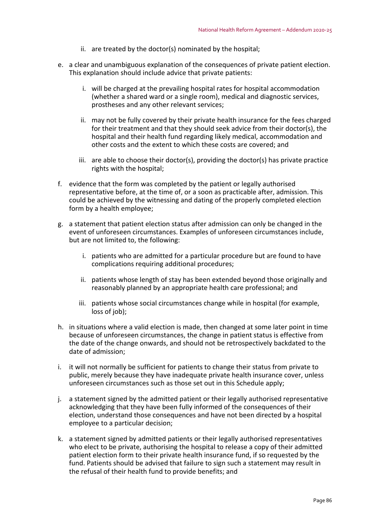- ii. are treated by the doctor(s) nominated by the hospital;
- e. a clear and unambiguous explanation of the consequences of private patient election. This explanation should include advice that private patients:
	- i. will be charged at the prevailing hospital rates for hospital accommodation (whether a shared ward or a single room), medical and diagnostic services, prostheses and any other relevant services;
	- ii. may not be fully covered by their private health insurance for the fees charged for their treatment and that they should seek advice from their doctor(s), the hospital and their health fund regarding likely medical, accommodation and other costs and the extent to which these costs are covered; and
	- iii. are able to choose their doctor(s), providing the doctor(s) has private practice rights with the hospital;
- f. evidence that the form was completed by the patient or legally authorised representative before, at the time of, or a soon as practicable after, admission. This could be achieved by the witnessing and dating of the properly completed election form by a health employee;
- g. a statement that patient election status after admission can only be changed in the event of unforeseen circumstances. Examples of unforeseen circumstances include, but are not limited to, the following:
	- i. patients who are admitted for a particular procedure but are found to have complications requiring additional procedures;
	- ii. patients whose length of stay has been extended beyond those originally and reasonably planned by an appropriate health care professional; and
	- iii. patients whose social circumstances change while in hospital (for example, loss of job);
- h. in situations where a valid election is made, then changed at some later point in time because of unforeseen circumstances, the change in patient status is effective from the date of the change onwards, and should not be retrospectively backdated to the date of admission;
- i. it will not normally be sufficient for patients to change their status from private to public, merely because they have inadequate private health insurance cover, unless unforeseen circumstances such as those set out in this Schedule apply;
- j. a statement signed by the admitted patient or their legally authorised representative acknowledging that they have been fully informed of the consequences of their election, understand those consequences and have not been directed by a hospital employee to a particular decision;
- k. a statement signed by admitted patients or their legally authorised representatives who elect to be private, authorising the hospital to release a copy of their admitted patient election form to their private health insurance fund, if so requested by the fund. Patients should be advised that failure to sign such a statement may result in the refusal of their health fund to provide benefits; and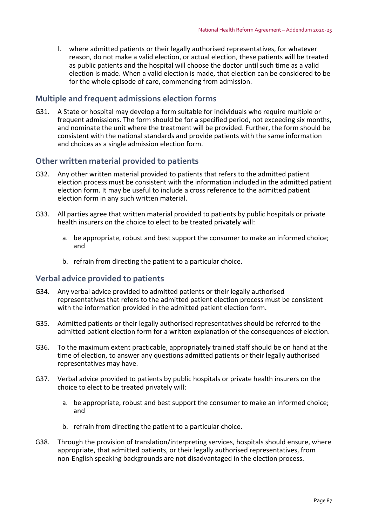l. where admitted patients or their legally authorised representatives, for whatever reason, do not make a valid election, or actual election, these patients will be treated as public patients and the hospital will choose the doctor until such time as a valid election is made. When a valid election is made, that election can be considered to be for the whole episode of care, commencing from admission.

# **Multiple and frequent admissions election forms**

G31. A State or hospital may develop a form suitable for individuals who require multiple or frequent admissions. The form should be for a specified period, not exceeding six months, and nominate the unit where the treatment will be provided. Further, the form should be consistent with the national standards and provide patients with the same information and choices as a single admission election form.

# **Other written material provided to patients**

- G32. Any other written material provided to patients that refers to the admitted patient election process must be consistent with the information included in the admitted patient election form. It may be useful to include a cross reference to the admitted patient election form in any such written material.
- G33. All parties agree that written material provided to patients by public hospitals or private health insurers on the choice to elect to be treated privately will:
	- a. be appropriate, robust and best support the consumer to make an informed choice; and
	- b. refrain from directing the patient to a particular choice.

## **Verbal advice provided to patients**

- G34. Any verbal advice provided to admitted patients or their legally authorised representatives that refers to the admitted patient election process must be consistent with the information provided in the admitted patient election form.
- G35. Admitted patients or their legally authorised representatives should be referred to the admitted patient election form for a written explanation of the consequences of election.
- G36. To the maximum extent practicable, appropriately trained staff should be on hand at the time of election, to answer any questions admitted patients or their legally authorised representatives may have.
- G37. Verbal advice provided to patients by public hospitals or private health insurers on the choice to elect to be treated privately will:
	- a. be appropriate, robust and best support the consumer to make an informed choice; and
	- b. refrain from directing the patient to a particular choice.
- G38. Through the provision of translation/interpreting services, hospitals should ensure, where appropriate, that admitted patients, or their legally authorised representatives, from non‐English speaking backgrounds are not disadvantaged in the election process.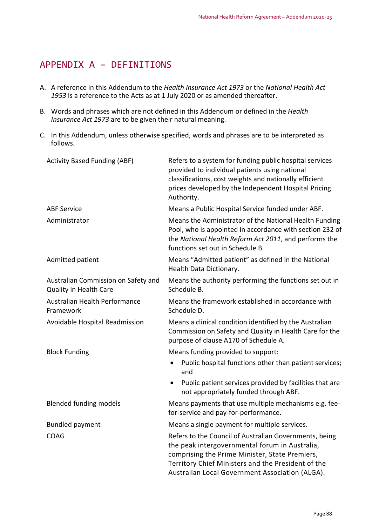# APPENDIX A – DEFINITIONS

- A. A reference in this Addendum to the *Health Insurance Act 1973* or the *National Health Act 1953* is a reference to the Acts as at 1 July 2020 or as amended thereafter.
- B. Words and phrases which are not defined in this Addendum or defined in the *Health Insurance Act 1973* are to be given their natural meaning.
- C. In this Addendum, unless otherwise specified, words and phrases are to be interpreted as follows.

| <b>Activity Based Funding (ABF)</b>                           | Refers to a system for funding public hospital services<br>provided to individual patients using national<br>classifications, cost weights and nationally efficient<br>prices developed by the Independent Hospital Pricing<br>Authority.                           |
|---------------------------------------------------------------|---------------------------------------------------------------------------------------------------------------------------------------------------------------------------------------------------------------------------------------------------------------------|
| <b>ABF Service</b>                                            | Means a Public Hospital Service funded under ABF.                                                                                                                                                                                                                   |
| Administrator                                                 | Means the Administrator of the National Health Funding<br>Pool, who is appointed in accordance with section 232 of<br>the National Health Reform Act 2011, and performs the<br>functions set out in Schedule B.                                                     |
| Admitted patient                                              | Means "Admitted patient" as defined in the National<br>Health Data Dictionary.                                                                                                                                                                                      |
| Australian Commission on Safety and<br>Quality in Health Care | Means the authority performing the functions set out in<br>Schedule B.                                                                                                                                                                                              |
| Australian Health Performance<br>Framework                    | Means the framework established in accordance with<br>Schedule D.                                                                                                                                                                                                   |
| Avoidable Hospital Readmission                                | Means a clinical condition identified by the Australian<br>Commission on Safety and Quality in Health Care for the<br>purpose of clause A170 of Schedule A.                                                                                                         |
| <b>Block Funding</b>                                          | Means funding provided to support:                                                                                                                                                                                                                                  |
|                                                               | Public hospital functions other than patient services;<br>$\bullet$<br>and                                                                                                                                                                                          |
|                                                               | Public patient services provided by facilities that are<br>$\bullet$<br>not appropriately funded through ABF.                                                                                                                                                       |
| <b>Blended funding models</b>                                 | Means payments that use multiple mechanisms e.g. fee-<br>for-service and pay-for-performance.                                                                                                                                                                       |
| <b>Bundled payment</b>                                        | Means a single payment for multiple services.                                                                                                                                                                                                                       |
| COAG                                                          | Refers to the Council of Australian Governments, being<br>the peak intergovernmental forum in Australia,<br>comprising the Prime Minister, State Premiers,<br>Territory Chief Ministers and the President of the<br>Australian Local Government Association (ALGA). |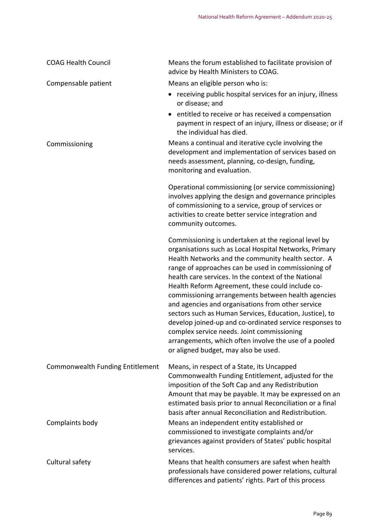| <b>COAG Health Council</b>       | Means the forum established to facilitate provision of<br>advice by Health Ministers to COAG.                                                                                                                                                                                                                                                                                                                                                                                                                                                                                                                                                                                                                           |
|----------------------------------|-------------------------------------------------------------------------------------------------------------------------------------------------------------------------------------------------------------------------------------------------------------------------------------------------------------------------------------------------------------------------------------------------------------------------------------------------------------------------------------------------------------------------------------------------------------------------------------------------------------------------------------------------------------------------------------------------------------------------|
| Compensable patient              | Means an eligible person who is:                                                                                                                                                                                                                                                                                                                                                                                                                                                                                                                                                                                                                                                                                        |
|                                  | • receiving public hospital services for an injury, illness<br>or disease; and                                                                                                                                                                                                                                                                                                                                                                                                                                                                                                                                                                                                                                          |
|                                  | entitled to receive or has received a compensation<br>payment in respect of an injury, illness or disease; or if<br>the individual has died.                                                                                                                                                                                                                                                                                                                                                                                                                                                                                                                                                                            |
| Commissioning                    | Means a continual and iterative cycle involving the<br>development and implementation of services based on<br>needs assessment, planning, co-design, funding,<br>monitoring and evaluation.                                                                                                                                                                                                                                                                                                                                                                                                                                                                                                                             |
|                                  | Operational commissioning (or service commissioning)<br>involves applying the design and governance principles<br>of commissioning to a service, group of services or<br>activities to create better service integration and<br>community outcomes.                                                                                                                                                                                                                                                                                                                                                                                                                                                                     |
|                                  | Commissioning is undertaken at the regional level by<br>organisations such as Local Hospital Networks, Primary<br>Health Networks and the community health sector. A<br>range of approaches can be used in commissioning of<br>health care services. In the context of the National<br>Health Reform Agreement, these could include co-<br>commissioning arrangements between health agencies<br>and agencies and organisations from other service<br>sectors such as Human Services, Education, Justice), to<br>develop joined-up and co-ordinated service responses to<br>complex service needs. Joint commissioning<br>arrangements, which often involve the use of a pooled<br>or aligned budget, may also be used. |
| Commonwealth Funding Entitlement | Means, in respect of a State, its Uncapped<br>Commonwealth Funding Entitlement, adjusted for the<br>imposition of the Soft Cap and any Redistribution<br>Amount that may be payable. It may be expressed on an<br>estimated basis prior to annual Reconciliation or a final<br>basis after annual Reconciliation and Redistribution.                                                                                                                                                                                                                                                                                                                                                                                    |
| Complaints body                  | Means an independent entity established or<br>commissioned to investigate complaints and/or<br>grievances against providers of States' public hospital<br>services.                                                                                                                                                                                                                                                                                                                                                                                                                                                                                                                                                     |
| Cultural safety                  | Means that health consumers are safest when health<br>professionals have considered power relations, cultural<br>differences and patients' rights. Part of this process                                                                                                                                                                                                                                                                                                                                                                                                                                                                                                                                                 |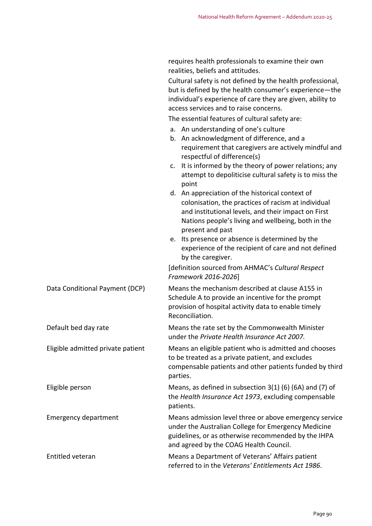requires health professionals to examine their own

|                                   | realities, beliefs and attitudes.                                                                                                                                                                                                                                                                                                                                      |
|-----------------------------------|------------------------------------------------------------------------------------------------------------------------------------------------------------------------------------------------------------------------------------------------------------------------------------------------------------------------------------------------------------------------|
|                                   | Cultural safety is not defined by the health professional,<br>but is defined by the health consumer's experience-the<br>individual's experience of care they are given, ability to<br>access services and to raise concerns.                                                                                                                                           |
|                                   | The essential features of cultural safety are:                                                                                                                                                                                                                                                                                                                         |
|                                   | a. An understanding of one's culture<br>b. An acknowledgment of difference, and a<br>requirement that caregivers are actively mindful and<br>respectful of difference(s)                                                                                                                                                                                               |
|                                   | It is informed by the theory of power relations; any<br>c.<br>attempt to depoliticise cultural safety is to miss the<br>point                                                                                                                                                                                                                                          |
|                                   | d. An appreciation of the historical context of<br>colonisation, the practices of racism at individual<br>and institutional levels, and their impact on First<br>Nations people's living and wellbeing, both in the<br>present and past<br>e. Its presence or absence is determined by the<br>experience of the recipient of care and not defined<br>by the caregiver. |
|                                   | [definition sourced from AHMAC's Cultural Respect<br>Framework 2016-2026]                                                                                                                                                                                                                                                                                              |
| Data Conditional Payment (DCP)    | Means the mechanism described at clause A155 in<br>Schedule A to provide an incentive for the prompt<br>provision of hospital activity data to enable timely<br>Reconciliation.                                                                                                                                                                                        |
| Default bed day rate              | Means the rate set by the Commonwealth Minister<br>under the Private Health Insurance Act 2007.                                                                                                                                                                                                                                                                        |
| Eligible admitted private patient | Means an eligible patient who is admitted and chooses<br>to be treated as a private patient, and excludes<br>compensable patients and other patients funded by third<br>parties.                                                                                                                                                                                       |
| Eligible person                   | Means, as defined in subsection $3(1)$ (6) (6A) and (7) of<br>the Health Insurance Act 1973, excluding compensable<br>patients.                                                                                                                                                                                                                                        |
| <b>Emergency department</b>       | Means admission level three or above emergency service<br>under the Australian College for Emergency Medicine<br>guidelines, or as otherwise recommended by the IHPA<br>and agreed by the COAG Health Council.                                                                                                                                                         |
| Entitled veteran                  | Means a Department of Veterans' Affairs patient<br>referred to in the Veterans' Entitlements Act 1986.                                                                                                                                                                                                                                                                 |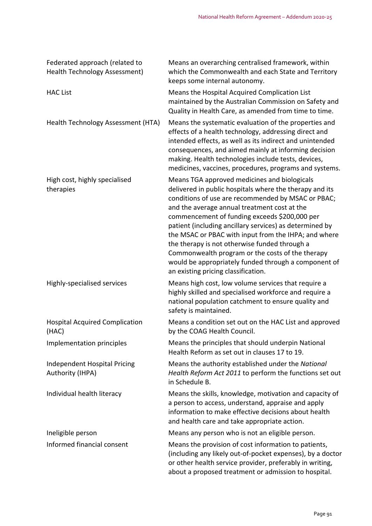| Federated approach (related to<br><b>Health Technology Assessment)</b> | Means an overarching centralised framework, within<br>which the Commonwealth and each State and Territory<br>keeps some internal autonomy.                                                                                                                                                                                                                                                                                                                                                                                                                                            |
|------------------------------------------------------------------------|---------------------------------------------------------------------------------------------------------------------------------------------------------------------------------------------------------------------------------------------------------------------------------------------------------------------------------------------------------------------------------------------------------------------------------------------------------------------------------------------------------------------------------------------------------------------------------------|
| <b>HAC List</b>                                                        | Means the Hospital Acquired Complication List<br>maintained by the Australian Commission on Safety and<br>Quality in Health Care, as amended from time to time.                                                                                                                                                                                                                                                                                                                                                                                                                       |
| Health Technology Assessment (HTA)                                     | Means the systematic evaluation of the properties and<br>effects of a health technology, addressing direct and<br>intended effects, as well as its indirect and unintended<br>consequences, and aimed mainly at informing decision<br>making. Health technologies include tests, devices,<br>medicines, vaccines, procedures, programs and systems.                                                                                                                                                                                                                                   |
| High cost, highly specialised<br>therapies                             | Means TGA approved medicines and biologicals<br>delivered in public hospitals where the therapy and its<br>conditions of use are recommended by MSAC or PBAC;<br>and the average annual treatment cost at the<br>commencement of funding exceeds \$200,000 per<br>patient (including ancillary services) as determined by<br>the MSAC or PBAC with input from the IHPA; and where<br>the therapy is not otherwise funded through a<br>Commonwealth program or the costs of the therapy<br>would be appropriately funded through a component of<br>an existing pricing classification. |
| Highly-specialised services                                            | Means high cost, low volume services that require a<br>highly skilled and specialised workforce and require a<br>national population catchment to ensure quality and<br>safety is maintained.                                                                                                                                                                                                                                                                                                                                                                                         |
| <b>Hospital Acquired Complication</b><br>(HAC)                         | Means a condition set out on the HAC List and approved<br>by the COAG Health Council.                                                                                                                                                                                                                                                                                                                                                                                                                                                                                                 |
| Implementation principles                                              | Means the principles that should underpin National<br>Health Reform as set out in clauses 17 to 19.                                                                                                                                                                                                                                                                                                                                                                                                                                                                                   |
| Independent Hospital Pricing<br>Authority (IHPA)                       | Means the authority established under the National<br>Health Reform Act 2011 to perform the functions set out<br>in Schedule B.                                                                                                                                                                                                                                                                                                                                                                                                                                                       |
| Individual health literacy                                             | Means the skills, knowledge, motivation and capacity of<br>a person to access, understand, appraise and apply<br>information to make effective decisions about health<br>and health care and take appropriate action.                                                                                                                                                                                                                                                                                                                                                                 |
| Ineligible person                                                      | Means any person who is not an eligible person.                                                                                                                                                                                                                                                                                                                                                                                                                                                                                                                                       |
| Informed financial consent                                             | Means the provision of cost information to patients,<br>(including any likely out-of-pocket expenses), by a doctor<br>or other health service provider, preferably in writing,<br>about a proposed treatment or admission to hospital.                                                                                                                                                                                                                                                                                                                                                |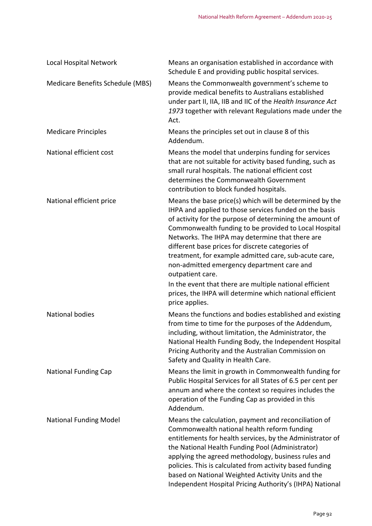| Local Hospital Network           | Means an organisation established in accordance with<br>Schedule E and providing public hospital services.                                                                                                                                                                                                                                                                                                                                                                                                                          |
|----------------------------------|-------------------------------------------------------------------------------------------------------------------------------------------------------------------------------------------------------------------------------------------------------------------------------------------------------------------------------------------------------------------------------------------------------------------------------------------------------------------------------------------------------------------------------------|
| Medicare Benefits Schedule (MBS) | Means the Commonwealth government's scheme to<br>provide medical benefits to Australians established<br>under part II, IIA, IIB and IIC of the Health Insurance Act<br>1973 together with relevant Regulations made under the<br>Act.                                                                                                                                                                                                                                                                                               |
| <b>Medicare Principles</b>       | Means the principles set out in clause 8 of this<br>Addendum.                                                                                                                                                                                                                                                                                                                                                                                                                                                                       |
| National efficient cost          | Means the model that underpins funding for services<br>that are not suitable for activity based funding, such as<br>small rural hospitals. The national efficient cost<br>determines the Commonwealth Government<br>contribution to block funded hospitals.                                                                                                                                                                                                                                                                         |
| National efficient price         | Means the base price(s) which will be determined by the<br>IHPA and applied to those services funded on the basis<br>of activity for the purpose of determining the amount of<br>Commonwealth funding to be provided to Local Hospital<br>Networks. The IHPA may determine that there are<br>different base prices for discrete categories of<br>treatment, for example admitted care, sub-acute care,<br>non-admitted emergency department care and<br>outpatient care.<br>In the event that there are multiple national efficient |
|                                  | prices, the IHPA will determine which national efficient<br>price applies.                                                                                                                                                                                                                                                                                                                                                                                                                                                          |
| <b>National bodies</b>           | Means the functions and bodies established and existing<br>from time to time for the purposes of the Addendum,<br>including, without limitation, the Administrator, the<br>National Health Funding Body, the Independent Hospital<br>Pricing Authority and the Australian Commission on<br>Safety and Quality in Health Care.                                                                                                                                                                                                       |
| <b>National Funding Cap</b>      | Means the limit in growth in Commonwealth funding for<br>Public Hospital Services for all States of 6.5 per cent per<br>annum and where the context so requires includes the<br>operation of the Funding Cap as provided in this<br>Addendum.                                                                                                                                                                                                                                                                                       |
| <b>National Funding Model</b>    | Means the calculation, payment and reconciliation of<br>Commonwealth national health reform funding<br>entitlements for health services, by the Administrator of<br>the National Health Funding Pool (Administrator)<br>applying the agreed methodology, business rules and<br>policies. This is calculated from activity based funding<br>based on National Weighted Activity Units and the<br>Independent Hospital Pricing Authority's (IHPA) National                                                                            |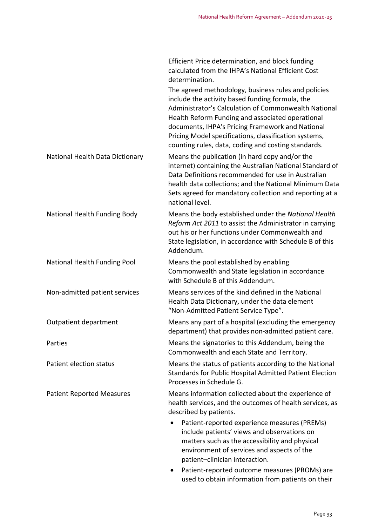|                                  | Efficient Price determination, and block funding<br>calculated from the IHPA's National Efficient Cost<br>determination.                                                                                                                                                                                                                                                               |
|----------------------------------|----------------------------------------------------------------------------------------------------------------------------------------------------------------------------------------------------------------------------------------------------------------------------------------------------------------------------------------------------------------------------------------|
|                                  | The agreed methodology, business rules and policies<br>include the activity based funding formula, the<br>Administrator's Calculation of Commonwealth National<br>Health Reform Funding and associated operational<br>documents, IHPA's Pricing Framework and National<br>Pricing Model specifications, classification systems,<br>counting rules, data, coding and costing standards. |
| National Health Data Dictionary  | Means the publication (in hard copy and/or the<br>internet) containing the Australian National Standard of<br>Data Definitions recommended for use in Australian<br>health data collections; and the National Minimum Data<br>Sets agreed for mandatory collection and reporting at a<br>national level.                                                                               |
| National Health Funding Body     | Means the body established under the National Health<br>Reform Act 2011 to assist the Administrator in carrying<br>out his or her functions under Commonwealth and<br>State legislation, in accordance with Schedule B of this<br>Addendum.                                                                                                                                            |
| National Health Funding Pool     | Means the pool established by enabling<br>Commonwealth and State legislation in accordance<br>with Schedule B of this Addendum.                                                                                                                                                                                                                                                        |
| Non-admitted patient services    | Means services of the kind defined in the National<br>Health Data Dictionary, under the data element<br>"Non-Admitted Patient Service Type".                                                                                                                                                                                                                                           |
| Outpatient department            | Means any part of a hospital (excluding the emergency<br>department) that provides non-admitted patient care.                                                                                                                                                                                                                                                                          |
| Parties                          | Means the signatories to this Addendum, being the<br>Commonwealth and each State and Territory.                                                                                                                                                                                                                                                                                        |
| Patient election status          | Means the status of patients according to the National<br>Standards for Public Hospital Admitted Patient Election<br>Processes in Schedule G.                                                                                                                                                                                                                                          |
| <b>Patient Reported Measures</b> | Means information collected about the experience of<br>health services, and the outcomes of health services, as<br>described by patients.                                                                                                                                                                                                                                              |
|                                  | Patient-reported experience measures (PREMs)<br>include patients' views and observations on<br>matters such as the accessibility and physical<br>environment of services and aspects of the<br>patient-clinician interaction.                                                                                                                                                          |

● Patient-reported outcome measures (PROMs) are used to obtain information from patients on their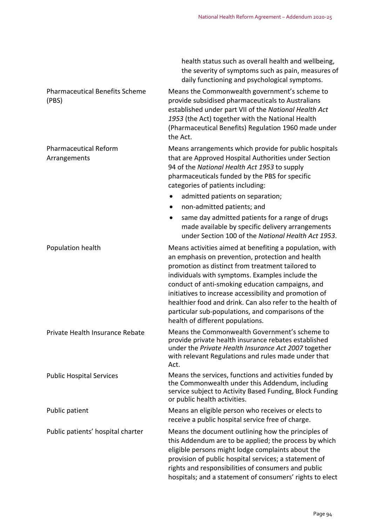|                                                | health status such as overall health and wellbeing,<br>the severity of symptoms such as pain, measures of<br>daily functioning and psychological symptoms.                                                                                                                                                                                                                                                                                                                              |
|------------------------------------------------|-----------------------------------------------------------------------------------------------------------------------------------------------------------------------------------------------------------------------------------------------------------------------------------------------------------------------------------------------------------------------------------------------------------------------------------------------------------------------------------------|
| <b>Pharmaceutical Benefits Scheme</b><br>(PBS) | Means the Commonwealth government's scheme to<br>provide subsidised pharmaceuticals to Australians<br>established under part VII of the National Health Act<br>1953 (the Act) together with the National Health<br>(Pharmaceutical Benefits) Regulation 1960 made under<br>the Act.                                                                                                                                                                                                     |
| <b>Pharmaceutical Reform</b><br>Arrangements   | Means arrangements which provide for public hospitals<br>that are Approved Hospital Authorities under Section<br>94 of the National Health Act 1953 to supply<br>pharmaceuticals funded by the PBS for specific<br>categories of patients including:                                                                                                                                                                                                                                    |
|                                                | admitted patients on separation;                                                                                                                                                                                                                                                                                                                                                                                                                                                        |
|                                                | non-admitted patients; and<br>$\bullet$                                                                                                                                                                                                                                                                                                                                                                                                                                                 |
|                                                | same day admitted patients for a range of drugs<br>$\bullet$<br>made available by specific delivery arrangements<br>under Section 100 of the National Health Act 1953.                                                                                                                                                                                                                                                                                                                  |
| Population health                              | Means activities aimed at benefiting a population, with<br>an emphasis on prevention, protection and health<br>promotion as distinct from treatment tailored to<br>individuals with symptoms. Examples include the<br>conduct of anti-smoking education campaigns, and<br>initiatives to increase accessibility and promotion of<br>healthier food and drink. Can also refer to the health of<br>particular sub-populations, and comparisons of the<br>health of different populations. |
| Private Health Insurance Rebate                | Means the Commonwealth Government's scheme to<br>provide private health insurance rebates established<br>under the Private Health Insurance Act 2007 together<br>with relevant Regulations and rules made under that<br>Act.                                                                                                                                                                                                                                                            |
| <b>Public Hospital Services</b>                | Means the services, functions and activities funded by<br>the Commonwealth under this Addendum, including<br>service subject to Activity Based Funding, Block Funding<br>or public health activities.                                                                                                                                                                                                                                                                                   |
| Public patient                                 | Means an eligible person who receives or elects to<br>receive a public hospital service free of charge.                                                                                                                                                                                                                                                                                                                                                                                 |
| Public patients' hospital charter              | Means the document outlining how the principles of<br>this Addendum are to be applied; the process by which<br>eligible persons might lodge complaints about the<br>provision of public hospital services; a statement of<br>rights and responsibilities of consumers and public<br>hospitals; and a statement of consumers' rights to elect                                                                                                                                            |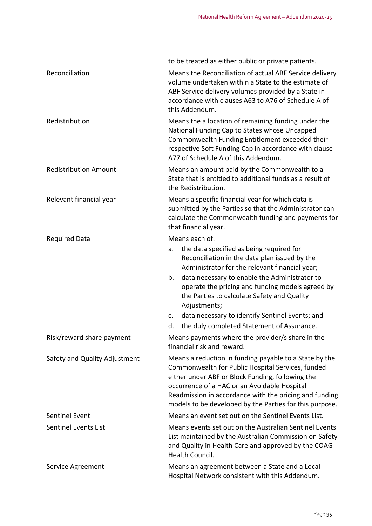|                               | to be treated as either public or private patients.                                                                                                                                                                                                                                                                                  |
|-------------------------------|--------------------------------------------------------------------------------------------------------------------------------------------------------------------------------------------------------------------------------------------------------------------------------------------------------------------------------------|
| Reconciliation                | Means the Reconciliation of actual ABF Service delivery<br>volume undertaken within a State to the estimate of<br>ABF Service delivery volumes provided by a State in<br>accordance with clauses A63 to A76 of Schedule A of<br>this Addendum.                                                                                       |
| Redistribution                | Means the allocation of remaining funding under the<br>National Funding Cap to States whose Uncapped<br>Commonwealth Funding Entitlement exceeded their<br>respective Soft Funding Cap in accordance with clause<br>A77 of Schedule A of this Addendum.                                                                              |
| <b>Redistribution Amount</b>  | Means an amount paid by the Commonwealth to a<br>State that is entitled to additional funds as a result of<br>the Redistribution.                                                                                                                                                                                                    |
| Relevant financial year       | Means a specific financial year for which data is<br>submitted by the Parties so that the Administrator can<br>calculate the Commonwealth funding and payments for<br>that financial year.                                                                                                                                           |
| <b>Required Data</b>          | Means each of:                                                                                                                                                                                                                                                                                                                       |
|                               | the data specified as being required for<br>a.<br>Reconciliation in the data plan issued by the<br>Administrator for the relevant financial year;                                                                                                                                                                                    |
|                               | data necessary to enable the Administrator to<br>b.<br>operate the pricing and funding models agreed by<br>the Parties to calculate Safety and Quality<br>Adjustments;                                                                                                                                                               |
|                               | data necessary to identify Sentinel Events; and<br>c.<br>the duly completed Statement of Assurance.<br>d.                                                                                                                                                                                                                            |
| Risk/reward share payment     | Means payments where the provider/s share in the<br>financial risk and reward.                                                                                                                                                                                                                                                       |
| Safety and Quality Adjustment | Means a reduction in funding payable to a State by the<br>Commonwealth for Public Hospital Services, funded<br>either under ABF or Block Funding, following the<br>occurrence of a HAC or an Avoidable Hospital<br>Readmission in accordance with the pricing and funding<br>models to be developed by the Parties for this purpose. |
| <b>Sentinel Event</b>         | Means an event set out on the Sentinel Events List.                                                                                                                                                                                                                                                                                  |
| <b>Sentinel Events List</b>   | Means events set out on the Australian Sentinel Events<br>List maintained by the Australian Commission on Safety<br>and Quality in Health Care and approved by the COAG<br>Health Council.                                                                                                                                           |
| Service Agreement             | Means an agreement between a State and a Local<br>Hospital Network consistent with this Addendum.                                                                                                                                                                                                                                    |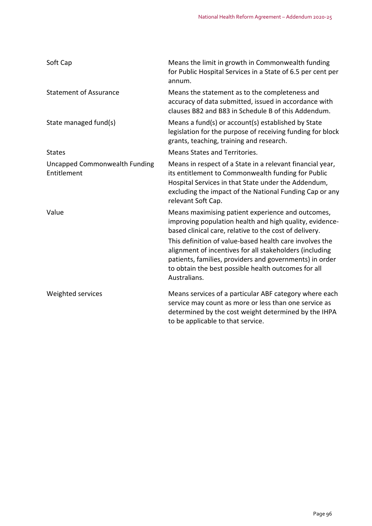| Soft Cap                                            | Means the limit in growth in Commonwealth funding<br>for Public Hospital Services in a State of 6.5 per cent per<br>annum.                                                                                                                                                                                                                                                                                                     |
|-----------------------------------------------------|--------------------------------------------------------------------------------------------------------------------------------------------------------------------------------------------------------------------------------------------------------------------------------------------------------------------------------------------------------------------------------------------------------------------------------|
| <b>Statement of Assurance</b>                       | Means the statement as to the completeness and<br>accuracy of data submitted, issued in accordance with<br>clauses B82 and B83 in Schedule B of this Addendum.                                                                                                                                                                                                                                                                 |
| State managed fund(s)                               | Means a fund(s) or account(s) established by State<br>legislation for the purpose of receiving funding for block<br>grants, teaching, training and research.                                                                                                                                                                                                                                                                   |
| <b>States</b>                                       | <b>Means States and Territories.</b>                                                                                                                                                                                                                                                                                                                                                                                           |
| <b>Uncapped Commonwealth Funding</b><br>Entitlement | Means in respect of a State in a relevant financial year,<br>its entitlement to Commonwealth funding for Public<br>Hospital Services in that State under the Addendum,<br>excluding the impact of the National Funding Cap or any<br>relevant Soft Cap.                                                                                                                                                                        |
| Value                                               | Means maximising patient experience and outcomes,<br>improving population health and high quality, evidence-<br>based clinical care, relative to the cost of delivery.<br>This definition of value-based health care involves the<br>alignment of incentives for all stakeholders (including<br>patients, families, providers and governments) in order<br>to obtain the best possible health outcomes for all<br>Australians. |
| Weighted services                                   | Means services of a particular ABF category where each<br>service may count as more or less than one service as<br>determined by the cost weight determined by the IHPA<br>to be applicable to that service.                                                                                                                                                                                                                   |